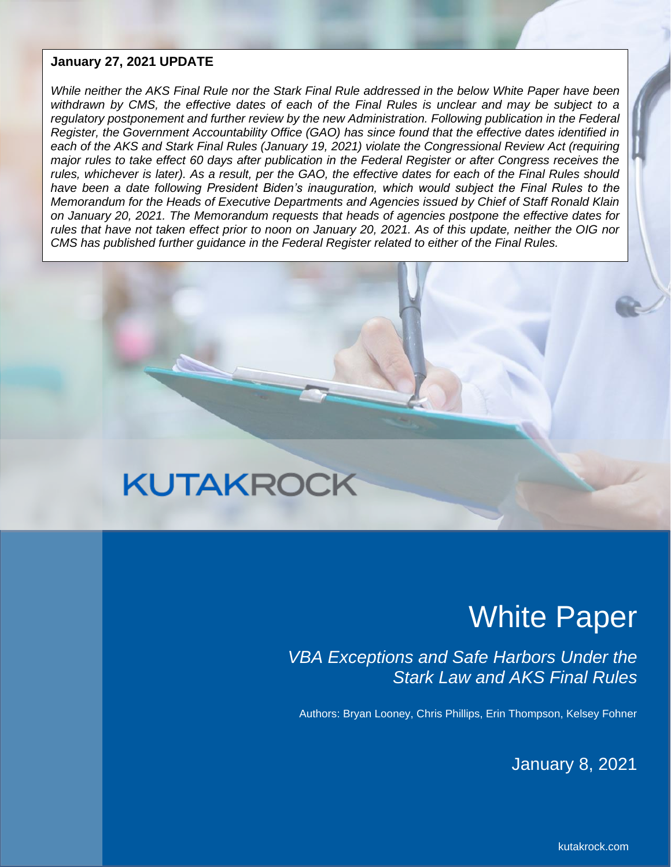#### **January 27, 2021 UPDATE**

*While neither the AKS Final Rule nor the Stark Final Rule addressed in the below White Paper have been withdrawn by CMS, the effective dates of each of the Final Rules is unclear and may be subject to a regulatory postponement and further review by the new Administration. Following publication in the Federal Register, the Government Accountability Office (GAO) has since found that the effective dates identified in each of the AKS and Stark Final Rules (January 19, 2021) violate the Congressional Review Act (requiring major rules to take effect 60 days after publication in the Federal Register or after Congress receives the rules, whichever is later). As a result, per the GAO, the effective dates for each of the Final Rules should*  have been a date following President Biden's inauguration, which would subject the Final Rules to the *Memorandum for the Heads of Executive Departments and Agencies issued by Chief of Staff Ronald Klain on January 20, 2021. The Memorandum requests that heads of agencies postpone the effective dates for rules that have not taken effect prior to noon on January 20, 2021. As of this update, neither the OIG nor CMS has published further guidance in the Federal Register related to either of the Final Rules.*

# **KUTAKROCK**

## White Paper

*VBA Exceptions and Safe Harbors Under the Stark Law and AKS Final Rules*

Authors: Bryan Looney, Chris Phillips, Erin Thompson, Kelsey Fohner

January 8, 2021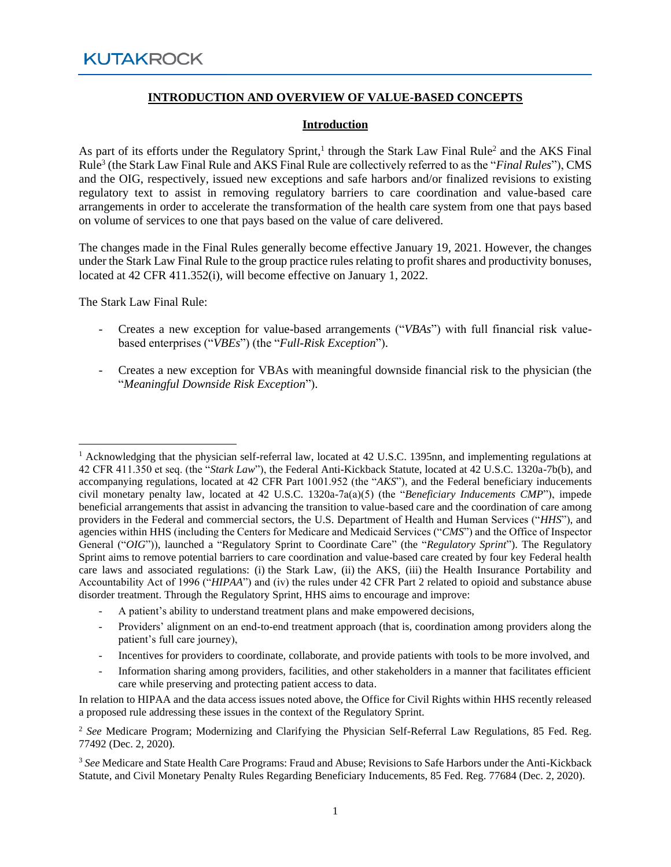#### **INTRODUCTION AND OVERVIEW OF VALUE-BASED CONCEPTS**

#### **Introduction**

As part of its efforts under the Regulatory Sprint,<sup>1</sup> through the Stark Law Final Rule<sup>2</sup> and the AKS Final Rule<sup>3</sup> (the Stark Law Final Rule and AKS Final Rule are collectively referred to as the "*Final Rules*"), CMS and the OIG, respectively, issued new exceptions and safe harbors and/or finalized revisions to existing regulatory text to assist in removing regulatory barriers to care coordination and value-based care arrangements in order to accelerate the transformation of the health care system from one that pays based on volume of services to one that pays based on the value of care delivered.

The changes made in the Final Rules generally become effective January 19, 2021. However, the changes under the Stark Law Final Rule to the group practice rules relating to profit shares and productivity bonuses, located at 42 CFR 411.352(i), will become effective on January 1, 2022.

The Stark Law Final Rule:

- Creates a new exception for value-based arrangements ("*VBAs*") with full financial risk valuebased enterprises ("*VBEs*") (the "*Full-Risk Exception*").
- Creates a new exception for VBAs with meaningful downside financial risk to the physician (the "*Meaningful Downside Risk Exception*").

- A patient's ability to understand treatment plans and make empowered decisions,
- Providers' alignment on an end-to-end treatment approach (that is, coordination among providers along the patient's full care journey),
- Incentives for providers to coordinate, collaborate, and provide patients with tools to be more involved, and
- Information sharing among providers, facilities, and other stakeholders in a manner that facilitates efficient care while preserving and protecting patient access to data.

<sup>&</sup>lt;sup>1</sup> Acknowledging that the physician self-referral law, located at 42 U.S.C. 1395nn, and implementing regulations at 42 CFR 411.350 et seq. (the "*Stark Law*"), the Federal Anti-Kickback Statute, located at 42 U.S.C. 1320a-7b(b), and accompanying regulations, located at 42 CFR Part 1001.952 (the "*AKS*"), and the Federal beneficiary inducements civil monetary penalty law, located at 42 U.S.C. 1320a-7a(a)(5) (the "*Beneficiary Inducements CMP*"), impede beneficial arrangements that assist in advancing the transition to value-based care and the coordination of care among providers in the Federal and commercial sectors, the U.S. Department of Health and Human Services ("*HHS*"), and agencies within HHS (including the Centers for Medicare and Medicaid Services ("*CMS*") and the Office of Inspector General ("*OIG*")), launched a "Regulatory Sprint to Coordinate Care" (the "*Regulatory Sprint*"). The Regulatory Sprint aims to remove potential barriers to care coordination and value-based care created by four key Federal health care laws and associated regulations: (i) the Stark Law, (ii) the AKS, (iii) the Health Insurance Portability and Accountability Act of 1996 ("*HIPAA*") and (iv) the rules under 42 CFR Part 2 related to opioid and substance abuse disorder treatment. Through the Regulatory Sprint, HHS aims to encourage and improve:

In relation to HIPAA and the data access issues noted above, the Office for Civil Rights within HHS recently released a proposed rule addressing these issues in the context of the Regulatory Sprint.

<sup>2</sup> *See* Medicare Program; Modernizing and Clarifying the Physician Self-Referral Law Regulations, 85 Fed. Reg. 77492 (Dec. 2, 2020).

<sup>3</sup> *See* Medicare and State Health Care Programs: Fraud and Abuse; Revisions to Safe Harbors under the Anti-Kickback Statute, and Civil Monetary Penalty Rules Regarding Beneficiary Inducements, 85 Fed. Reg. 77684 (Dec. 2, 2020).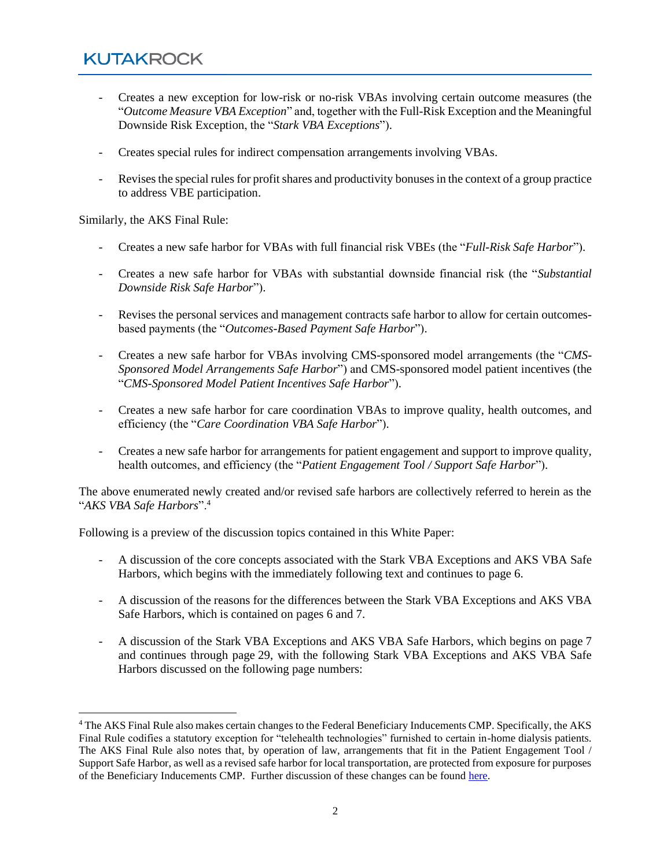- Creates a new exception for low-risk or no-risk VBAs involving certain outcome measures (the "*Outcome Measure VBA Exception*" and, together with the Full-Risk Exception and the Meaningful Downside Risk Exception, the "*Stark VBA Exceptions*").
- Creates special rules for indirect compensation arrangements involving VBAs.
- Revises the special rules for profit shares and productivity bonuses in the context of a group practice to address VBE participation.

Similarly, the AKS Final Rule:

- Creates a new safe harbor for VBAs with full financial risk VBEs (the "*Full-Risk Safe Harbor*").
- Creates a new safe harbor for VBAs with substantial downside financial risk (the "*Substantial Downside Risk Safe Harbor*").
- Revises the personal services and management contracts safe harbor to allow for certain outcomesbased payments (the "*Outcomes-Based Payment Safe Harbor*").
- Creates a new safe harbor for VBAs involving CMS-sponsored model arrangements (the "*CMS-Sponsored Model Arrangements Safe Harbor*") and CMS-sponsored model patient incentives (the "*CMS-Sponsored Model Patient Incentives Safe Harbor*").
- Creates a new safe harbor for care coordination VBAs to improve quality, health outcomes, and efficiency (the "*Care Coordination VBA Safe Harbor*").
- Creates a new safe harbor for arrangements for patient engagement and support to improve quality, health outcomes, and efficiency (the "*Patient Engagement Tool / Support Safe Harbor*").

The above enumerated newly created and/or revised safe harbors are collectively referred to herein as the "*AKS VBA Safe Harbors*".<sup>4</sup>

Following is a preview of the discussion topics contained in this White Paper:

- A discussion of the core concepts associated with the Stark VBA Exceptions and AKS VBA Safe Harbors, which begins with the immediately following text and continues to page 6.
- A discussion of the reasons for the differences between the Stark VBA Exceptions and AKS VBA Safe Harbors, which is contained on pages 6 and 7.
- A discussion of the Stark VBA Exceptions and AKS VBA Safe Harbors, which begins on page 7 and continues through page 29, with the following Stark VBA Exceptions and AKS VBA Safe Harbors discussed on the following page numbers:

<sup>&</sup>lt;sup>4</sup> The AKS Final Rule also makes certain changes to the Federal Beneficiary Inducements CMP. Specifically, the AKS Final Rule codifies a statutory exception for "telehealth technologies" furnished to certain in-home dialysis patients. The AKS Final Rule also notes that, by operation of law, arrangements that fit in the Patient Engagement Tool / Support Safe Harbor, as well as a revised safe harbor for local transportation, are protected from exposure for purposes of the Beneficiary Inducements CMP. Further discussion of these changes can be foun[d here.](https://www.kutakrock.com/-/media/files/news-and-publications/publications/2021/01/expanded-availability-aks-safe-harbors.pdf)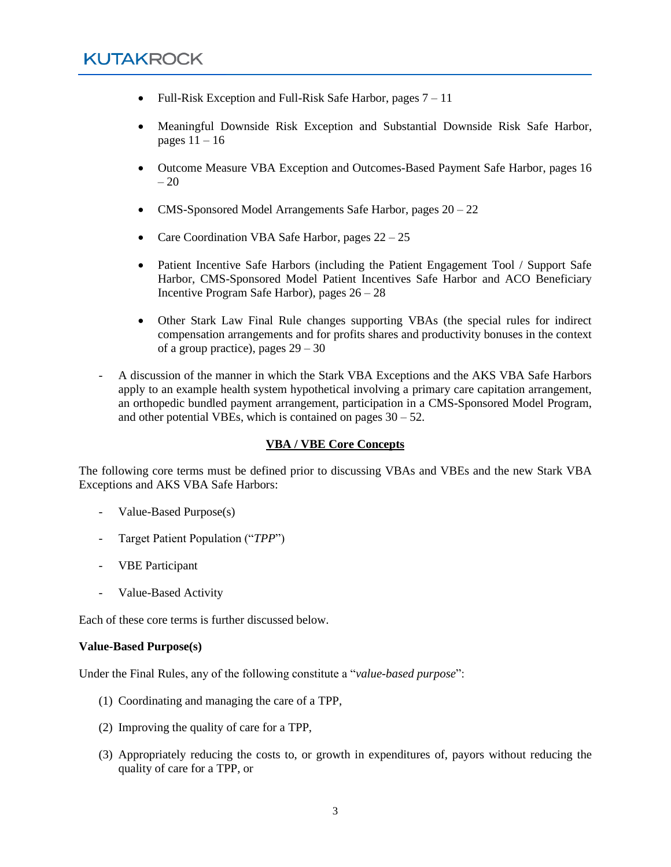- Full-Risk Exception and Full-Risk Safe Harbor, pages  $7 11$
- Meaningful Downside Risk Exception and Substantial Downside Risk Safe Harbor, pages  $11 - 16$
- Outcome Measure VBA Exception and Outcomes-Based Payment Safe Harbor, pages 16  $-20$
- CMS-Sponsored Model Arrangements Safe Harbor, pages  $20 22$
- Care Coordination VBA Safe Harbor, pages  $22 25$
- Patient Incentive Safe Harbors (including the Patient Engagement Tool / Support Safe Harbor, CMS-Sponsored Model Patient Incentives Safe Harbor and ACO Beneficiary Incentive Program Safe Harbor), pages 26 – 28
- Other Stark Law Final Rule changes supporting VBAs (the special rules for indirect compensation arrangements and for profits shares and productivity bonuses in the context of a group practice), pages  $29 - 30$
- A discussion of the manner in which the Stark VBA Exceptions and the AKS VBA Safe Harbors apply to an example health system hypothetical involving a primary care capitation arrangement, an orthopedic bundled payment arrangement, participation in a CMS-Sponsored Model Program, and other potential VBEs, which is contained on pages  $30 - 52$ .

#### **VBA / VBE Core Concepts**

The following core terms must be defined prior to discussing VBAs and VBEs and the new Stark VBA Exceptions and AKS VBA Safe Harbors:

- Value-Based Purpose(s)
- Target Patient Population ("*TPP*")
- VBE Participant
- Value-Based Activity

Each of these core terms is further discussed below.

#### **Value-Based Purpose(s)**

Under the Final Rules, any of the following constitute a "*value-based purpose*":

- (1) Coordinating and managing the care of a TPP,
- (2) Improving the quality of care for a TPP,
- (3) Appropriately reducing the costs to, or growth in expenditures of, payors without reducing the quality of care for a TPP, or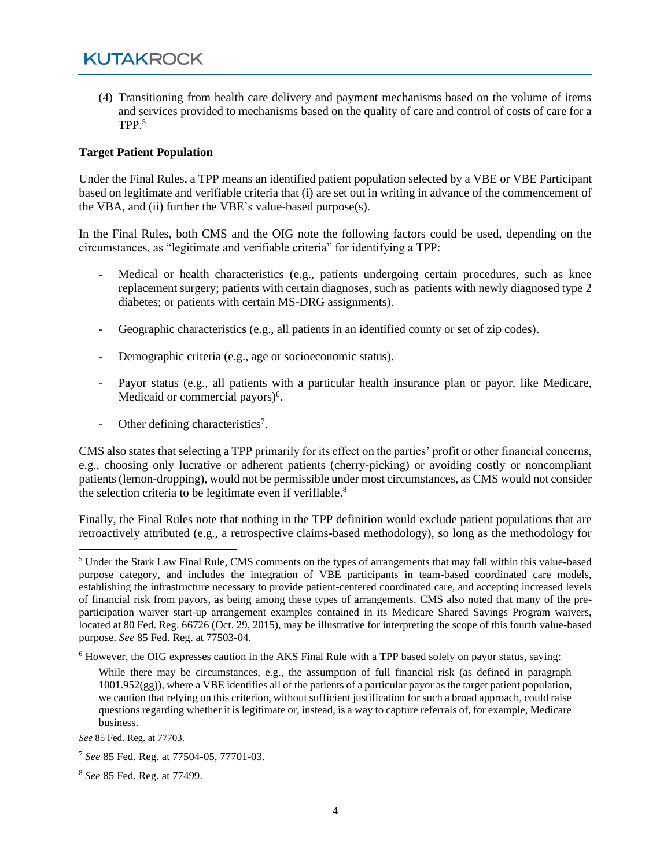(4) Transitioning from health care delivery and payment mechanisms based on the volume of items and services provided to mechanisms based on the quality of care and control of costs of care for a TPP. 5

#### **Target Patient Population**

Under the Final Rules, a TPP means an identified patient population selected by a VBE or VBE Participant based on legitimate and verifiable criteria that (i) are set out in writing in advance of the commencement of the VBA, and (ii) further the VBE's value-based purpose(s).

In the Final Rules, both CMS and the OIG note the following factors could be used, depending on the circumstances, as "legitimate and verifiable criteria" for identifying a TPP:

- Medical or health characteristics (e.g., patients undergoing certain procedures, such as knee replacement surgery; patients with certain diagnoses, such as patients with newly diagnosed type 2 diabetes; or patients with certain MS-DRG assignments).
- Geographic characteristics (e.g., all patients in an identified county or set of zip codes).
- Demographic criteria (e.g., age or socioeconomic status).
- Payor status (e.g., all patients with a particular health insurance plan or payor, like Medicare, Medicaid or commercial payors)<sup>6</sup>.
- Other defining characteristics<sup>7</sup>.

CMS also states that selecting a TPP primarily for its effect on the parties' profit or other financial concerns, e.g., choosing only lucrative or adherent patients (cherry-picking) or avoiding costly or noncompliant patients (lemon-dropping), would not be permissible under most circumstances, as CMS would not consider the selection criteria to be legitimate even if verifiable.<sup>8</sup>

Finally, the Final Rules note that nothing in the TPP definition would exclude patient populations that are retroactively attributed (e.g., a retrospective claims-based methodology), so long as the methodology for

<sup>5</sup> Under the Stark Law Final Rule, CMS comments on the types of arrangements that may fall within this value-based purpose category, and includes the integration of VBE participants in team-based coordinated care models, establishing the infrastructure necessary to provide patient-centered coordinated care, and accepting increased levels of financial risk from payors, as being among these types of arrangements. CMS also noted that many of the preparticipation waiver start-up arrangement examples contained in its Medicare Shared Savings Program waivers, located at 80 Fed. Reg. 66726 (Oct. 29, 2015), may be illustrative for interpreting the scope of this fourth value-based purpose. *See* 85 Fed. Reg. at 77503-04.

<sup>6</sup> However, the OIG expresses caution in the AKS Final Rule with a TPP based solely on payor status, saying:

While there may be circumstances, e.g., the assumption of full financial risk (as defined in paragraph  $1001.952(gg)$ , where a VBE identifies all of the patients of a particular payor as the target patient population, we caution that relying on this criterion, without sufficient justification for such a broad approach, could raise questions regarding whether it is legitimate or, instead, is a way to capture referrals of, for example, Medicare business.

*See* 85 Fed. Reg. at 77703.

<sup>7</sup> *See* 85 Fed. Reg. at 77504-05, 77701-03.

<sup>8</sup> *See* 85 Fed. Reg. at 77499.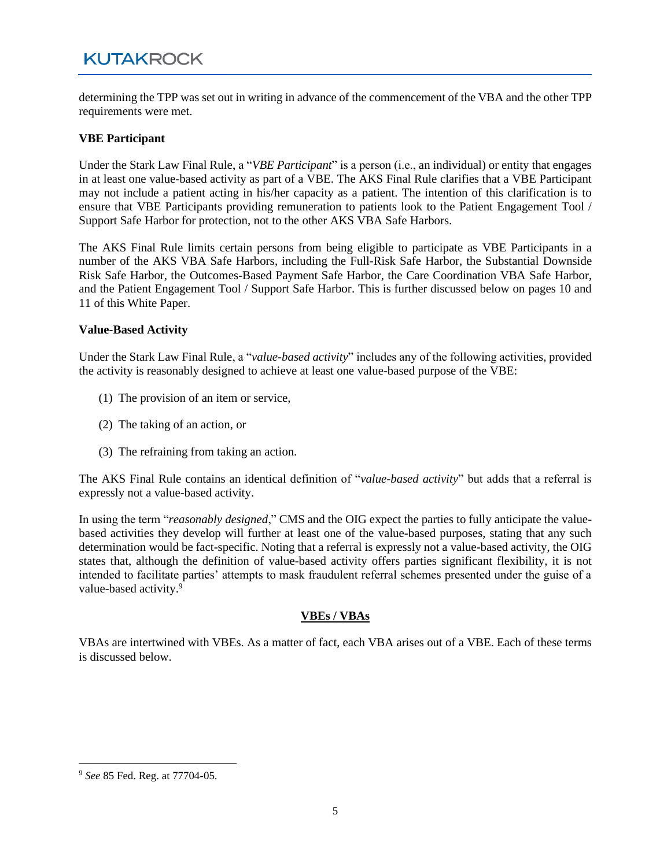determining the TPP was set out in writing in advance of the commencement of the VBA and the other TPP requirements were met.

#### **VBE Participant**

Under the Stark Law Final Rule, a "*VBE Participant*" is a person (i.e., an individual) or entity that engages in at least one value-based activity as part of a VBE. The AKS Final Rule clarifies that a VBE Participant may not include a patient acting in his/her capacity as a patient. The intention of this clarification is to ensure that VBE Participants providing remuneration to patients look to the Patient Engagement Tool / Support Safe Harbor for protection, not to the other AKS VBA Safe Harbors.

The AKS Final Rule limits certain persons from being eligible to participate as VBE Participants in a number of the AKS VBA Safe Harbors, including the Full-Risk Safe Harbor, the Substantial Downside Risk Safe Harbor, the Outcomes-Based Payment Safe Harbor, the Care Coordination VBA Safe Harbor, and the Patient Engagement Tool / Support Safe Harbor. This is further discussed below on pages 10 and 11 of this White Paper.

#### **Value-Based Activity**

Under the Stark Law Final Rule, a "*value-based activity*" includes any of the following activities, provided the activity is reasonably designed to achieve at least one value-based purpose of the VBE:

- (1) The provision of an item or service,
- (2) The taking of an action, or
- (3) The refraining from taking an action.

The AKS Final Rule contains an identical definition of "*value-based activity*" but adds that a referral is expressly not a value-based activity.

In using the term "*reasonably designed*," CMS and the OIG expect the parties to fully anticipate the valuebased activities they develop will further at least one of the value-based purposes, stating that any such determination would be fact-specific. Noting that a referral is expressly not a value-based activity, the OIG states that, although the definition of value-based activity offers parties significant flexibility, it is not intended to facilitate parties' attempts to mask fraudulent referral schemes presented under the guise of a value-based activity.<sup>9</sup>

#### **VBEs / VBAs**

VBAs are intertwined with VBEs. As a matter of fact, each VBA arises out of a VBE. Each of these terms is discussed below.

<sup>9</sup> *See* 85 Fed. Reg. at 77704-05.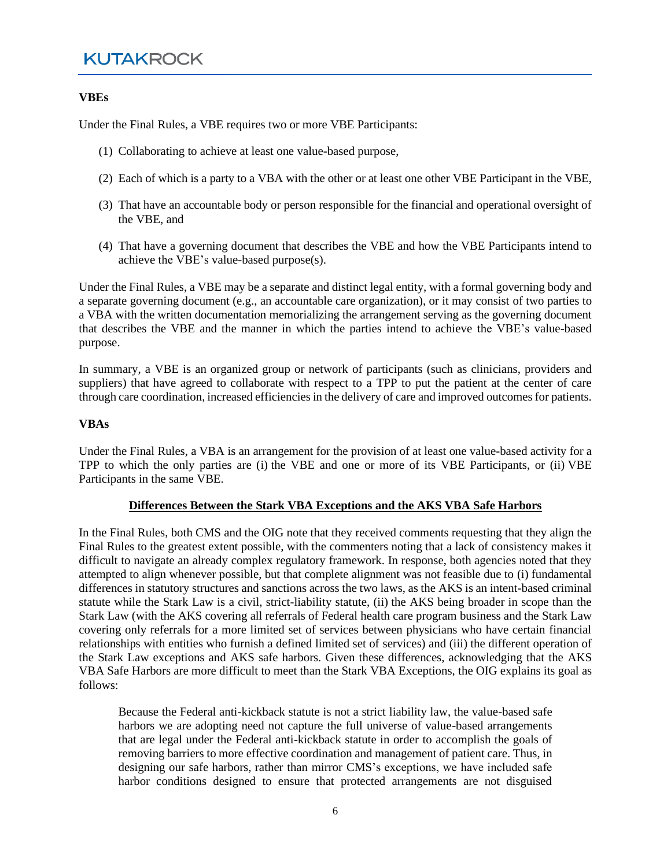#### **VBEs**

Under the Final Rules, a VBE requires two or more VBE Participants:

- (1) Collaborating to achieve at least one value-based purpose,
- (2) Each of which is a party to a VBA with the other or at least one other VBE Participant in the VBE,
- (3) That have an accountable body or person responsible for the financial and operational oversight of the VBE, and
- (4) That have a governing document that describes the VBE and how the VBE Participants intend to achieve the VBE's value-based purpose(s).

Under the Final Rules, a VBE may be a separate and distinct legal entity, with a formal governing body and a separate governing document (e.g., an accountable care organization), or it may consist of two parties to a VBA with the written documentation memorializing the arrangement serving as the governing document that describes the VBE and the manner in which the parties intend to achieve the VBE's value-based purpose.

In summary, a VBE is an organized group or network of participants (such as clinicians, providers and suppliers) that have agreed to collaborate with respect to a TPP to put the patient at the center of care through care coordination, increased efficiencies in the delivery of care and improved outcomes for patients.

#### **VBAs**

Under the Final Rules, a VBA is an arrangement for the provision of at least one value-based activity for a TPP to which the only parties are (i) the VBE and one or more of its VBE Participants, or (ii) VBE Participants in the same VBE.

#### **Differences Between the Stark VBA Exceptions and the AKS VBA Safe Harbors**

In the Final Rules, both CMS and the OIG note that they received comments requesting that they align the Final Rules to the greatest extent possible, with the commenters noting that a lack of consistency makes it difficult to navigate an already complex regulatory framework. In response, both agencies noted that they attempted to align whenever possible, but that complete alignment was not feasible due to (i) fundamental differences in statutory structures and sanctions across the two laws, as the AKS is an intent-based criminal statute while the Stark Law is a civil, strict-liability statute, (ii) the AKS being broader in scope than the Stark Law (with the AKS covering all referrals of Federal health care program business and the Stark Law covering only referrals for a more limited set of services between physicians who have certain financial relationships with entities who furnish a defined limited set of services) and (iii) the different operation of the Stark Law exceptions and AKS safe harbors. Given these differences, acknowledging that the AKS VBA Safe Harbors are more difficult to meet than the Stark VBA Exceptions, the OIG explains its goal as follows:

Because the Federal anti-kickback statute is not a strict liability law, the value-based safe harbors we are adopting need not capture the full universe of value-based arrangements that are legal under the Federal anti-kickback statute in order to accomplish the goals of removing barriers to more effective coordination and management of patient care. Thus, in designing our safe harbors, rather than mirror CMS's exceptions, we have included safe harbor conditions designed to ensure that protected arrangements are not disguised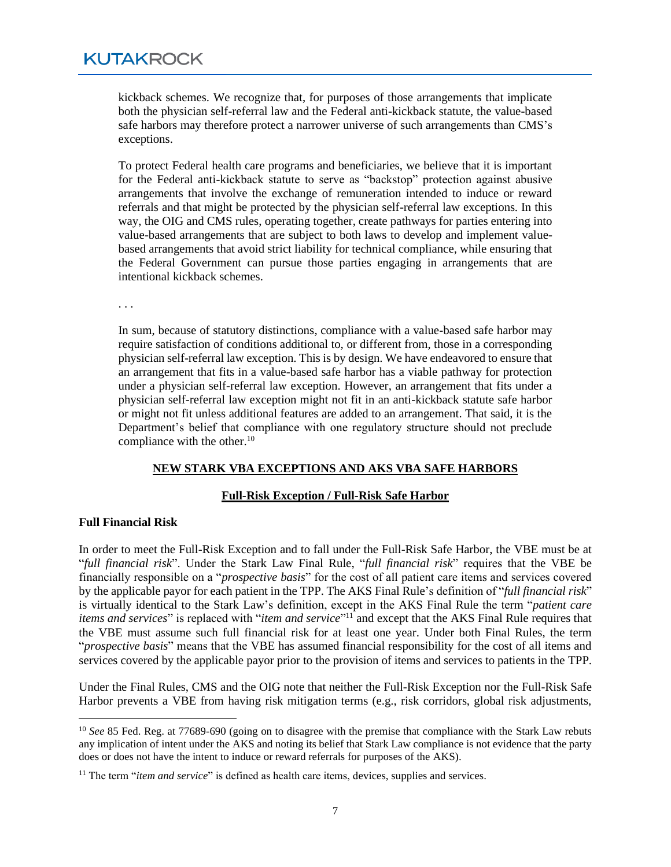kickback schemes. We recognize that, for purposes of those arrangements that implicate both the physician self-referral law and the Federal anti-kickback statute, the value-based safe harbors may therefore protect a narrower universe of such arrangements than CMS's exceptions.

To protect Federal health care programs and beneficiaries, we believe that it is important for the Federal anti-kickback statute to serve as "backstop" protection against abusive arrangements that involve the exchange of remuneration intended to induce or reward referrals and that might be protected by the physician self-referral law exceptions. In this way, the OIG and CMS rules, operating together, create pathways for parties entering into value-based arrangements that are subject to both laws to develop and implement valuebased arrangements that avoid strict liability for technical compliance, while ensuring that the Federal Government can pursue those parties engaging in arrangements that are intentional kickback schemes.

. . .

In sum, because of statutory distinctions, compliance with a value-based safe harbor may require satisfaction of conditions additional to, or different from, those in a corresponding physician self-referral law exception. This is by design. We have endeavored to ensure that an arrangement that fits in a value-based safe harbor has a viable pathway for protection under a physician self-referral law exception. However, an arrangement that fits under a physician self-referral law exception might not fit in an anti-kickback statute safe harbor or might not fit unless additional features are added to an arrangement. That said, it is the Department's belief that compliance with one regulatory structure should not preclude compliance with the other. $10$ 

#### **NEW STARK VBA EXCEPTIONS AND AKS VBA SAFE HARBORS**

#### **Full-Risk Exception / Full-Risk Safe Harbor**

#### **Full Financial Risk**

In order to meet the Full-Risk Exception and to fall under the Full-Risk Safe Harbor, the VBE must be at "*full financial risk*". Under the Stark Law Final Rule, "*full financial risk*" requires that the VBE be financially responsible on a "*prospective basis*" for the cost of all patient care items and services covered by the applicable payor for each patient in the TPP. The AKS Final Rule's definition of "*full financial risk*" is virtually identical to the Stark Law's definition, except in the AKS Final Rule the term "*patient care items and services*" is replaced with "*item and service*" <sup>11</sup> and except that the AKS Final Rule requires that the VBE must assume such full financial risk for at least one year. Under both Final Rules, the term "*prospective basis*" means that the VBE has assumed financial responsibility for the cost of all items and services covered by the applicable payor prior to the provision of items and services to patients in the TPP.

Under the Final Rules, CMS and the OIG note that neither the Full-Risk Exception nor the Full-Risk Safe Harbor prevents a VBE from having risk mitigation terms (e.g., risk corridors, global risk adjustments,

<sup>&</sup>lt;sup>10</sup> *See* 85 Fed. Reg. at 77689-690 (going on to disagree with the premise that compliance with the Stark Law rebuts any implication of intent under the AKS and noting its belief that Stark Law compliance is not evidence that the party does or does not have the intent to induce or reward referrals for purposes of the AKS).

<sup>&</sup>lt;sup>11</sup> The term "*item and service*" is defined as health care items, devices, supplies and services.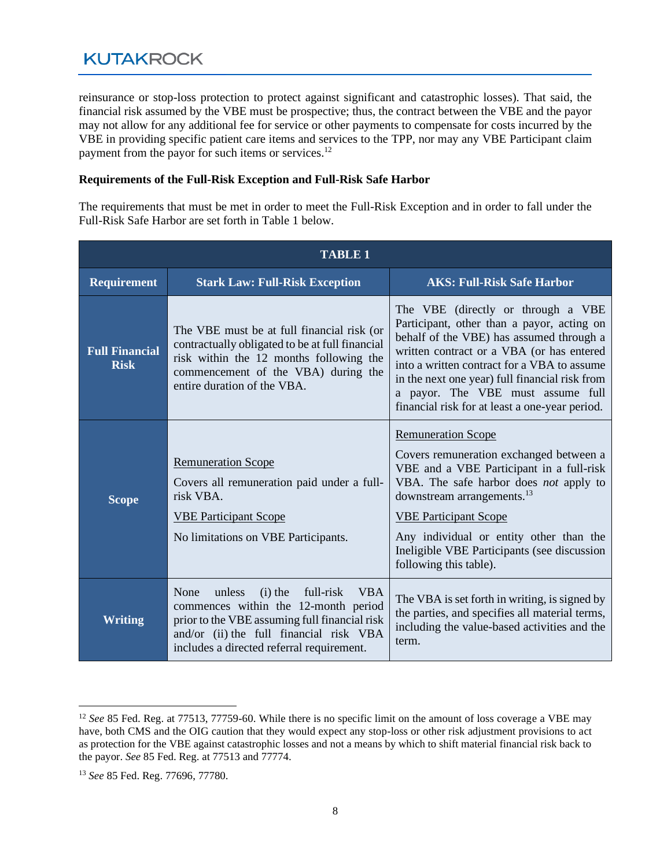reinsurance or stop-loss protection to protect against significant and catastrophic losses). That said, the financial risk assumed by the VBE must be prospective; thus, the contract between the VBE and the payor may not allow for any additional fee for service or other payments to compensate for costs incurred by the VBE in providing specific patient care items and services to the TPP, nor may any VBE Participant claim payment from the payor for such items or services.<sup>12</sup>

#### **Requirements of the Full-Risk Exception and Full-Risk Safe Harbor**

The requirements that must be met in order to meet the Full-Risk Exception and in order to fall under the Full-Risk Safe Harbor are set forth in Table 1 below.

| <b>TABLE 1</b>                       |                                                                                                                                                                                                                                         |                                                                                                                                                                                                                                                                                                                                                                   |
|--------------------------------------|-----------------------------------------------------------------------------------------------------------------------------------------------------------------------------------------------------------------------------------------|-------------------------------------------------------------------------------------------------------------------------------------------------------------------------------------------------------------------------------------------------------------------------------------------------------------------------------------------------------------------|
| <b>Requirement</b>                   | <b>Stark Law: Full-Risk Exception</b>                                                                                                                                                                                                   | <b>AKS: Full-Risk Safe Harbor</b>                                                                                                                                                                                                                                                                                                                                 |
| <b>Full Financial</b><br><b>Risk</b> | The VBE must be at full financial risk (or<br>contractually obligated to be at full financial<br>risk within the 12 months following the<br>commencement of the VBA) during the<br>entire duration of the VBA.                          | The VBE (directly or through a VBE<br>Participant, other than a payor, acting on<br>behalf of the VBE) has assumed through a<br>written contract or a VBA (or has entered<br>into a written contract for a VBA to assume<br>in the next one year) full financial risk from<br>a payor. The VBE must assume full<br>financial risk for at least a one-year period. |
| <b>Scope</b>                         | <b>Remuneration Scope</b><br>Covers all remuneration paid under a full-<br>risk VBA.<br><b>VBE Participant Scope</b><br>No limitations on VBE Participants.                                                                             | <b>Remuneration Scope</b><br>Covers remuneration exchanged between a<br>VBE and a VBE Participant in a full-risk<br>VBA. The safe harbor does not apply to<br>downstream arrangements. <sup>13</sup><br><b>VBE Participant Scope</b><br>Any individual or entity other than the<br>Ineligible VBE Participants (see discussion<br>following this table).          |
| <b>Writing</b>                       | None<br>unless<br>full-risk<br>$(i)$ the<br><b>VBA</b><br>commences within the 12-month period<br>prior to the VBE assuming full financial risk<br>and/or (ii) the full financial risk VBA<br>includes a directed referral requirement. | The VBA is set forth in writing, is signed by<br>the parties, and specifies all material terms,<br>including the value-based activities and the<br>term.                                                                                                                                                                                                          |

<sup>&</sup>lt;sup>12</sup> *See* 85 Fed. Reg. at 77513, 77759-60. While there is no specific limit on the amount of loss coverage a VBE may have, both CMS and the OIG caution that they would expect any stop-loss or other risk adjustment provisions to act as protection for the VBE against catastrophic losses and not a means by which to shift material financial risk back to the payor. *See* 85 Fed. Reg. at 77513 and 77774.

<sup>13</sup> *See* 85 Fed. Reg. 77696, 77780.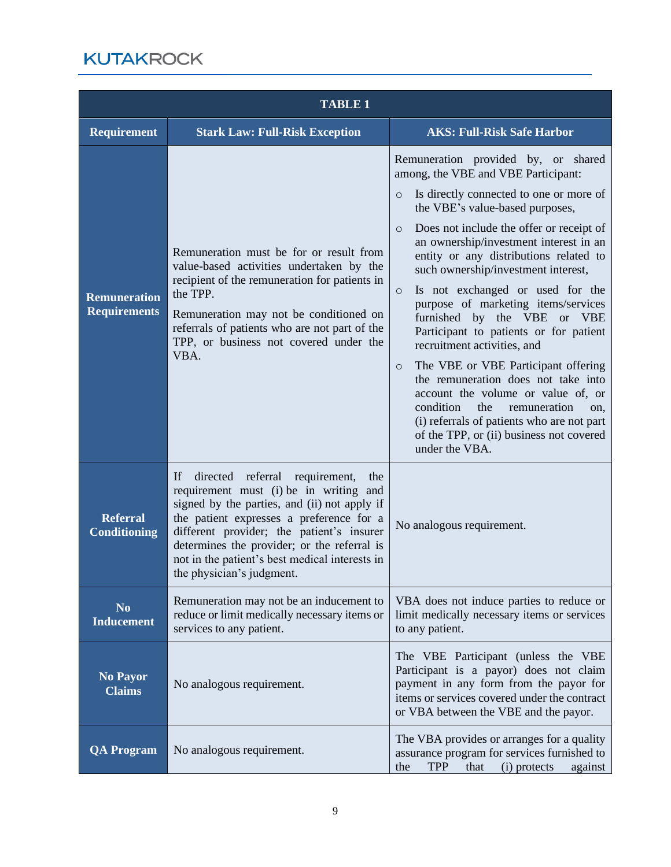| <b>TABLE 1</b>                             |                                                                                                                                                                                                                                                                                                                                                              |                                                                                                                                                                                                                                                                                                                                                                                                                                                                                                                                                                                                                                                                                                                                                                                                                                           |
|--------------------------------------------|--------------------------------------------------------------------------------------------------------------------------------------------------------------------------------------------------------------------------------------------------------------------------------------------------------------------------------------------------------------|-------------------------------------------------------------------------------------------------------------------------------------------------------------------------------------------------------------------------------------------------------------------------------------------------------------------------------------------------------------------------------------------------------------------------------------------------------------------------------------------------------------------------------------------------------------------------------------------------------------------------------------------------------------------------------------------------------------------------------------------------------------------------------------------------------------------------------------------|
| <b>Requirement</b>                         | <b>Stark Law: Full-Risk Exception</b>                                                                                                                                                                                                                                                                                                                        | <b>AKS: Full-Risk Safe Harbor</b>                                                                                                                                                                                                                                                                                                                                                                                                                                                                                                                                                                                                                                                                                                                                                                                                         |
| <b>Remuneration</b><br><b>Requirements</b> | Remuneration must be for or result from<br>value-based activities undertaken by the<br>recipient of the remuneration for patients in<br>the TPP.<br>Remuneration may not be conditioned on<br>referrals of patients who are not part of the<br>TPP, or business not covered under the<br>VBA.                                                                | Remuneration provided by, or shared<br>among, the VBE and VBE Participant:<br>Is directly connected to one or more of<br>$\circ$<br>the VBE's value-based purposes,<br>Does not include the offer or receipt of<br>$\circ$<br>an ownership/investment interest in an<br>entity or any distributions related to<br>such ownership/investment interest,<br>Is not exchanged or used for the<br>$\circ$<br>purpose of marketing items/services<br>furnished by the VBE or VBE<br>Participant to patients or for patient<br>recruitment activities, and<br>The VBE or VBE Participant offering<br>$\circ$<br>the remuneration does not take into<br>account the volume or value of, or<br>condition<br>remuneration<br>the<br>on.<br>(i) referrals of patients who are not part<br>of the TPP, or (ii) business not covered<br>under the VBA. |
| <b>Referral</b><br><b>Conditioning</b>     | If directed referral<br>requirement,<br>the<br>requirement must (i) be in writing and<br>signed by the parties, and (ii) not apply if<br>the patient expresses a preference for a<br>different provider; the patient's insurer<br>determines the provider; or the referral is<br>not in the patient's best medical interests in<br>the physician's judgment. | No analogous requirement.                                                                                                                                                                                                                                                                                                                                                                                                                                                                                                                                                                                                                                                                                                                                                                                                                 |
| N <sub>0</sub><br><b>Inducement</b>        | Remuneration may not be an inducement to<br>reduce or limit medically necessary items or<br>services to any patient.                                                                                                                                                                                                                                         | VBA does not induce parties to reduce or<br>limit medically necessary items or services<br>to any patient.                                                                                                                                                                                                                                                                                                                                                                                                                                                                                                                                                                                                                                                                                                                                |
| <b>No Payor</b><br><b>Claims</b>           | No analogous requirement.                                                                                                                                                                                                                                                                                                                                    | The VBE Participant (unless the VBE<br>Participant is a payor) does not claim<br>payment in any form from the payor for<br>items or services covered under the contract<br>or VBA between the VBE and the payor.                                                                                                                                                                                                                                                                                                                                                                                                                                                                                                                                                                                                                          |
| <b>QA Program</b>                          | No analogous requirement.                                                                                                                                                                                                                                                                                                                                    | The VBA provides or arranges for a quality<br>assurance program for services furnished to<br>TPP<br>that<br>(i) protects<br>the<br>against                                                                                                                                                                                                                                                                                                                                                                                                                                                                                                                                                                                                                                                                                                |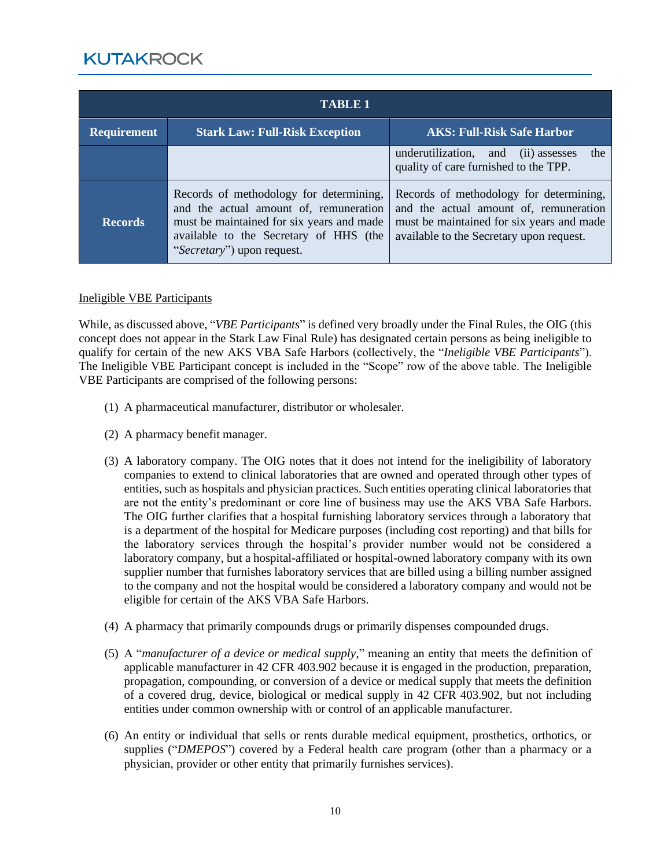| <b>TABLE 1</b>     |                                                                                                                                                                                                        |                                                                                                                                                                            |
|--------------------|--------------------------------------------------------------------------------------------------------------------------------------------------------------------------------------------------------|----------------------------------------------------------------------------------------------------------------------------------------------------------------------------|
| <b>Requirement</b> | <b>Stark Law: Full-Risk Exception</b>                                                                                                                                                                  | <b>AKS: Full-Risk Safe Harbor</b>                                                                                                                                          |
|                    |                                                                                                                                                                                                        | the<br>underutilization, and (ii) assesses<br>quality of care furnished to the TPP.                                                                                        |
| <b>Records</b>     | Records of methodology for determining,<br>and the actual amount of, remuneration<br>must be maintained for six years and made<br>available to the Secretary of HHS (the<br>"Secretary") upon request. | Records of methodology for determining,<br>and the actual amount of, remuneration<br>must be maintained for six years and made<br>available to the Secretary upon request. |

#### Ineligible VBE Participants

While, as discussed above, "*VBE Participants*" is defined very broadly under the Final Rules, the OIG (this concept does not appear in the Stark Law Final Rule) has designated certain persons as being ineligible to qualify for certain of the new AKS VBA Safe Harbors (collectively, the "*Ineligible VBE Participants*"). The Ineligible VBE Participant concept is included in the "Scope" row of the above table. The Ineligible VBE Participants are comprised of the following persons:

- (1) A pharmaceutical manufacturer, distributor or wholesaler.
- (2) A pharmacy benefit manager.
- (3) A laboratory company. The OIG notes that it does not intend for the ineligibility of laboratory companies to extend to clinical laboratories that are owned and operated through other types of entities, such as hospitals and physician practices. Such entities operating clinical laboratories that are not the entity's predominant or core line of business may use the AKS VBA Safe Harbors. The OIG further clarifies that a hospital furnishing laboratory services through a laboratory that is a department of the hospital for Medicare purposes (including cost reporting) and that bills for the laboratory services through the hospital's provider number would not be considered a laboratory company, but a hospital-affiliated or hospital-owned laboratory company with its own supplier number that furnishes laboratory services that are billed using a billing number assigned to the company and not the hospital would be considered a laboratory company and would not be eligible for certain of the AKS VBA Safe Harbors.
- (4) A pharmacy that primarily compounds drugs or primarily dispenses compounded drugs.
- (5) A "*manufacturer of a device or medical supply*," meaning an entity that meets the definition of applicable manufacturer in 42 CFR 403.902 because it is engaged in the production, preparation, propagation, compounding, or conversion of a device or medical supply that meets the definition of a covered drug, device, biological or medical supply in 42 CFR 403.902, but not including entities under common ownership with or control of an applicable manufacturer.
- (6) An entity or individual that sells or rents durable medical equipment, prosthetics, orthotics, or supplies ("*DMEPOS*") covered by a Federal health care program (other than a pharmacy or a physician, provider or other entity that primarily furnishes services).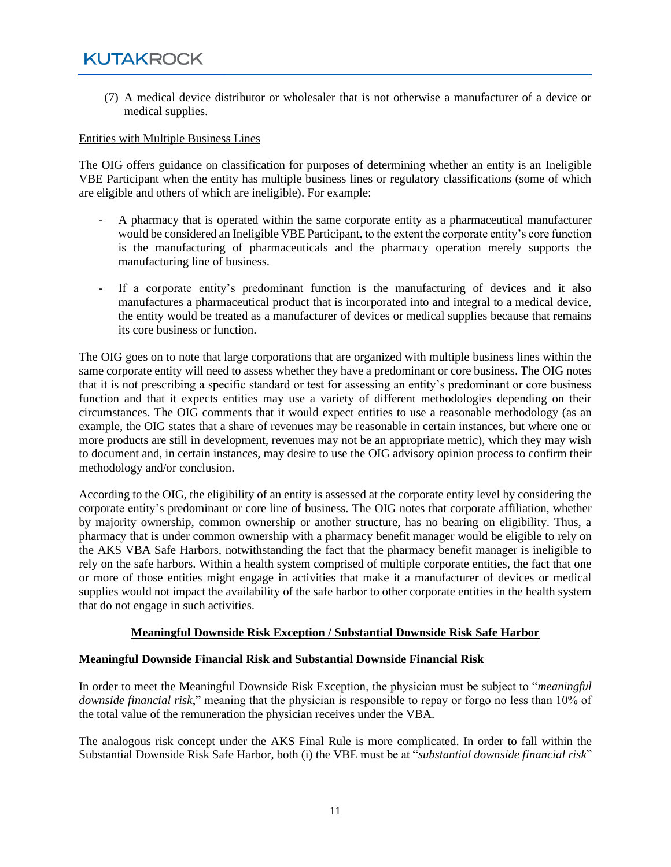(7) A medical device distributor or wholesaler that is not otherwise a manufacturer of a device or medical supplies.

#### Entities with Multiple Business Lines

The OIG offers guidance on classification for purposes of determining whether an entity is an Ineligible VBE Participant when the entity has multiple business lines or regulatory classifications (some of which are eligible and others of which are ineligible). For example:

- A pharmacy that is operated within the same corporate entity as a pharmaceutical manufacturer would be considered an Ineligible VBE Participant, to the extent the corporate entity's core function is the manufacturing of pharmaceuticals and the pharmacy operation merely supports the manufacturing line of business.
- If a corporate entity's predominant function is the manufacturing of devices and it also manufactures a pharmaceutical product that is incorporated into and integral to a medical device, the entity would be treated as a manufacturer of devices or medical supplies because that remains its core business or function.

The OIG goes on to note that large corporations that are organized with multiple business lines within the same corporate entity will need to assess whether they have a predominant or core business. The OIG notes that it is not prescribing a specific standard or test for assessing an entity's predominant or core business function and that it expects entities may use a variety of different methodologies depending on their circumstances. The OIG comments that it would expect entities to use a reasonable methodology (as an example, the OIG states that a share of revenues may be reasonable in certain instances, but where one or more products are still in development, revenues may not be an appropriate metric), which they may wish to document and, in certain instances, may desire to use the OIG advisory opinion process to confirm their methodology and/or conclusion.

According to the OIG, the eligibility of an entity is assessed at the corporate entity level by considering the corporate entity's predominant or core line of business. The OIG notes that corporate affiliation, whether by majority ownership, common ownership or another structure, has no bearing on eligibility. Thus, a pharmacy that is under common ownership with a pharmacy benefit manager would be eligible to rely on the AKS VBA Safe Harbors, notwithstanding the fact that the pharmacy benefit manager is ineligible to rely on the safe harbors. Within a health system comprised of multiple corporate entities, the fact that one or more of those entities might engage in activities that make it a manufacturer of devices or medical supplies would not impact the availability of the safe harbor to other corporate entities in the health system that do not engage in such activities.

#### **Meaningful Downside Risk Exception / Substantial Downside Risk Safe Harbor**

#### **Meaningful Downside Financial Risk and Substantial Downside Financial Risk**

In order to meet the Meaningful Downside Risk Exception, the physician must be subject to "*meaningful downside financial risk*," meaning that the physician is responsible to repay or forgo no less than 10% of the total value of the remuneration the physician receives under the VBA.

The analogous risk concept under the AKS Final Rule is more complicated. In order to fall within the Substantial Downside Risk Safe Harbor, both (i) the VBE must be at "*substantial downside financial risk*"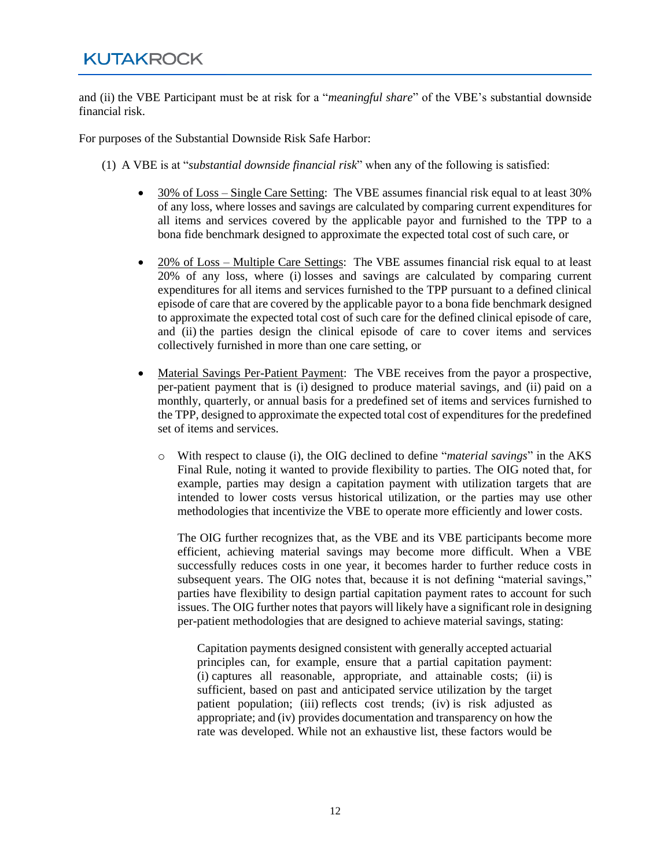and (ii) the VBE Participant must be at risk for a "*meaningful share*" of the VBE's substantial downside financial risk.

For purposes of the Substantial Downside Risk Safe Harbor:

- (1) A VBE is at "*substantial downside financial risk*" when any of the following is satisfied:
	- 30% of Loss Single Care Setting: The VBE assumes financial risk equal to at least 30% of any loss, where losses and savings are calculated by comparing current expenditures for all items and services covered by the applicable payor and furnished to the TPP to a bona fide benchmark designed to approximate the expected total cost of such care, or
	- 20% of Loss Multiple Care Settings: The VBE assumes financial risk equal to at least 20% of any loss, where (i) losses and savings are calculated by comparing current expenditures for all items and services furnished to the TPP pursuant to a defined clinical episode of care that are covered by the applicable payor to a bona fide benchmark designed to approximate the expected total cost of such care for the defined clinical episode of care, and (ii) the parties design the clinical episode of care to cover items and services collectively furnished in more than one care setting, or
	- Material Savings Per-Patient Payment: The VBE receives from the payor a prospective, per-patient payment that is (i) designed to produce material savings, and (ii) paid on a monthly, quarterly, or annual basis for a predefined set of items and services furnished to the TPP, designed to approximate the expected total cost of expenditures for the predefined set of items and services.
		- o With respect to clause (i), the OIG declined to define "*material savings*" in the AKS Final Rule, noting it wanted to provide flexibility to parties. The OIG noted that, for example, parties may design a capitation payment with utilization targets that are intended to lower costs versus historical utilization, or the parties may use other methodologies that incentivize the VBE to operate more efficiently and lower costs.

The OIG further recognizes that, as the VBE and its VBE participants become more efficient, achieving material savings may become more difficult. When a VBE successfully reduces costs in one year, it becomes harder to further reduce costs in subsequent years. The OIG notes that, because it is not defining "material savings," parties have flexibility to design partial capitation payment rates to account for such issues. The OIG further notes that payors will likely have a significant role in designing per-patient methodologies that are designed to achieve material savings, stating:

Capitation payments designed consistent with generally accepted actuarial principles can, for example, ensure that a partial capitation payment: (i) captures all reasonable, appropriate, and attainable costs; (ii) is sufficient, based on past and anticipated service utilization by the target patient population; (iii) reflects cost trends; (iv) is risk adjusted as appropriate; and (iv) provides documentation and transparency on how the rate was developed. While not an exhaustive list, these factors would be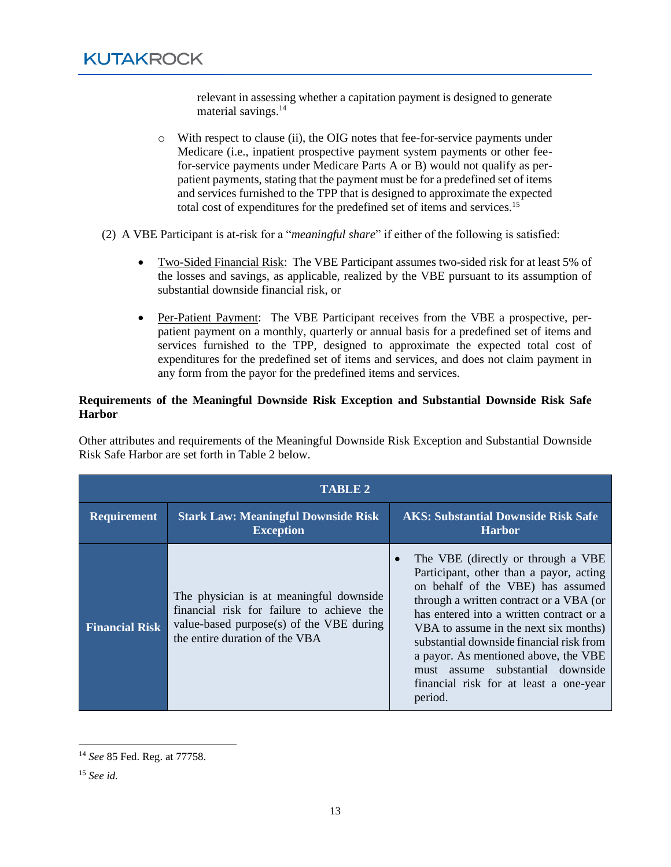relevant in assessing whether a capitation payment is designed to generate material savings.<sup>14</sup>

- o With respect to clause (ii), the OIG notes that fee-for-service payments under Medicare (i.e., inpatient prospective payment system payments or other feefor-service payments under Medicare Parts A or B) would not qualify as perpatient payments, stating that the payment must be for a predefined set of items and services furnished to the TPP that is designed to approximate the expected total cost of expenditures for the predefined set of items and services.<sup>15</sup>
- (2) A VBE Participant is at-risk for a "*meaningful share*" if either of the following is satisfied:
	- Two-Sided Financial Risk: The VBE Participant assumes two-sided risk for at least 5% of the losses and savings, as applicable, realized by the VBE pursuant to its assumption of substantial downside financial risk, or
	- Per-Patient Payment: The VBE Participant receives from the VBE a prospective, perpatient payment on a monthly, quarterly or annual basis for a predefined set of items and services furnished to the TPP, designed to approximate the expected total cost of expenditures for the predefined set of items and services, and does not claim payment in any form from the payor for the predefined items and services.

#### **Requirements of the Meaningful Downside Risk Exception and Substantial Downside Risk Safe Harbor**

Other attributes and requirements of the Meaningful Downside Risk Exception and Substantial Downside Risk Safe Harbor are set forth in Table 2 below.

| <b>TABLE 2</b>        |                                                                                                                                                                     |                                                                                                                                                                                                                                                                                                                                                                                                                                  |
|-----------------------|---------------------------------------------------------------------------------------------------------------------------------------------------------------------|----------------------------------------------------------------------------------------------------------------------------------------------------------------------------------------------------------------------------------------------------------------------------------------------------------------------------------------------------------------------------------------------------------------------------------|
| <b>Requirement</b>    | <b>Stark Law: Meaningful Downside Risk</b><br><b>Exception</b>                                                                                                      | <b>AKS: Substantial Downside Risk Safe</b><br><b>Harbor</b>                                                                                                                                                                                                                                                                                                                                                                      |
| <b>Financial Risk</b> | The physician is at meaningful downside.<br>financial risk for failure to achieve the<br>value-based purpose(s) of the VBE during<br>the entire duration of the VBA | The VBE (directly or through a VBE)<br>Participant, other than a payor, acting<br>on behalf of the VBE) has assumed<br>through a written contract or a VBA (or<br>has entered into a written contract or a<br>VBA to assume in the next six months)<br>substantial downside financial risk from<br>a payor. As mentioned above, the VBE<br>must assume substantial downside<br>financial risk for at least a one-year<br>period. |

<sup>14</sup> *See* 85 Fed. Reg. at 77758.

<sup>15</sup> *See id.*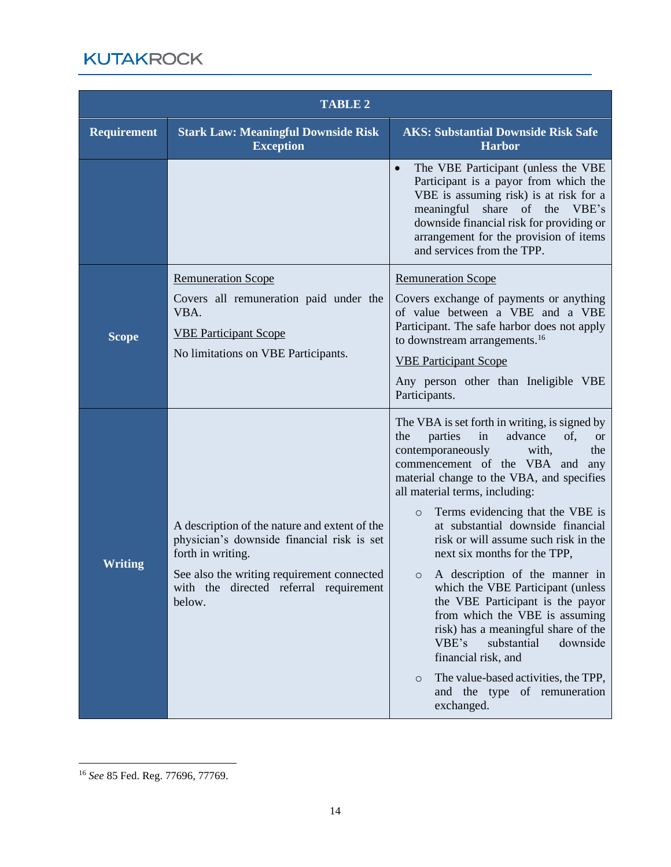| <b>TABLE 2</b>     |                                                                                                                                                                                                                    |                                                                                                                                                                                                                                                                                                                                                                                                                                                                                                                                                                                                                                                                                                                                                                                       |
|--------------------|--------------------------------------------------------------------------------------------------------------------------------------------------------------------------------------------------------------------|---------------------------------------------------------------------------------------------------------------------------------------------------------------------------------------------------------------------------------------------------------------------------------------------------------------------------------------------------------------------------------------------------------------------------------------------------------------------------------------------------------------------------------------------------------------------------------------------------------------------------------------------------------------------------------------------------------------------------------------------------------------------------------------|
| <b>Requirement</b> | <b>Stark Law: Meaningful Downside Risk</b><br><b>Exception</b>                                                                                                                                                     | <b>AKS: Substantial Downside Risk Safe</b><br><b>Harbor</b>                                                                                                                                                                                                                                                                                                                                                                                                                                                                                                                                                                                                                                                                                                                           |
|                    |                                                                                                                                                                                                                    | The VBE Participant (unless the VBE<br>$\bullet$<br>Participant is a payor from which the<br>VBE is assuming risk) is at risk for a<br>meaningful<br>share of the<br>VBE's<br>downside financial risk for providing or<br>arrangement for the provision of items<br>and services from the TPP.                                                                                                                                                                                                                                                                                                                                                                                                                                                                                        |
| <b>Scope</b>       | <b>Remuneration Scope</b><br>Covers all remuneration paid under the<br>VBA.<br><b>VBE Participant Scope</b><br>No limitations on VBE Participants.                                                                 | <b>Remuneration Scope</b><br>Covers exchange of payments or anything<br>of value between a VBE and a VBE<br>Participant. The safe harbor does not apply<br>to downstream arrangements. <sup>16</sup><br><b>VBE Participant Scope</b><br>Any person other than Ineligible VBE<br>Participants.                                                                                                                                                                                                                                                                                                                                                                                                                                                                                         |
| <b>Writing</b>     | A description of the nature and extent of the<br>physician's downside financial risk is set<br>forth in writing.<br>See also the writing requirement connected<br>with the directed referral requirement<br>below. | The VBA is set forth in writing, is signed by<br>parties<br>advance<br>in<br>of.<br>the<br><b>or</b><br>contemporaneously<br>with,<br>the<br>commencement of the VBA and<br>any<br>material change to the VBA, and specifies<br>all material terms, including:<br>Terms evidencing that the VBE is<br>$\circ$<br>at substantial downside financial<br>risk or will assume such risk in the<br>next six months for the TPP,<br>A description of the manner in<br>$\circ$<br>which the VBE Participant (unless<br>the VBE Participant is the payor<br>from which the VBE is assuming<br>risk) has a meaningful share of the<br>VBE's<br>substantial<br>downside<br>financial risk, and<br>The value-based activities, the TPP,<br>$\circ$<br>and the type of remuneration<br>exchanged. |

<sup>16</sup> *See* 85 Fed. Reg. 77696, 77769.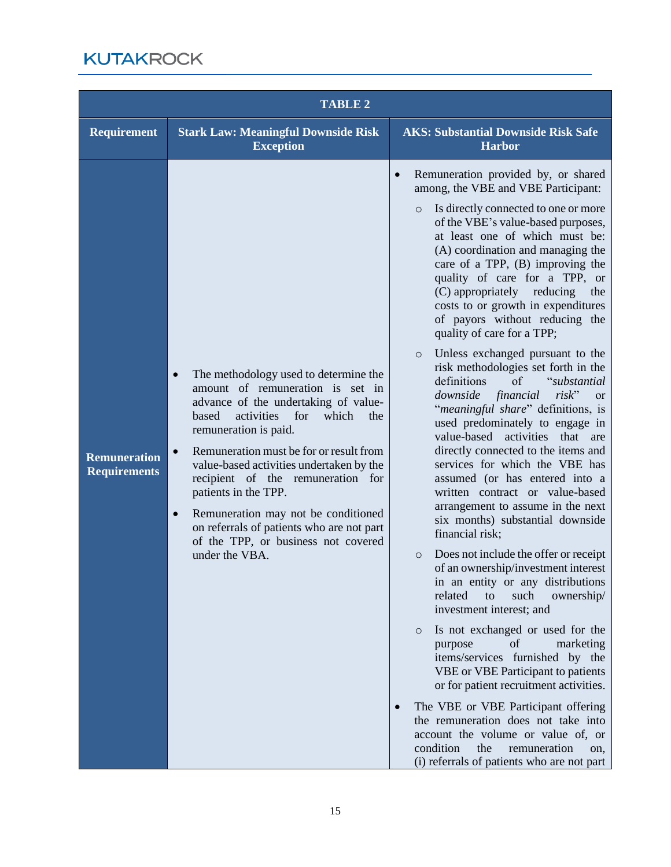|                                            | <b>TABLE 2</b>                                                                                                                                                                                                                                                                                                                                                                                                                                                                                                                   |                                                                                                                                                                                                                                                                                                                                                                                                                                                                                                                                                                                                                                                                                                                                                                                                                                                                                                                                                                                                                                                                                                                                                                                                                                                                                                                                                                                                                                                                                                                                                                                                                                  |
|--------------------------------------------|----------------------------------------------------------------------------------------------------------------------------------------------------------------------------------------------------------------------------------------------------------------------------------------------------------------------------------------------------------------------------------------------------------------------------------------------------------------------------------------------------------------------------------|----------------------------------------------------------------------------------------------------------------------------------------------------------------------------------------------------------------------------------------------------------------------------------------------------------------------------------------------------------------------------------------------------------------------------------------------------------------------------------------------------------------------------------------------------------------------------------------------------------------------------------------------------------------------------------------------------------------------------------------------------------------------------------------------------------------------------------------------------------------------------------------------------------------------------------------------------------------------------------------------------------------------------------------------------------------------------------------------------------------------------------------------------------------------------------------------------------------------------------------------------------------------------------------------------------------------------------------------------------------------------------------------------------------------------------------------------------------------------------------------------------------------------------------------------------------------------------------------------------------------------------|
| <b>Requirement</b>                         | <b>Stark Law: Meaningful Downside Risk</b><br><b>Exception</b>                                                                                                                                                                                                                                                                                                                                                                                                                                                                   | <b>AKS: Substantial Downside Risk Safe</b><br><b>Harbor</b>                                                                                                                                                                                                                                                                                                                                                                                                                                                                                                                                                                                                                                                                                                                                                                                                                                                                                                                                                                                                                                                                                                                                                                                                                                                                                                                                                                                                                                                                                                                                                                      |
| <b>Remuneration</b><br><b>Requirements</b> | The methodology used to determine the<br>$\bullet$<br>amount of remuneration is set in<br>advance of the undertaking of value-<br>activities<br>which<br>based<br>for<br>the<br>remuneration is paid.<br>Remuneration must be for or result from<br>$\bullet$<br>value-based activities undertaken by the<br>recipient of the remuneration for<br>patients in the TPP.<br>Remuneration may not be conditioned<br>$\bullet$<br>on referrals of patients who are not part<br>of the TPP, or business not covered<br>under the VBA. | Remuneration provided by, or shared<br>$\bullet$<br>among, the VBE and VBE Participant:<br>Is directly connected to one or more<br>$\circ$<br>of the VBE's value-based purposes,<br>at least one of which must be:<br>(A) coordination and managing the<br>care of a TPP, (B) improving the<br>quality of care for a TPP, or<br>(C) appropriately reducing<br>the<br>costs to or growth in expenditures<br>of payors without reducing the<br>quality of care for a TPP;<br>Unless exchanged pursuant to the<br>$\circ$<br>risk methodologies set forth in the<br>definitions<br>of<br>"substantial<br>financial<br>$risk$ "<br>downside<br><b>or</b><br>"meaningful share" definitions, is<br>used predominately to engage in<br>value-based activities<br>that<br>are<br>directly connected to the items and<br>services for which the VBE has<br>assumed (or has entered into a<br>written contract or value-based<br>arrangement to assume in the next<br>six months) substantial downside<br>financial risk;<br>Does not include the offer or receipt<br>$\circ$<br>of an ownership/investment interest<br>in an entity or any distributions<br>related<br>such<br>ownership/<br>to<br>investment interest; and<br>Is not exchanged or used for the<br>$\circ$<br>of<br>purpose<br>marketing<br>items/services furnished by the<br>VBE or VBE Participant to patients<br>or for patient recruitment activities.<br>The VBE or VBE Participant offering<br>the remuneration does not take into<br>account the volume or value of, or<br>condition<br>the<br>remuneration<br>on.<br>(i) referrals of patients who are not part |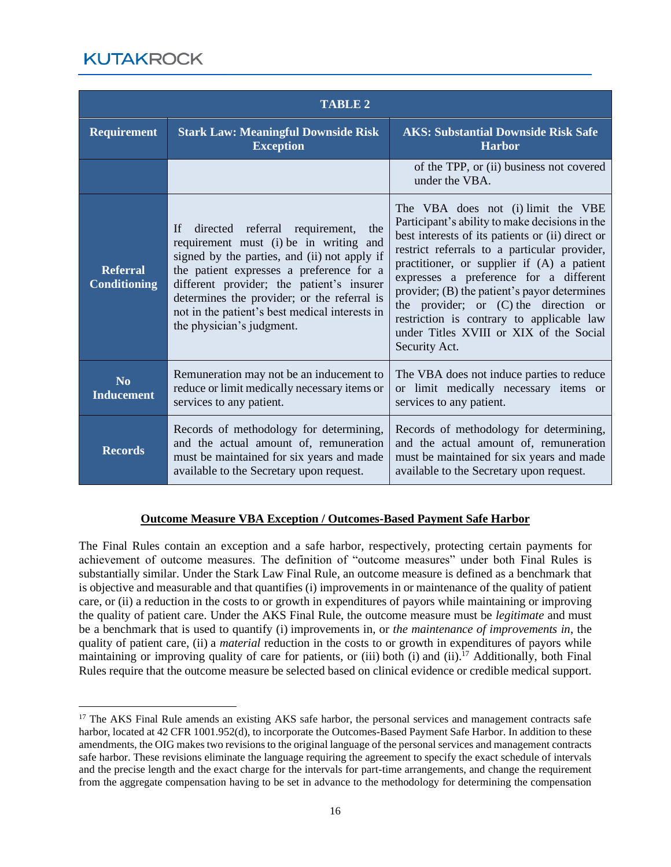| <b>TABLE 2</b>                         |                                                                                                                                                                                                                                                                                                                                                              |                                                                                                                                                                                                                                                                                                                                                                                                                                                                                      |
|----------------------------------------|--------------------------------------------------------------------------------------------------------------------------------------------------------------------------------------------------------------------------------------------------------------------------------------------------------------------------------------------------------------|--------------------------------------------------------------------------------------------------------------------------------------------------------------------------------------------------------------------------------------------------------------------------------------------------------------------------------------------------------------------------------------------------------------------------------------------------------------------------------------|
| <b>Requirement</b>                     | <b>Stark Law: Meaningful Downside Risk</b><br><b>Exception</b>                                                                                                                                                                                                                                                                                               | <b>AKS: Substantial Downside Risk Safe</b><br><b>Harbor</b>                                                                                                                                                                                                                                                                                                                                                                                                                          |
|                                        |                                                                                                                                                                                                                                                                                                                                                              | of the TPP, or (ii) business not covered<br>under the VBA.                                                                                                                                                                                                                                                                                                                                                                                                                           |
| <b>Referral</b><br><b>Conditioning</b> | directed referral requirement,<br>If<br>the<br>requirement must (i) be in writing and<br>signed by the parties, and (ii) not apply if<br>the patient expresses a preference for a<br>different provider; the patient's insurer<br>determines the provider; or the referral is<br>not in the patient's best medical interests in<br>the physician's judgment. | The VBA does not (i) limit the VBE<br>Participant's ability to make decisions in the<br>best interests of its patients or (ii) direct or<br>restrict referrals to a particular provider,<br>practitioner, or supplier if (A) a patient<br>expresses a preference for a different<br>provider; (B) the patient's payor determines<br>the provider; or $(C)$ the direction or<br>restriction is contrary to applicable law<br>under Titles XVIII or XIX of the Social<br>Security Act. |
| N <sub>0</sub><br><b>Inducement</b>    | Remuneration may not be an inducement to<br>reduce or limit medically necessary items or<br>services to any patient.                                                                                                                                                                                                                                         | The VBA does not induce parties to reduce<br>or limit medically necessary items or<br>services to any patient.                                                                                                                                                                                                                                                                                                                                                                       |
| <b>Records</b>                         | Records of methodology for determining,<br>and the actual amount of, remuneration<br>must be maintained for six years and made<br>available to the Secretary upon request.                                                                                                                                                                                   | Records of methodology for determining,<br>and the actual amount of, remuneration<br>must be maintained for six years and made<br>available to the Secretary upon request.                                                                                                                                                                                                                                                                                                           |

#### **Outcome Measure VBA Exception / Outcomes-Based Payment Safe Harbor**

The Final Rules contain an exception and a safe harbor, respectively, protecting certain payments for achievement of outcome measures. The definition of "outcome measures" under both Final Rules is substantially similar. Under the Stark Law Final Rule, an outcome measure is defined as a benchmark that is objective and measurable and that quantifies (i) improvements in or maintenance of the quality of patient care, or (ii) a reduction in the costs to or growth in expenditures of payors while maintaining or improving the quality of patient care. Under the AKS Final Rule, the outcome measure must be *legitimate* and must be a benchmark that is used to quantify (i) improvements in, or *the maintenance of improvements in*, the quality of patient care, (ii) a *material* reduction in the costs to or growth in expenditures of payors while maintaining or improving quality of care for patients, or (iii) both (i) and (ii).<sup>17</sup> Additionally, both Final Rules require that the outcome measure be selected based on clinical evidence or credible medical support.

<sup>&</sup>lt;sup>17</sup> The AKS Final Rule amends an existing AKS safe harbor, the personal services and management contracts safe harbor, located at 42 CFR 1001.952(d), to incorporate the Outcomes-Based Payment Safe Harbor. In addition to these amendments, the OIG makes two revisions to the original language of the personal services and management contracts safe harbor. These revisions eliminate the language requiring the agreement to specify the exact schedule of intervals and the precise length and the exact charge for the intervals for part-time arrangements, and change the requirement from the aggregate compensation having to be set in advance to the methodology for determining the compensation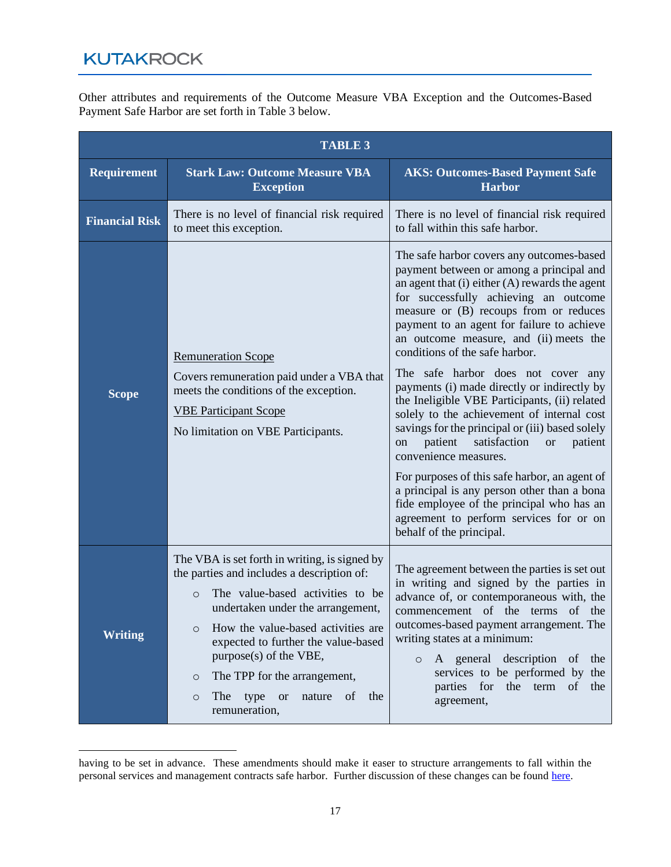Other attributes and requirements of the Outcome Measure VBA Exception and the Outcomes-Based Payment Safe Harbor are set forth in Table 3 below.

| <b>TABLE 3</b>        |                                                                                                                                                                                                                                                                                                                                                                                                                       |                                                                                                                                                                                                                                                                                                                                                                                                                                                                                                                                                                                                                                                                                                                                                                                                                                                                                                       |
|-----------------------|-----------------------------------------------------------------------------------------------------------------------------------------------------------------------------------------------------------------------------------------------------------------------------------------------------------------------------------------------------------------------------------------------------------------------|-------------------------------------------------------------------------------------------------------------------------------------------------------------------------------------------------------------------------------------------------------------------------------------------------------------------------------------------------------------------------------------------------------------------------------------------------------------------------------------------------------------------------------------------------------------------------------------------------------------------------------------------------------------------------------------------------------------------------------------------------------------------------------------------------------------------------------------------------------------------------------------------------------|
| <b>Requirement</b>    | <b>Stark Law: Outcome Measure VBA</b><br><b>Exception</b>                                                                                                                                                                                                                                                                                                                                                             | <b>AKS: Outcomes-Based Payment Safe</b><br><b>Harbor</b>                                                                                                                                                                                                                                                                                                                                                                                                                                                                                                                                                                                                                                                                                                                                                                                                                                              |
| <b>Financial Risk</b> | There is no level of financial risk required<br>to meet this exception.                                                                                                                                                                                                                                                                                                                                               | There is no level of financial risk required<br>to fall within this safe harbor.                                                                                                                                                                                                                                                                                                                                                                                                                                                                                                                                                                                                                                                                                                                                                                                                                      |
| <b>Scope</b>          | <b>Remuneration Scope</b><br>Covers remuneration paid under a VBA that<br>meets the conditions of the exception.<br><b>VBE Participant Scope</b><br>No limitation on VBE Participants.                                                                                                                                                                                                                                | The safe harbor covers any outcomes-based<br>payment between or among a principal and<br>an agent that $(i)$ either $(A)$ rewards the agent<br>for successfully achieving an outcome<br>measure or (B) recoups from or reduces<br>payment to an agent for failure to achieve<br>an outcome measure, and (ii) meets the<br>conditions of the safe harbor.<br>The safe harbor does not cover any<br>payments (i) made directly or indirectly by<br>the Ineligible VBE Participants, (ii) related<br>solely to the achievement of internal cost<br>savings for the principal or (iii) based solely<br>patient<br>satisfaction<br>patient<br><b>or</b><br>on<br>convenience measures.<br>For purposes of this safe harbor, an agent of<br>a principal is any person other than a bona<br>fide employee of the principal who has an<br>agreement to perform services for or on<br>behalf of the principal. |
| <b>Writing</b>        | The VBA is set forth in writing, is signed by<br>the parties and includes a description of:<br>The value-based activities to be<br>$\circ$<br>undertaken under the arrangement,<br>How the value-based activities are<br>$\circ$<br>expected to further the value-based<br>purpose(s) of the VBE,<br>The TPP for the arrangement,<br>O<br>type<br>the<br>The<br><b>or</b><br>nature<br>of<br>$\circ$<br>remuneration, | The agreement between the parties is set out<br>in writing and signed by the parties in<br>advance of, or contemporaneous with, the<br>commencement of the terms<br>of the<br>outcomes-based payment arrangement. The<br>writing states at a minimum:<br>A general description<br>$\sigma$<br>the<br>$\circ$<br>services to be performed by the<br>parties for the term<br>of the<br>agreement,                                                                                                                                                                                                                                                                                                                                                                                                                                                                                                       |

having to be set in advance. These amendments should make it easer to structure arrangements to fall within the personal services and management contracts safe harbor. Further discussion of these changes can be found [here.](https://www.kutakrock.com/-/media/files/news-and-publications/publications/2021/01/expanded-availability-aks-safe-harbors.pdf)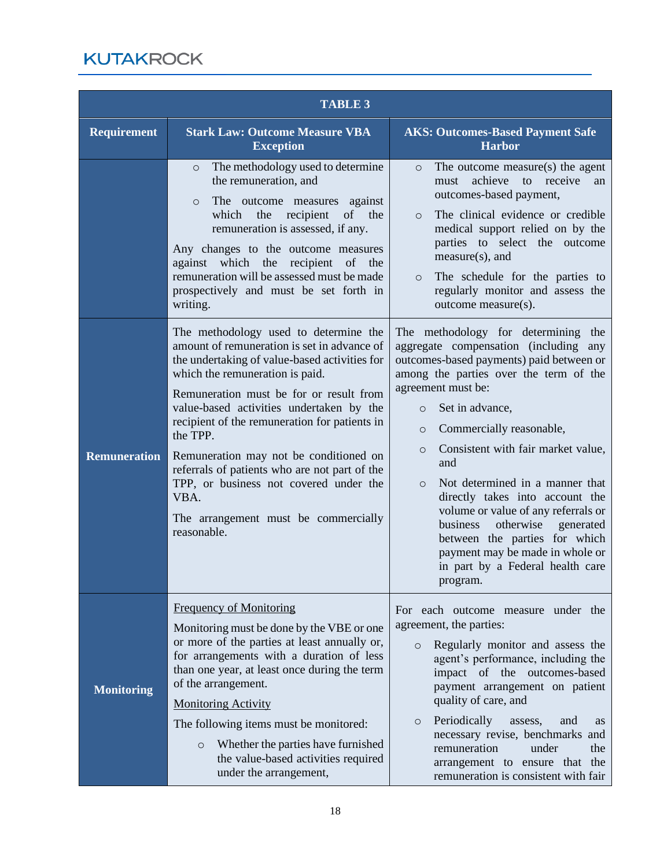| <b>TABLE 3</b>      |                                                                                                                                                                                                                                                                                                                                                                                                                                                                                                                                  |                                                                                                                                                                                                                                                                                                                                                                                                                                                                                                                                                                                                         |
|---------------------|----------------------------------------------------------------------------------------------------------------------------------------------------------------------------------------------------------------------------------------------------------------------------------------------------------------------------------------------------------------------------------------------------------------------------------------------------------------------------------------------------------------------------------|---------------------------------------------------------------------------------------------------------------------------------------------------------------------------------------------------------------------------------------------------------------------------------------------------------------------------------------------------------------------------------------------------------------------------------------------------------------------------------------------------------------------------------------------------------------------------------------------------------|
| <b>Requirement</b>  | <b>Stark Law: Outcome Measure VBA</b><br><b>Exception</b>                                                                                                                                                                                                                                                                                                                                                                                                                                                                        | <b>AKS: Outcomes-Based Payment Safe</b><br><b>Harbor</b>                                                                                                                                                                                                                                                                                                                                                                                                                                                                                                                                                |
|                     | The methodology used to determine<br>$\circ$<br>the remuneration, and<br>against<br>The outcome measures<br>$\circ$<br>recipient<br>of the<br>which<br>the<br>remuneration is assessed, if any.<br>Any changes to the outcome measures<br>against which the recipient<br>of the<br>remuneration will be assessed must be made<br>prospectively and must be set forth in<br>writing.                                                                                                                                              | The outcome measure(s) the agent<br>$\circ$<br>achieve<br>to receive<br>must<br>an<br>outcomes-based payment,<br>The clinical evidence or credible<br>$\circ$<br>medical support relied on by the<br>parties to select the outcome<br>measure(s), and<br>The schedule for the parties to<br>$\circ$<br>regularly monitor and assess the<br>outcome measure(s).                                                                                                                                                                                                                                          |
| <b>Remuneration</b> | The methodology used to determine the<br>amount of remuneration is set in advance of<br>the undertaking of value-based activities for<br>which the remuneration is paid.<br>Remuneration must be for or result from<br>value-based activities undertaken by the<br>recipient of the remuneration for patients in<br>the TPP.<br>Remuneration may not be conditioned on<br>referrals of patients who are not part of the<br>TPP, or business not covered under the<br>VBA.<br>The arrangement must be commercially<br>reasonable. | The methodology for determining<br>the<br>aggregate compensation (including any<br>outcomes-based payments) paid between or<br>among the parties over the term of the<br>agreement must be:<br>Set in advance,<br>$\circ$<br>Commercially reasonable,<br>$\circ$<br>Consistent with fair market value,<br>$\circ$<br>and<br>Not determined in a manner that<br>$\circ$<br>directly takes into account the<br>volume or value of any referrals or<br>otherwise generated<br>business<br>between the parties for which<br>payment may be made in whole or<br>in part by a Federal health care<br>program. |
| <b>Monitoring</b>   | <b>Frequency of Monitoring</b><br>Monitoring must be done by the VBE or one<br>or more of the parties at least annually or,<br>for arrangements with a duration of less<br>than one year, at least once during the term<br>of the arrangement.<br><b>Monitoring Activity</b><br>The following items must be monitored:<br>Whether the parties have furnished<br>$\circ$<br>the value-based activities required<br>under the arrangement,                                                                                         | For each outcome measure under the<br>agreement, the parties:<br>Regularly monitor and assess the<br>$\circ$<br>agent's performance, including the<br>impact of the outcomes-based<br>payment arrangement on patient<br>quality of care, and<br>Periodically<br>assess,<br>and<br>$\circ$<br><b>as</b><br>necessary revise, benchmarks and<br>remuneration<br>under<br>the<br>arrangement to ensure that the<br>remuneration is consistent with fair                                                                                                                                                    |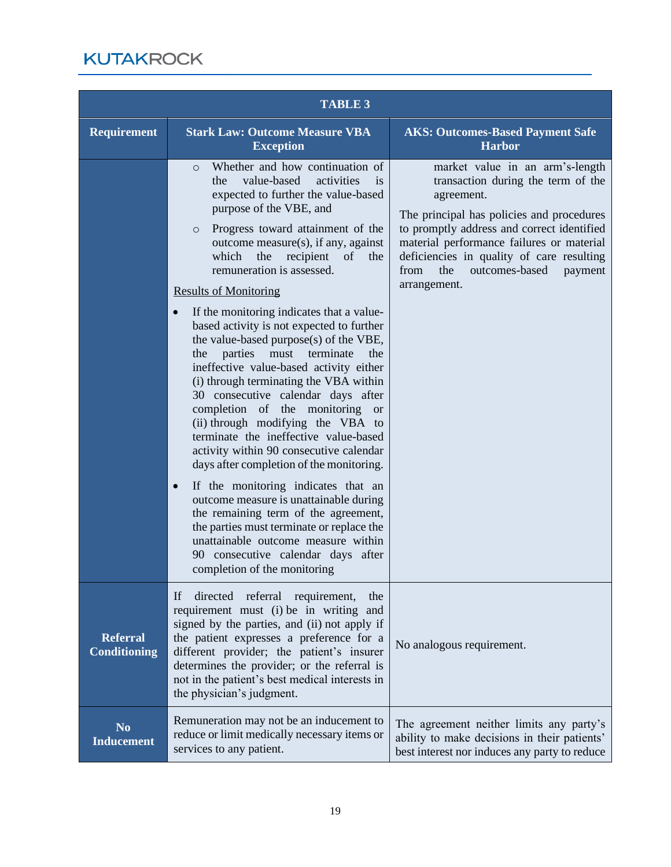| <b>TABLE 3</b>                         |                                                                                                                                                                                                                                                                                                                                                                                                                                                                                                                                                                                                                                                                                                                                                                                                                                                                                                                                                                                                                                                                                                                                                                                                             |                                                                                                                                                                                                                                                                                                                                      |
|----------------------------------------|-------------------------------------------------------------------------------------------------------------------------------------------------------------------------------------------------------------------------------------------------------------------------------------------------------------------------------------------------------------------------------------------------------------------------------------------------------------------------------------------------------------------------------------------------------------------------------------------------------------------------------------------------------------------------------------------------------------------------------------------------------------------------------------------------------------------------------------------------------------------------------------------------------------------------------------------------------------------------------------------------------------------------------------------------------------------------------------------------------------------------------------------------------------------------------------------------------------|--------------------------------------------------------------------------------------------------------------------------------------------------------------------------------------------------------------------------------------------------------------------------------------------------------------------------------------|
| <b>Requirement</b>                     | <b>Stark Law: Outcome Measure VBA</b><br><b>Exception</b>                                                                                                                                                                                                                                                                                                                                                                                                                                                                                                                                                                                                                                                                                                                                                                                                                                                                                                                                                                                                                                                                                                                                                   | <b>AKS: Outcomes-Based Payment Safe</b><br><b>Harbor</b>                                                                                                                                                                                                                                                                             |
|                                        | Whether and how continuation of<br>$\circ$<br>value-based<br>activities<br>the<br><i>is</i><br>expected to further the value-based<br>purpose of the VBE, and<br>Progress toward attainment of the<br>$\circ$<br>outcome measure(s), if any, against<br>the<br>recipient<br>which<br>of<br>the<br>remuneration is assessed.<br><b>Results of Monitoring</b><br>If the monitoring indicates that a value-<br>$\bullet$<br>based activity is not expected to further<br>the value-based purpose(s) of the VBE,<br>parties<br>must<br>terminate<br>the<br>the<br>ineffective value-based activity either<br>(i) through terminating the VBA within<br>30 consecutive calendar days after<br>completion of the monitoring<br><sub>or</sub><br>(ii) through modifying the VBA to<br>terminate the ineffective value-based<br>activity within 90 consecutive calendar<br>days after completion of the monitoring.<br>If the monitoring indicates that an<br>$\bullet$<br>outcome measure is unattainable during<br>the remaining term of the agreement,<br>the parties must terminate or replace the<br>unattainable outcome measure within<br>90 consecutive calendar days after<br>completion of the monitoring | market value in an arm's-length<br>transaction during the term of the<br>agreement.<br>The principal has policies and procedures<br>to promptly address and correct identified<br>material performance failures or material<br>deficiencies in quality of care resulting<br>the<br>outcomes-based<br>from<br>payment<br>arrangement. |
| <b>Referral</b><br><b>Conditioning</b> | directed<br>referral<br>If<br>requirement,<br>the<br>requirement must (i) be in writing and<br>signed by the parties, and (ii) not apply if<br>the patient expresses a preference for a<br>different provider; the patient's insurer<br>determines the provider; or the referral is<br>not in the patient's best medical interests in<br>the physician's judgment.                                                                                                                                                                                                                                                                                                                                                                                                                                                                                                                                                                                                                                                                                                                                                                                                                                          | No analogous requirement.                                                                                                                                                                                                                                                                                                            |
| N <sub>0</sub><br><b>Inducement</b>    | Remuneration may not be an inducement to<br>reduce or limit medically necessary items or<br>services to any patient.                                                                                                                                                                                                                                                                                                                                                                                                                                                                                                                                                                                                                                                                                                                                                                                                                                                                                                                                                                                                                                                                                        | The agreement neither limits any party's<br>ability to make decisions in their patients'<br>best interest nor induces any party to reduce                                                                                                                                                                                            |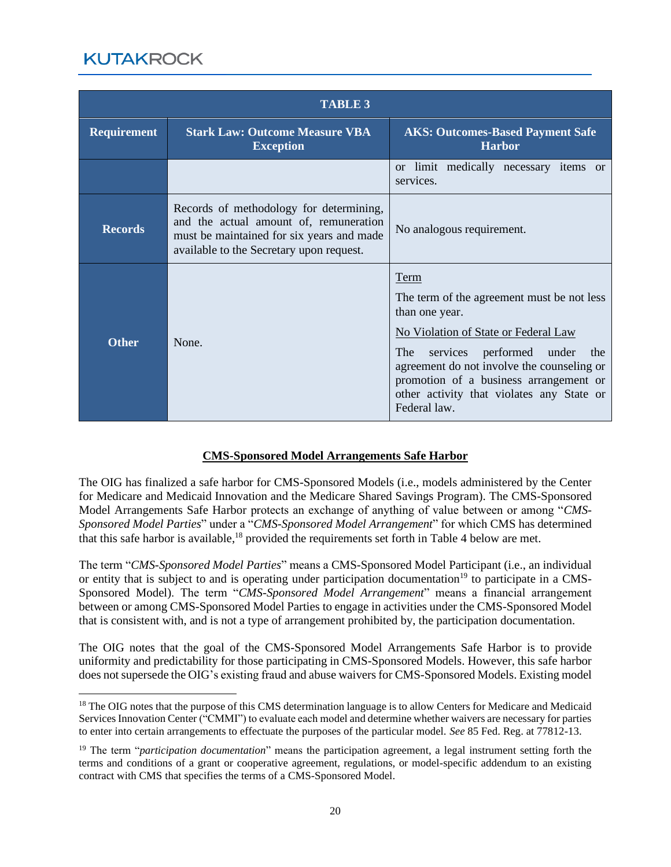| <b>TABLE 3</b>     |                                                                                                                                                                            |                                                                                                                                                                                                                                                                                                                             |
|--------------------|----------------------------------------------------------------------------------------------------------------------------------------------------------------------------|-----------------------------------------------------------------------------------------------------------------------------------------------------------------------------------------------------------------------------------------------------------------------------------------------------------------------------|
| <b>Requirement</b> | <b>Stark Law: Outcome Measure VBA</b><br><b>Exception</b>                                                                                                                  | <b>AKS: Outcomes-Based Payment Safe</b><br><b>Harbor</b>                                                                                                                                                                                                                                                                    |
|                    |                                                                                                                                                                            | or limit medically necessary items or<br>services.                                                                                                                                                                                                                                                                          |
| <b>Records</b>     | Records of methodology for determining,<br>and the actual amount of, remuneration<br>must be maintained for six years and made<br>available to the Secretary upon request. | No analogous requirement.                                                                                                                                                                                                                                                                                                   |
| <b>Other</b>       | None.                                                                                                                                                                      | Term<br>The term of the agreement must be not less<br>than one year.<br>No Violation of State or Federal Law<br>performed under<br>The <sub>1</sub><br>services<br>the<br>agreement do not involve the counseling or<br>promotion of a business arrangement or<br>other activity that violates any State or<br>Federal law. |

#### **CMS-Sponsored Model Arrangements Safe Harbor**

The OIG has finalized a safe harbor for CMS-Sponsored Models (i.e., models administered by the Center for Medicare and Medicaid Innovation and the Medicare Shared Savings Program). The CMS-Sponsored Model Arrangements Safe Harbor protects an exchange of anything of value between or among "*CMS-Sponsored Model Parties*" under a "*CMS-Sponsored Model Arrangement*" for which CMS has determined that this safe harbor is available,<sup>18</sup> provided the requirements set forth in Table 4 below are met.

The term "*CMS-Sponsored Model Parties*" means a CMS-Sponsored Model Participant (i.e., an individual or entity that is subject to and is operating under participation documentation<sup>19</sup> to participate in a CMS-Sponsored Model). The term "*CMS-Sponsored Model Arrangement*" means a financial arrangement between or among CMS-Sponsored Model Parties to engage in activities under the CMS-Sponsored Model that is consistent with, and is not a type of arrangement prohibited by, the participation documentation.

The OIG notes that the goal of the CMS-Sponsored Model Arrangements Safe Harbor is to provide uniformity and predictability for those participating in CMS-Sponsored Models. However, this safe harbor does not supersede the OIG's existing fraud and abuse waivers for CMS-Sponsored Models. Existing model

<sup>&</sup>lt;sup>18</sup> The OIG notes that the purpose of this CMS determination language is to allow Centers for Medicare and Medicaid Services Innovation Center ("CMMI") to evaluate each model and determine whether waivers are necessary for parties to enter into certain arrangements to effectuate the purposes of the particular model. *See* 85 Fed. Reg. at 77812-13.

<sup>19</sup> The term "*participation documentation*" means the participation agreement, a legal instrument setting forth the terms and conditions of a grant or cooperative agreement, regulations, or model-specific addendum to an existing contract with CMS that specifies the terms of a CMS-Sponsored Model.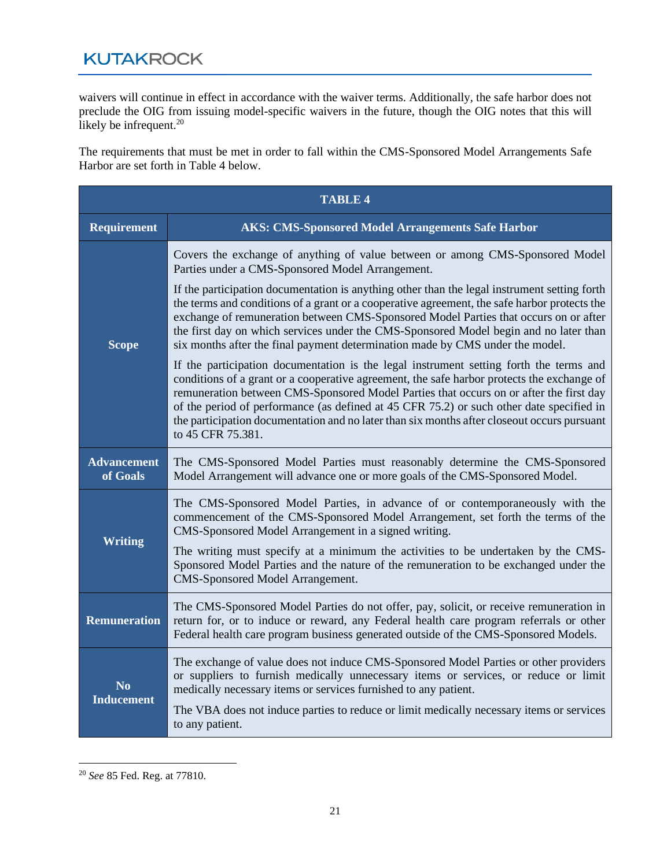waivers will continue in effect in accordance with the waiver terms. Additionally, the safe harbor does not preclude the OIG from issuing model-specific waivers in the future, though the OIG notes that this will likely be infrequent. $20$ 

The requirements that must be met in order to fall within the CMS-Sponsored Model Arrangements Safe Harbor are set forth in Table 4 below.

| <b>TABLE 4</b>                 |                                                                                                                                                                                                                                                                                                                                                                                                                                                                                                                                                                                                                                                                                               |  |
|--------------------------------|-----------------------------------------------------------------------------------------------------------------------------------------------------------------------------------------------------------------------------------------------------------------------------------------------------------------------------------------------------------------------------------------------------------------------------------------------------------------------------------------------------------------------------------------------------------------------------------------------------------------------------------------------------------------------------------------------|--|
| <b>Requirement</b>             | <b>AKS: CMS-Sponsored Model Arrangements Safe Harbor</b>                                                                                                                                                                                                                                                                                                                                                                                                                                                                                                                                                                                                                                      |  |
| <b>Scope</b>                   | Covers the exchange of anything of value between or among CMS-Sponsored Model<br>Parties under a CMS-Sponsored Model Arrangement.<br>If the participation documentation is anything other than the legal instrument setting forth<br>the terms and conditions of a grant or a cooperative agreement, the safe harbor protects the<br>exchange of remuneration between CMS-Sponsored Model Parties that occurs on or after<br>the first day on which services under the CMS-Sponsored Model begin and no later than<br>six months after the final payment determination made by CMS under the model.<br>If the participation documentation is the legal instrument setting forth the terms and |  |
|                                | conditions of a grant or a cooperative agreement, the safe harbor protects the exchange of<br>remuneration between CMS-Sponsored Model Parties that occurs on or after the first day<br>of the period of performance (as defined at 45 CFR 75.2) or such other date specified in<br>the participation documentation and no later than six months after closeout occurs pursuant<br>to 45 CFR 75.381.                                                                                                                                                                                                                                                                                          |  |
| <b>Advancement</b><br>of Goals | The CMS-Sponsored Model Parties must reasonably determine the CMS-Sponsored<br>Model Arrangement will advance one or more goals of the CMS-Sponsored Model.                                                                                                                                                                                                                                                                                                                                                                                                                                                                                                                                   |  |
| <b>Writing</b>                 | The CMS-Sponsored Model Parties, in advance of or contemporaneously with the<br>commencement of the CMS-Sponsored Model Arrangement, set forth the terms of the<br>CMS-Sponsored Model Arrangement in a signed writing.                                                                                                                                                                                                                                                                                                                                                                                                                                                                       |  |
|                                | The writing must specify at a minimum the activities to be undertaken by the CMS-<br>Sponsored Model Parties and the nature of the remuneration to be exchanged under the<br>CMS-Sponsored Model Arrangement.                                                                                                                                                                                                                                                                                                                                                                                                                                                                                 |  |
| <b>Remuneration</b>            | The CMS-Sponsored Model Parties do not offer, pay, solicit, or receive remuneration in<br>return for, or to induce or reward, any Federal health care program referrals or other<br>Federal health care program business generated outside of the CMS-Sponsored Models.                                                                                                                                                                                                                                                                                                                                                                                                                       |  |
| No<br>Inducement               | The exchange of value does not induce CMS-Sponsored Model Parties or other providers<br>or suppliers to furnish medically unnecessary items or services, or reduce or limit<br>medically necessary items or services furnished to any patient.<br>The VBA does not induce parties to reduce or limit medically necessary items or services<br>to any patient.                                                                                                                                                                                                                                                                                                                                 |  |

<sup>20</sup> *See* 85 Fed. Reg. at 77810.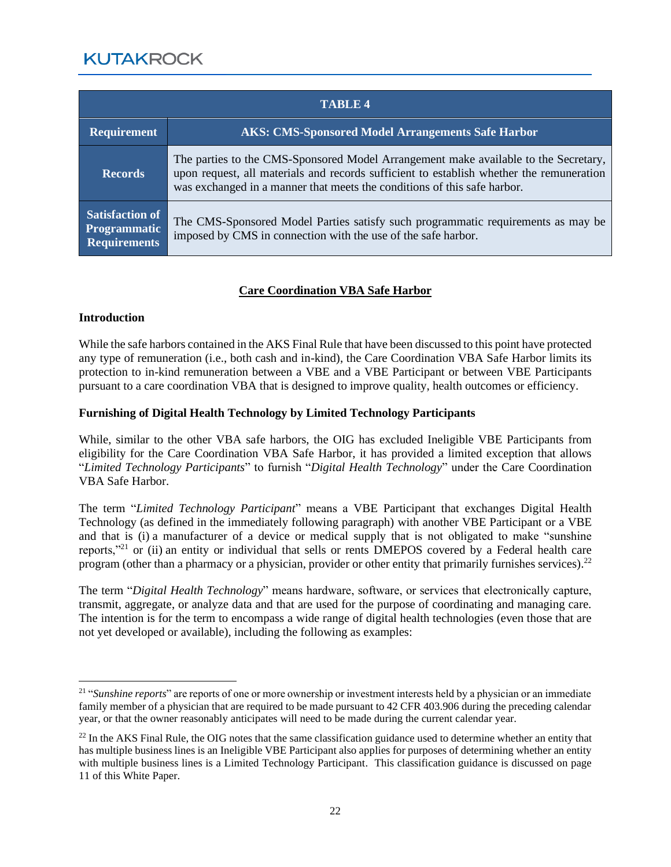| <b>TABLE 4</b>                                                       |                                                                                                                                                                                                                                                             |  |
|----------------------------------------------------------------------|-------------------------------------------------------------------------------------------------------------------------------------------------------------------------------------------------------------------------------------------------------------|--|
| <b>Requirement</b>                                                   | <b>AKS: CMS-Sponsored Model Arrangements Safe Harbor</b>                                                                                                                                                                                                    |  |
| <b>Records</b>                                                       | The parties to the CMS-Sponsored Model Arrangement make available to the Secretary,<br>upon request, all materials and records sufficient to establish whether the remuneration<br>was exchanged in a manner that meets the conditions of this safe harbor. |  |
| <b>Satisfaction of</b><br><b>Programmatic</b><br><b>Requirements</b> | The CMS-Sponsored Model Parties satisfy such programmatic requirements as may be<br>imposed by CMS in connection with the use of the safe harbor.                                                                                                           |  |

#### **Care Coordination VBA Safe Harbor**

#### **Introduction**

While the safe harbors contained in the AKS Final Rule that have been discussed to this point have protected any type of remuneration (i.e., both cash and in-kind), the Care Coordination VBA Safe Harbor limits its protection to in-kind remuneration between a VBE and a VBE Participant or between VBE Participants pursuant to a care coordination VBA that is designed to improve quality, health outcomes or efficiency.

#### **Furnishing of Digital Health Technology by Limited Technology Participants**

While, similar to the other VBA safe harbors, the OIG has excluded Ineligible VBE Participants from eligibility for the Care Coordination VBA Safe Harbor, it has provided a limited exception that allows "*Limited Technology Participants*" to furnish "*Digital Health Technology*" under the Care Coordination VBA Safe Harbor.

The term "*Limited Technology Participant*" means a VBE Participant that exchanges Digital Health Technology (as defined in the immediately following paragraph) with another VBE Participant or a VBE and that is (i) a manufacturer of a device or medical supply that is not obligated to make "sunshine reports,"<sup>21</sup> or (ii) an entity or individual that sells or rents DMEPOS covered by a Federal health care program (other than a pharmacy or a physician, provider or other entity that primarily furnishes services).<sup>22</sup>

The term "*Digital Health Technology*" means hardware, software, or services that electronically capture, transmit, aggregate, or analyze data and that are used for the purpose of coordinating and managing care. The intention is for the term to encompass a wide range of digital health technologies (even those that are not yet developed or available), including the following as examples:

<sup>&</sup>lt;sup>21</sup> "*Sunshine reports*" are reports of one or more ownership or investment interests held by a physician or an immediate family member of a physician that are required to be made pursuant to 42 CFR 403.906 during the preceding calendar year, or that the owner reasonably anticipates will need to be made during the current calendar year.

 $^{22}$  In the AKS Final Rule, the OIG notes that the same classification guidance used to determine whether an entity that has multiple business lines is an Ineligible VBE Participant also applies for purposes of determining whether an entity with multiple business lines is a Limited Technology Participant. This classification guidance is discussed on page 11 of this White Paper.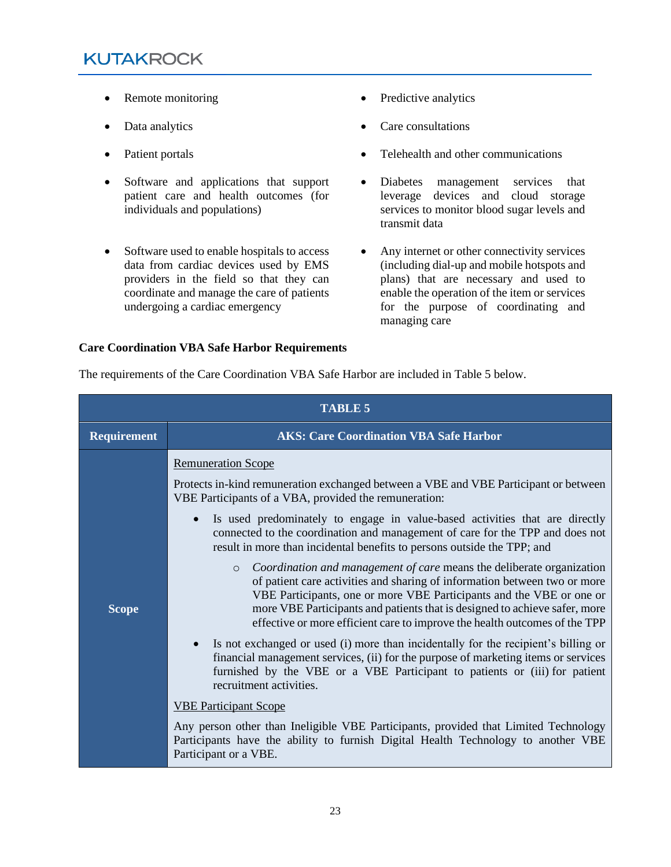- Remote monitoring Predictive analytics
- 
- 
- Software and applications that support patient care and health outcomes (for individuals and populations)
- Software used to enable hospitals to access data from cardiac devices used by EMS providers in the field so that they can coordinate and manage the care of patients undergoing a cardiac emergency
- 
- Data analytics Care consultations
- Patient portals Telehealth and other communications
	- Diabetes management services that leverage devices and cloud storage services to monitor blood sugar levels and transmit data
	- Any internet or other connectivity services (including dial-up and mobile hotspots and plans) that are necessary and used to enable the operation of the item or services for the purpose of coordinating and managing care

#### **Care Coordination VBA Safe Harbor Requirements**

| The requirements of the Care Coordination VBA Safe Harbor are included in Table 5 below. |  |
|------------------------------------------------------------------------------------------|--|
|                                                                                          |  |

| <b>TABLE 5</b>     |                                                                                                                                                                                                                                                                                                                                                                                                   |  |  |
|--------------------|---------------------------------------------------------------------------------------------------------------------------------------------------------------------------------------------------------------------------------------------------------------------------------------------------------------------------------------------------------------------------------------------------|--|--|
| <b>Requirement</b> | <b>AKS: Care Coordination VBA Safe Harbor</b>                                                                                                                                                                                                                                                                                                                                                     |  |  |
|                    | <b>Remuneration Scope</b>                                                                                                                                                                                                                                                                                                                                                                         |  |  |
| <b>Scope</b>       | Protects in-kind remuneration exchanged between a VBE and VBE Participant or between<br>VBE Participants of a VBA, provided the remuneration:                                                                                                                                                                                                                                                     |  |  |
|                    | Is used predominately to engage in value-based activities that are directly<br>connected to the coordination and management of care for the TPP and does not<br>result in more than incidental benefits to persons outside the TPP; and                                                                                                                                                           |  |  |
|                    | Coordination and management of care means the deliberate organization<br>$\circ$<br>of patient care activities and sharing of information between two or more<br>VBE Participants, one or more VBE Participants and the VBE or one or<br>more VBE Participants and patients that is designed to achieve safer, more<br>effective or more efficient care to improve the health outcomes of the TPP |  |  |
|                    | Is not exchanged or used (i) more than incidentally for the recipient's billing or<br>financial management services, (ii) for the purpose of marketing items or services<br>furnished by the VBE or a VBE Participant to patients or (iii) for patient<br>recruitment activities.                                                                                                                 |  |  |
|                    | <b>VBE Participant Scope</b>                                                                                                                                                                                                                                                                                                                                                                      |  |  |
|                    | Any person other than Ineligible VBE Participants, provided that Limited Technology<br>Participants have the ability to furnish Digital Health Technology to another VBE<br>Participant or a VBE.                                                                                                                                                                                                 |  |  |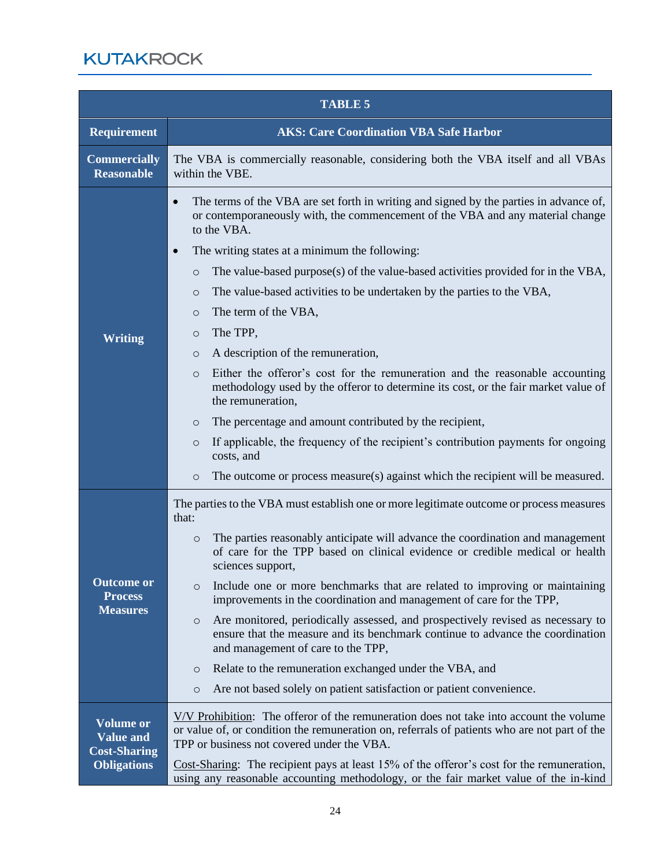|                                                                                   | <b>TABLE 5</b>                                                                                                                                                                                                                                                                                                                                                                                                                                                                                                                                                                                                                                                                                                                                                                                                                                                                                                                                                                                                                                              |  |  |
|-----------------------------------------------------------------------------------|-------------------------------------------------------------------------------------------------------------------------------------------------------------------------------------------------------------------------------------------------------------------------------------------------------------------------------------------------------------------------------------------------------------------------------------------------------------------------------------------------------------------------------------------------------------------------------------------------------------------------------------------------------------------------------------------------------------------------------------------------------------------------------------------------------------------------------------------------------------------------------------------------------------------------------------------------------------------------------------------------------------------------------------------------------------|--|--|
| <b>Requirement</b>                                                                | <b>AKS: Care Coordination VBA Safe Harbor</b>                                                                                                                                                                                                                                                                                                                                                                                                                                                                                                                                                                                                                                                                                                                                                                                                                                                                                                                                                                                                               |  |  |
| <b>Commercially</b><br><b>Reasonable</b>                                          | The VBA is commercially reasonable, considering both the VBA itself and all VBAs<br>within the VBE.                                                                                                                                                                                                                                                                                                                                                                                                                                                                                                                                                                                                                                                                                                                                                                                                                                                                                                                                                         |  |  |
| <b>Writing</b>                                                                    | The terms of the VBA are set forth in writing and signed by the parties in advance of,<br>$\bullet$<br>or contemporaneously with, the commencement of the VBA and any material change<br>to the VBA.<br>The writing states at a minimum the following:<br>$\bullet$<br>The value-based purpose(s) of the value-based activities provided for in the VBA,<br>$\circ$<br>The value-based activities to be undertaken by the parties to the VBA,<br>$\circ$<br>The term of the VBA,<br>$\circ$<br>The TPP,<br>$\circ$<br>A description of the remuneration,<br>$\circ$<br>Either the offeror's cost for the remuneration and the reasonable accounting<br>$\circ$<br>methodology used by the offeror to determine its cost, or the fair market value of<br>the remuneration,<br>The percentage and amount contributed by the recipient,<br>$\circ$<br>If applicable, the frequency of the recipient's contribution payments for ongoing<br>$\circ$<br>costs, and<br>The outcome or process measure(s) against which the recipient will be measured.<br>$\circ$ |  |  |
| <b>Outcome or</b><br><b>Process</b><br><b>Measures</b>                            | The parties to the VBA must establish one or more legitimate outcome or process measures<br>that:<br>The parties reasonably anticipate will advance the coordination and management<br>$\circ$<br>of care for the TPP based on clinical evidence or credible medical or health<br>sciences support,<br>Include one or more benchmarks that are related to improving or maintaining<br>$\circ$<br>improvements in the coordination and management of care for the TPP,<br>Are monitored, periodically assessed, and prospectively revised as necessary to<br>$\circ$<br>ensure that the measure and its benchmark continue to advance the coordination<br>and management of care to the TPP,<br>Relate to the remuneration exchanged under the VBA, and<br>$\circ$<br>Are not based solely on patient satisfaction or patient convenience.<br>$\circ$                                                                                                                                                                                                        |  |  |
| <b>Volume or</b><br><b>Value and</b><br><b>Cost-Sharing</b><br><b>Obligations</b> | V/V Prohibition: The offeror of the remuneration does not take into account the volume<br>or value of, or condition the remuneration on, referrals of patients who are not part of the<br>TPP or business not covered under the VBA.<br>Cost-Sharing: The recipient pays at least 15% of the offeror's cost for the remuneration,<br>using any reasonable accounting methodology, or the fair market value of the in-kind                                                                                                                                                                                                                                                                                                                                                                                                                                                                                                                                                                                                                                   |  |  |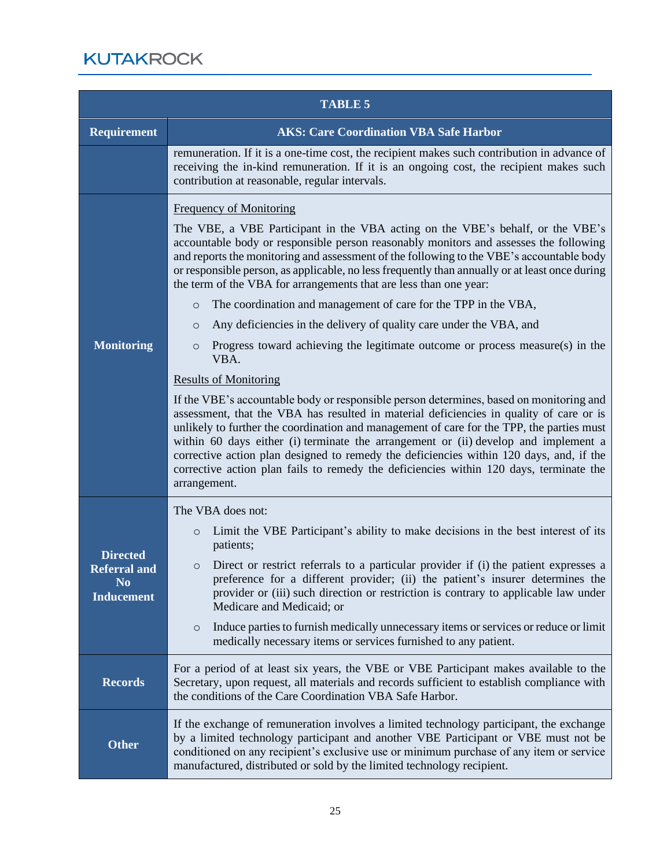|                                                                                          | <b>TABLE 5</b>                                                                                                                                                                                                                                                                                                                                                                                                                                                                                                                                                                                                                                                                                                                                                                                                                                                                                                                                                                                                                                                                                                                                                                                                                                                                                                                                                  |  |  |
|------------------------------------------------------------------------------------------|-----------------------------------------------------------------------------------------------------------------------------------------------------------------------------------------------------------------------------------------------------------------------------------------------------------------------------------------------------------------------------------------------------------------------------------------------------------------------------------------------------------------------------------------------------------------------------------------------------------------------------------------------------------------------------------------------------------------------------------------------------------------------------------------------------------------------------------------------------------------------------------------------------------------------------------------------------------------------------------------------------------------------------------------------------------------------------------------------------------------------------------------------------------------------------------------------------------------------------------------------------------------------------------------------------------------------------------------------------------------|--|--|
| <b>Requirement</b>                                                                       | <b>AKS: Care Coordination VBA Safe Harbor</b>                                                                                                                                                                                                                                                                                                                                                                                                                                                                                                                                                                                                                                                                                                                                                                                                                                                                                                                                                                                                                                                                                                                                                                                                                                                                                                                   |  |  |
|                                                                                          | remuneration. If it is a one-time cost, the recipient makes such contribution in advance of<br>receiving the in-kind remuneration. If it is an ongoing cost, the recipient makes such<br>contribution at reasonable, regular intervals.                                                                                                                                                                                                                                                                                                                                                                                                                                                                                                                                                                                                                                                                                                                                                                                                                                                                                                                                                                                                                                                                                                                         |  |  |
| <b>Monitoring</b>                                                                        | <b>Frequency of Monitoring</b><br>The VBE, a VBE Participant in the VBA acting on the VBE's behalf, or the VBE's<br>accountable body or responsible person reasonably monitors and assesses the following<br>and reports the monitoring and assessment of the following to the VBE's accountable body<br>or responsible person, as applicable, no less frequently than annually or at least once during<br>the term of the VBA for arrangements that are less than one year:<br>The coordination and management of care for the TPP in the VBA,<br>$\circ$<br>Any deficiencies in the delivery of quality care under the VBA, and<br>$\circ$<br>Progress toward achieving the legitimate outcome or process measure(s) in the<br>$\circ$<br>VBA.<br><b>Results of Monitoring</b><br>If the VBE's accountable body or responsible person determines, based on monitoring and<br>assessment, that the VBA has resulted in material deficiencies in quality of care or is<br>unlikely to further the coordination and management of care for the TPP, the parties must<br>within 60 days either (i) terminate the arrangement or (ii) develop and implement a<br>corrective action plan designed to remedy the deficiencies within 120 days, and, if the<br>corrective action plan fails to remedy the deficiencies within 120 days, terminate the<br>arrangement. |  |  |
| <b>Directed</b><br><b>Referral and</b><br>$\overline{\bf N}{\bf 0}$<br><b>Inducement</b> | The VBA does not:<br>Limit the VBE Participant's ability to make decisions in the best interest of its<br>$\circ$<br>patients;<br>Direct or restrict referrals to a particular provider if (i) the patient expresses a<br>$\circ$<br>preference for a different provider; (ii) the patient's insurer determines the<br>provider or (iii) such direction or restriction is contrary to applicable law under<br>Medicare and Medicaid; or<br>Induce parties to furnish medically unnecessary items or services or reduce or limit<br>$\circ$<br>medically necessary items or services furnished to any patient.                                                                                                                                                                                                                                                                                                                                                                                                                                                                                                                                                                                                                                                                                                                                                   |  |  |
| <b>Records</b>                                                                           | For a period of at least six years, the VBE or VBE Participant makes available to the<br>Secretary, upon request, all materials and records sufficient to establish compliance with<br>the conditions of the Care Coordination VBA Safe Harbor.                                                                                                                                                                                                                                                                                                                                                                                                                                                                                                                                                                                                                                                                                                                                                                                                                                                                                                                                                                                                                                                                                                                 |  |  |
| <b>Other</b>                                                                             | If the exchange of remuneration involves a limited technology participant, the exchange<br>by a limited technology participant and another VBE Participant or VBE must not be<br>conditioned on any recipient's exclusive use or minimum purchase of any item or service<br>manufactured, distributed or sold by the limited technology recipient.                                                                                                                                                                                                                                                                                                                                                                                                                                                                                                                                                                                                                                                                                                                                                                                                                                                                                                                                                                                                              |  |  |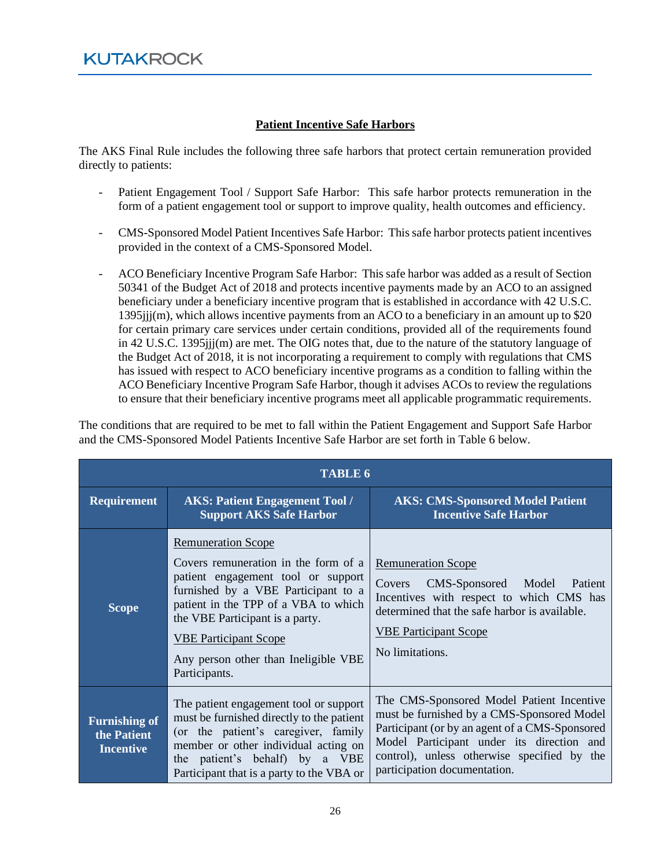#### **Patient Incentive Safe Harbors**

The AKS Final Rule includes the following three safe harbors that protect certain remuneration provided directly to patients:

- Patient Engagement Tool / Support Safe Harbor: This safe harbor protects remuneration in the form of a patient engagement tool or support to improve quality, health outcomes and efficiency.
- CMS-Sponsored Model Patient Incentives Safe Harbor: This safe harbor protects patient incentives provided in the context of a CMS-Sponsored Model.
- ACO Beneficiary Incentive Program Safe Harbor: This safe harbor was added as a result of Section 50341 of the Budget Act of 2018 and protects incentive payments made by an ACO to an assigned beneficiary under a beneficiary incentive program that is established in accordance with 42 U.S.C. 1395jjj(m), which allows incentive payments from an ACO to a beneficiary in an amount up to \$20 for certain primary care services under certain conditions, provided all of the requirements found in 42 U.S.C. 1395jjj(m) are met. The OIG notes that, due to the nature of the statutory language of the Budget Act of 2018, it is not incorporating a requirement to comply with regulations that CMS has issued with respect to ACO beneficiary incentive programs as a condition to falling within the ACO Beneficiary Incentive Program Safe Harbor, though it advises ACOs to review the regulations to ensure that their beneficiary incentive programs meet all applicable programmatic requirements.

The conditions that are required to be met to fall within the Patient Engagement and Support Safe Harbor and the CMS-Sponsored Model Patients Incentive Safe Harbor are set forth in Table 6 below.

| <b>TABLE 6</b>                                          |                                                                                                                                                                                                                                                                                                                    |                                                                                                                                                                                                                                                                       |  |
|---------------------------------------------------------|--------------------------------------------------------------------------------------------------------------------------------------------------------------------------------------------------------------------------------------------------------------------------------------------------------------------|-----------------------------------------------------------------------------------------------------------------------------------------------------------------------------------------------------------------------------------------------------------------------|--|
| <b>Requirement</b>                                      | <b>AKS: Patient Engagement Tool /</b><br><b>Support AKS Safe Harbor</b>                                                                                                                                                                                                                                            | <b>AKS: CMS-Sponsored Model Patient</b><br><b>Incentive Safe Harbor</b>                                                                                                                                                                                               |  |
| <b>Scope</b>                                            | <b>Remuneration Scope</b><br>Covers remuneration in the form of a<br>patient engagement tool or support<br>furnished by a VBE Participant to a<br>patient in the TPP of a VBA to which<br>the VBE Participant is a party.<br><b>VBE Participant Scope</b><br>Any person other than Ineligible VBE<br>Participants. | <b>Remuneration Scope</b><br>CMS-Sponsored Model Patient<br>Covers<br>Incentives with respect to which CMS has<br>determined that the safe harbor is available.<br><b>VBE Participant Scope</b><br>No limitations.                                                    |  |
| <b>Furnishing of</b><br>the Patient<br><b>Incentive</b> | The patient engagement tool or support<br>must be furnished directly to the patient<br>(or the patient's caregiver, family<br>member or other individual acting on<br>the patient's behalf) by a VBE<br>Participant that is a party to the VBA or                                                                  | The CMS-Sponsored Model Patient Incentive<br>must be furnished by a CMS-Sponsored Model<br>Participant (or by an agent of a CMS-Sponsored<br>Model Participant under its direction and<br>control), unless otherwise specified by the<br>participation documentation. |  |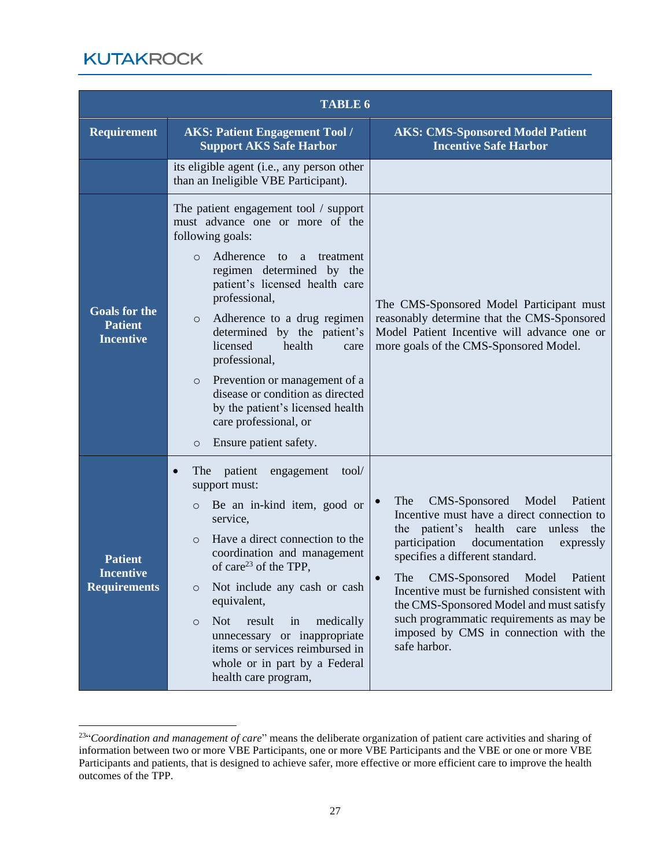| <b>TABLE 6</b>                                             |                                                                                                                                                                                                                                                                                                                                                                                                                                                                                                                                                    |                                                                                                                                                                                                                                                                                                                                                                                                                                                     |  |
|------------------------------------------------------------|----------------------------------------------------------------------------------------------------------------------------------------------------------------------------------------------------------------------------------------------------------------------------------------------------------------------------------------------------------------------------------------------------------------------------------------------------------------------------------------------------------------------------------------------------|-----------------------------------------------------------------------------------------------------------------------------------------------------------------------------------------------------------------------------------------------------------------------------------------------------------------------------------------------------------------------------------------------------------------------------------------------------|--|
| Requirement                                                | <b>AKS: Patient Engagement Tool /</b><br><b>Support AKS Safe Harbor</b>                                                                                                                                                                                                                                                                                                                                                                                                                                                                            | <b>AKS: CMS-Sponsored Model Patient</b><br><b>Incentive Safe Harbor</b>                                                                                                                                                                                                                                                                                                                                                                             |  |
|                                                            | its eligible agent (i.e., any person other<br>than an Ineligible VBE Participant).                                                                                                                                                                                                                                                                                                                                                                                                                                                                 |                                                                                                                                                                                                                                                                                                                                                                                                                                                     |  |
| <b>Goals for the</b><br><b>Patient</b><br><b>Incentive</b> | The patient engagement tool / support<br>must advance one or more of the<br>following goals:<br>Adherence<br>to<br><sub>a</sub><br>treatment<br>$\Omega$<br>regimen determined by the<br>patient's licensed health care<br>professional,<br>Adherence to a drug regimen<br>$\circ$<br>determined by the patient's<br>licensed<br>health<br>care<br>professional,<br>Prevention or management of a<br>$\circ$<br>disease or condition as directed<br>by the patient's licensed health<br>care professional, or<br>Ensure patient safety.<br>$\circ$ | The CMS-Sponsored Model Participant must<br>reasonably determine that the CMS-Sponsored<br>Model Patient Incentive will advance one or<br>more goals of the CMS-Sponsored Model.                                                                                                                                                                                                                                                                    |  |
| <b>Patient</b><br><b>Incentive</b><br><b>Requirements</b>  | patient<br>The<br>engagement<br>tool/<br>$\bullet$<br>support must:<br>Be an in-kind item, good or<br>$\circ$<br>service,<br>Have a direct connection to the<br>$\Omega$<br>coordination and management<br>of care <sup>23</sup> of the TPP,<br>Not include any cash or cash<br>$\circ$<br>equivalent,<br><b>Not</b><br>result<br>medically<br>in<br>$\circ$<br>unnecessary or inappropriate<br>items or services reimbursed in<br>whole or in part by a Federal<br>health care program,                                                           | CMS-Sponsored Model<br>The<br>Patient<br>Incentive must have a direct connection to<br>the patient's health care<br>unless the<br>participation<br>documentation<br>expressly<br>specifies a different standard.<br>The CMS-Sponsored Model Patient<br>Incentive must be furnished consistent with<br>the CMS-Sponsored Model and must satisfy<br>such programmatic requirements as may be<br>imposed by CMS in connection with the<br>safe harbor. |  |

<sup>&</sup>lt;sup>23"</sup>Coordination and management of care" means the deliberate organization of patient care activities and sharing of information between two or more VBE Participants, one or more VBE Participants and the VBE or one or more VBE Participants and patients, that is designed to achieve safer, more effective or more efficient care to improve the health outcomes of the TPP.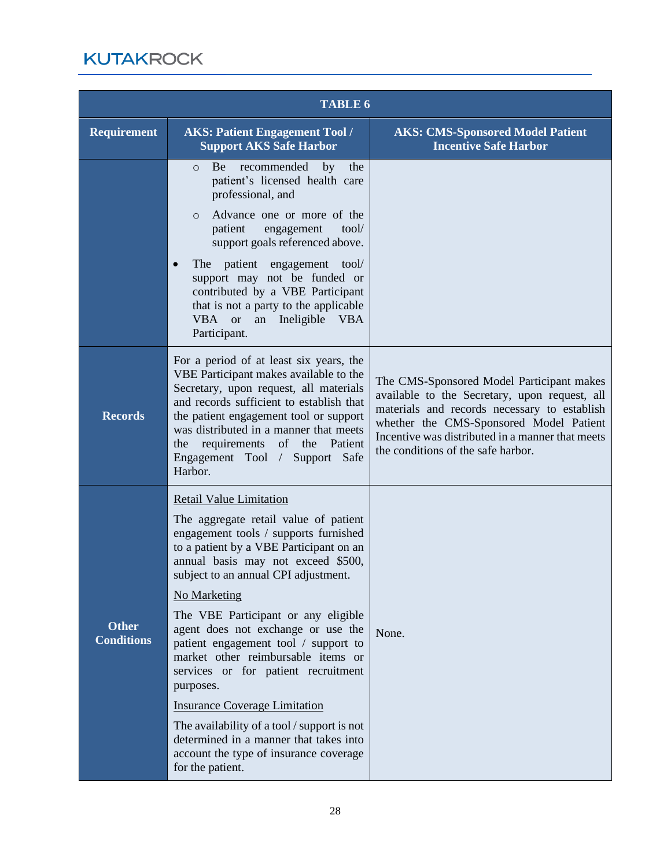| <b>TABLE 6</b>                    |                                                                                                                                                                                                                                                                                                                                                                                                                                                                                                                                                                                                                                                                                |                                                                                                                                                                                                                                                                                 |  |
|-----------------------------------|--------------------------------------------------------------------------------------------------------------------------------------------------------------------------------------------------------------------------------------------------------------------------------------------------------------------------------------------------------------------------------------------------------------------------------------------------------------------------------------------------------------------------------------------------------------------------------------------------------------------------------------------------------------------------------|---------------------------------------------------------------------------------------------------------------------------------------------------------------------------------------------------------------------------------------------------------------------------------|--|
| <b>Requirement</b>                | <b>AKS: Patient Engagement Tool /</b><br><b>Support AKS Safe Harbor</b>                                                                                                                                                                                                                                                                                                                                                                                                                                                                                                                                                                                                        | <b>AKS: CMS-Sponsored Model Patient</b><br><b>Incentive Safe Harbor</b>                                                                                                                                                                                                         |  |
|                                   | recommended<br>Be<br>by<br>the<br>$\circ$<br>patient's licensed health care<br>professional, and<br>Advance one or more of the<br>$\Omega$<br>tool/<br>patient<br>engagement<br>support goals referenced above.                                                                                                                                                                                                                                                                                                                                                                                                                                                                |                                                                                                                                                                                                                                                                                 |  |
|                                   | The patient engagement<br>tool/<br>$\bullet$<br>support may not be funded or<br>contributed by a VBE Participant<br>that is not a party to the applicable<br>VBA or<br>an Ineligible<br><b>VBA</b><br>Participant.                                                                                                                                                                                                                                                                                                                                                                                                                                                             |                                                                                                                                                                                                                                                                                 |  |
| <b>Records</b>                    | For a period of at least six years, the<br>VBE Participant makes available to the<br>Secretary, upon request, all materials<br>and records sufficient to establish that<br>the patient engagement tool or support<br>was distributed in a manner that meets<br>the requirements<br>of the Patient<br>Engagement Tool / Support Safe<br>Harbor.                                                                                                                                                                                                                                                                                                                                 | The CMS-Sponsored Model Participant makes<br>available to the Secretary, upon request, all<br>materials and records necessary to establish<br>whether the CMS-Sponsored Model Patient<br>Incentive was distributed in a manner that meets<br>the conditions of the safe harbor. |  |
| <b>Other</b><br><b>Conditions</b> | <b>Retail Value Limitation</b><br>The aggregate retail value of patient<br>engagement tools / supports furnished<br>to a patient by a VBE Participant on an<br>annual basis may not exceed \$500,<br>subject to an annual CPI adjustment.<br><b>No Marketing</b><br>The VBE Participant or any eligible<br>agent does not exchange or use the<br>patient engagement tool / support to<br>market other reimbursable items or<br>services or for patient recruitment<br>purposes.<br><b>Insurance Coverage Limitation</b><br>The availability of a tool / support is not<br>determined in a manner that takes into<br>account the type of insurance coverage<br>for the patient. | None.                                                                                                                                                                                                                                                                           |  |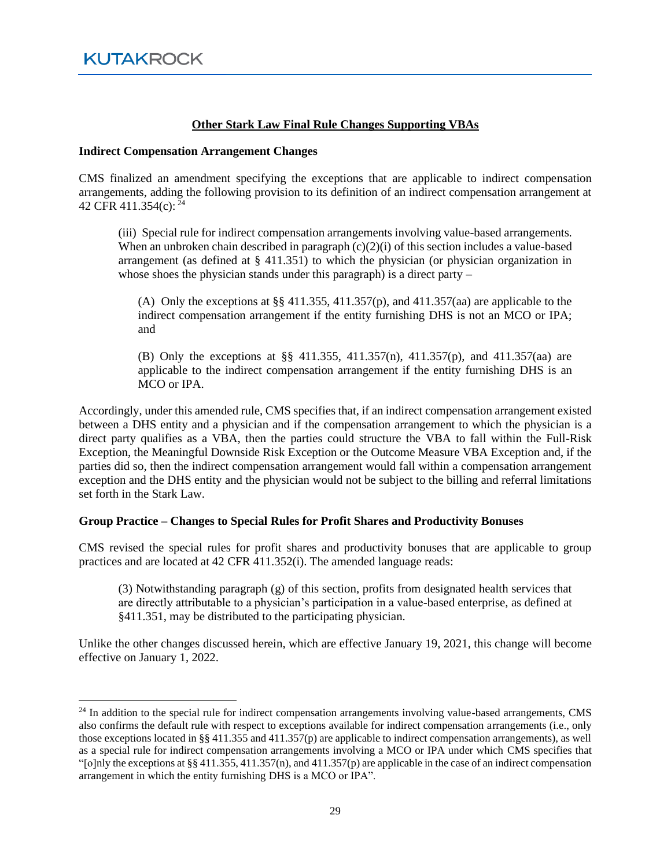#### **Other Stark Law Final Rule Changes Supporting VBAs**

#### **Indirect Compensation Arrangement Changes**

CMS finalized an amendment specifying the exceptions that are applicable to indirect compensation arrangements, adding the following provision to its definition of an indirect compensation arrangement at 42 CFR 411.354(c): <sup>24</sup>

(iii) Special rule for indirect compensation arrangements involving value-based arrangements. When an unbroken chain described in paragraph  $(c)(2)(i)$  of this section includes a value-based arrangement (as defined at § 411.351) to which the physician (or physician organization in whose shoes the physician stands under this paragraph) is a direct party  $-$ 

(A) Only the exceptions at §§ 411.355, 411.357(p), and 411.357(aa) are applicable to the indirect compensation arrangement if the entity furnishing DHS is not an MCO or IPA; and

(B) Only the exceptions at §§ 411.355, 411.357(n), 411.357(p), and 411.357(aa) are applicable to the indirect compensation arrangement if the entity furnishing DHS is an MCO or IPA.

Accordingly, under this amended rule, CMS specifies that, if an indirect compensation arrangement existed between a DHS entity and a physician and if the compensation arrangement to which the physician is a direct party qualifies as a VBA, then the parties could structure the VBA to fall within the Full-Risk Exception, the Meaningful Downside Risk Exception or the Outcome Measure VBA Exception and, if the parties did so, then the indirect compensation arrangement would fall within a compensation arrangement exception and the DHS entity and the physician would not be subject to the billing and referral limitations set forth in the Stark Law.

#### **Group Practice – Changes to Special Rules for Profit Shares and Productivity Bonuses**

CMS revised the special rules for profit shares and productivity bonuses that are applicable to group practices and are located at 42 CFR 411.352(i). The amended language reads:

(3) Notwithstanding paragraph (g) of this section, profits from designated health services that are directly attributable to a physician's participation in a value-based enterprise, as defined at §411.351, may be distributed to the participating physician.

Unlike the other changes discussed herein, which are effective January 19, 2021, this change will become effective on January 1, 2022.

<sup>&</sup>lt;sup>24</sup> In addition to the special rule for indirect compensation arrangements involving value-based arrangements, CMS also confirms the default rule with respect to exceptions available for indirect compensation arrangements (i.e., only those exceptions located in §§ 411.355 and 411.357(p) are applicable to indirect compensation arrangements), as well as a special rule for indirect compensation arrangements involving a MCO or IPA under which CMS specifies that "[o]nly the exceptions at  $\S$ § 411.355, 411.357(n), and 411.357(p) are applicable in the case of an indirect compensation arrangement in which the entity furnishing DHS is a MCO or IPA".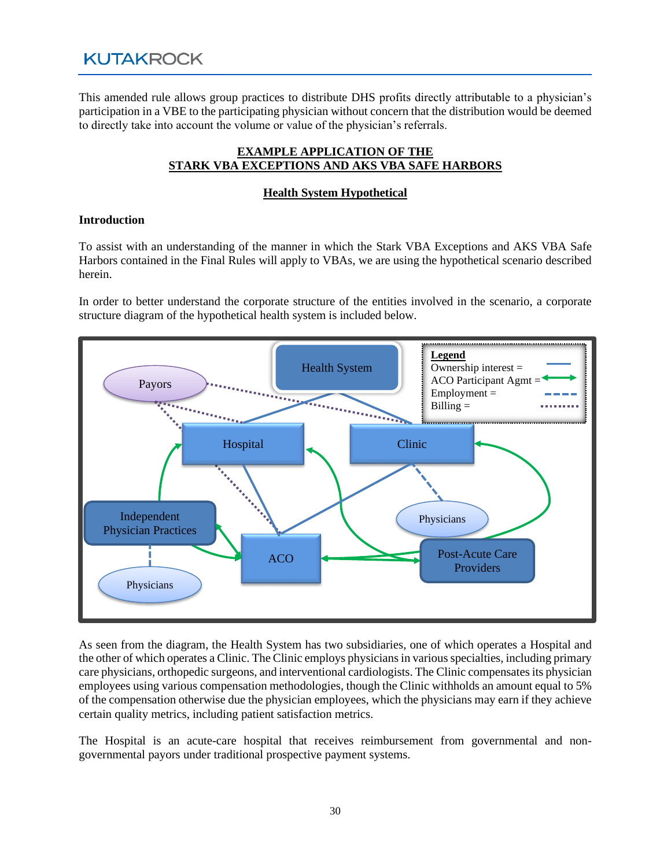This amended rule allows group practices to distribute DHS profits directly attributable to a physician's participation in a VBE to the participating physician without concern that the distribution would be deemed to directly take into account the volume or value of the physician's referrals.

#### **EXAMPLE APPLICATION OF THE STARK VBA EXCEPTIONS AND AKS VBA SAFE HARBORS**

#### **Health System Hypothetical**

#### **Introduction**

To assist with an understanding of the manner in which the Stark VBA Exceptions and AKS VBA Safe Harbors contained in the Final Rules will apply to VBAs, we are using the hypothetical scenario described herein.

In order to better understand the corporate structure of the entities involved in the scenario, a corporate structure diagram of the hypothetical health system is included below.



As seen from the diagram, the Health System has two subsidiaries, one of which operates a Hospital and the other of which operates a Clinic. The Clinic employs physicians in various specialties, including primary care physicians, orthopedic surgeons, and interventional cardiologists. The Clinic compensates its physician employees using various compensation methodologies, though the Clinic withholds an amount equal to 5% of the compensation otherwise due the physician employees, which the physicians may earn if they achieve certain quality metrics, including patient satisfaction metrics.

The Hospital is an acute-care hospital that receives reimbursement from governmental and nongovernmental payors under traditional prospective payment systems.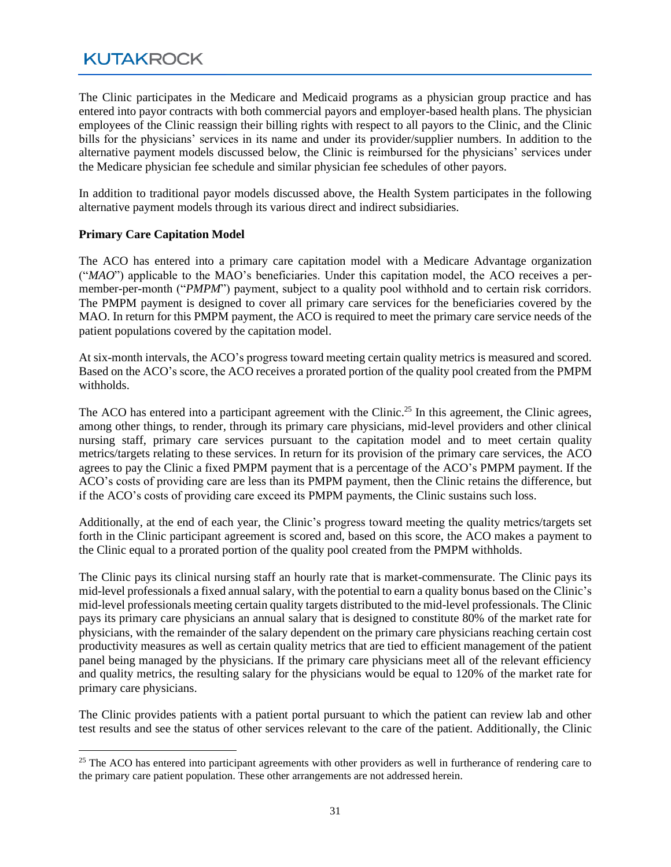The Clinic participates in the Medicare and Medicaid programs as a physician group practice and has entered into payor contracts with both commercial payors and employer-based health plans. The physician employees of the Clinic reassign their billing rights with respect to all payors to the Clinic, and the Clinic bills for the physicians' services in its name and under its provider/supplier numbers. In addition to the alternative payment models discussed below, the Clinic is reimbursed for the physicians' services under the Medicare physician fee schedule and similar physician fee schedules of other payors.

In addition to traditional payor models discussed above, the Health System participates in the following alternative payment models through its various direct and indirect subsidiaries.

#### **Primary Care Capitation Model**

The ACO has entered into a primary care capitation model with a Medicare Advantage organization ("*MAO*") applicable to the MAO's beneficiaries. Under this capitation model, the ACO receives a permember-per-month ("*PMPM*") payment, subject to a quality pool withhold and to certain risk corridors. The PMPM payment is designed to cover all primary care services for the beneficiaries covered by the MAO. In return for this PMPM payment, the ACO is required to meet the primary care service needs of the patient populations covered by the capitation model.

At six-month intervals, the ACO's progress toward meeting certain quality metrics is measured and scored. Based on the ACO's score, the ACO receives a prorated portion of the quality pool created from the PMPM withholds.

The ACO has entered into a participant agreement with the Clinic.<sup>25</sup> In this agreement, the Clinic agrees, among other things, to render, through its primary care physicians, mid-level providers and other clinical nursing staff, primary care services pursuant to the capitation model and to meet certain quality metrics/targets relating to these services. In return for its provision of the primary care services, the ACO agrees to pay the Clinic a fixed PMPM payment that is a percentage of the ACO's PMPM payment. If the ACO's costs of providing care are less than its PMPM payment, then the Clinic retains the difference, but if the ACO's costs of providing care exceed its PMPM payments, the Clinic sustains such loss.

Additionally, at the end of each year, the Clinic's progress toward meeting the quality metrics/targets set forth in the Clinic participant agreement is scored and, based on this score, the ACO makes a payment to the Clinic equal to a prorated portion of the quality pool created from the PMPM withholds.

The Clinic pays its clinical nursing staff an hourly rate that is market-commensurate. The Clinic pays its mid-level professionals a fixed annual salary, with the potential to earn a quality bonus based on the Clinic's mid-level professionals meeting certain quality targets distributed to the mid-level professionals. The Clinic pays its primary care physicians an annual salary that is designed to constitute 80% of the market rate for physicians, with the remainder of the salary dependent on the primary care physicians reaching certain cost productivity measures as well as certain quality metrics that are tied to efficient management of the patient panel being managed by the physicians. If the primary care physicians meet all of the relevant efficiency and quality metrics, the resulting salary for the physicians would be equal to 120% of the market rate for primary care physicians.

The Clinic provides patients with a patient portal pursuant to which the patient can review lab and other test results and see the status of other services relevant to the care of the patient. Additionally, the Clinic

<sup>&</sup>lt;sup>25</sup> The ACO has entered into participant agreements with other providers as well in furtherance of rendering care to the primary care patient population. These other arrangements are not addressed herein.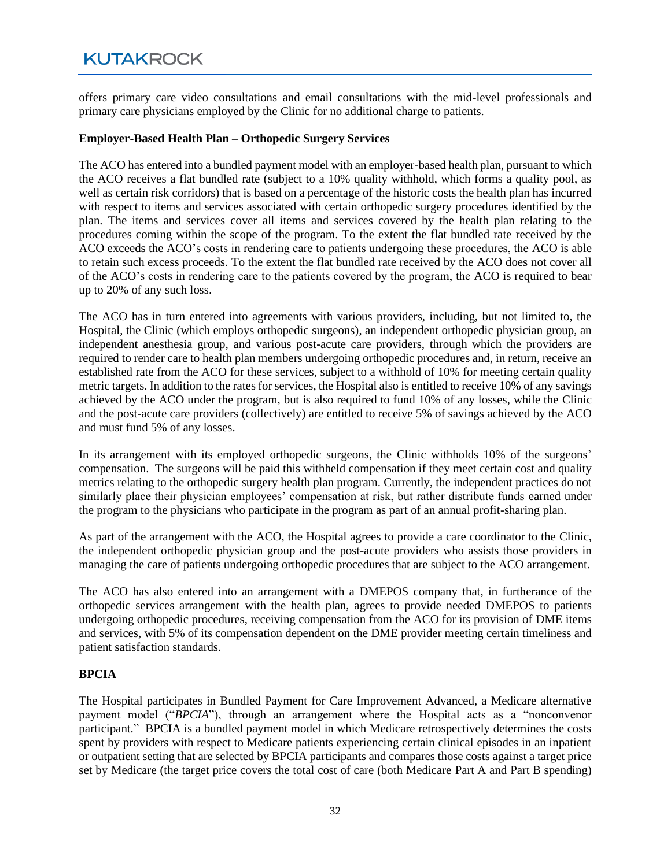offers primary care video consultations and email consultations with the mid-level professionals and primary care physicians employed by the Clinic for no additional charge to patients.

#### **Employer-Based Health Plan – Orthopedic Surgery Services**

The ACO has entered into a bundled payment model with an employer-based health plan, pursuant to which the ACO receives a flat bundled rate (subject to a 10% quality withhold, which forms a quality pool, as well as certain risk corridors) that is based on a percentage of the historic costs the health plan has incurred with respect to items and services associated with certain orthopedic surgery procedures identified by the plan. The items and services cover all items and services covered by the health plan relating to the procedures coming within the scope of the program. To the extent the flat bundled rate received by the ACO exceeds the ACO's costs in rendering care to patients undergoing these procedures, the ACO is able to retain such excess proceeds. To the extent the flat bundled rate received by the ACO does not cover all of the ACO's costs in rendering care to the patients covered by the program, the ACO is required to bear up to 20% of any such loss.

The ACO has in turn entered into agreements with various providers, including, but not limited to, the Hospital, the Clinic (which employs orthopedic surgeons), an independent orthopedic physician group, an independent anesthesia group, and various post-acute care providers, through which the providers are required to render care to health plan members undergoing orthopedic procedures and, in return, receive an established rate from the ACO for these services, subject to a withhold of 10% for meeting certain quality metric targets. In addition to the rates for services, the Hospital also is entitled to receive 10% of any savings achieved by the ACO under the program, but is also required to fund 10% of any losses, while the Clinic and the post-acute care providers (collectively) are entitled to receive 5% of savings achieved by the ACO and must fund 5% of any losses.

In its arrangement with its employed orthopedic surgeons, the Clinic withholds 10% of the surgeons' compensation. The surgeons will be paid this withheld compensation if they meet certain cost and quality metrics relating to the orthopedic surgery health plan program. Currently, the independent practices do not similarly place their physician employees' compensation at risk, but rather distribute funds earned under the program to the physicians who participate in the program as part of an annual profit-sharing plan.

As part of the arrangement with the ACO, the Hospital agrees to provide a care coordinator to the Clinic, the independent orthopedic physician group and the post-acute providers who assists those providers in managing the care of patients undergoing orthopedic procedures that are subject to the ACO arrangement.

The ACO has also entered into an arrangement with a DMEPOS company that, in furtherance of the orthopedic services arrangement with the health plan, agrees to provide needed DMEPOS to patients undergoing orthopedic procedures, receiving compensation from the ACO for its provision of DME items and services, with 5% of its compensation dependent on the DME provider meeting certain timeliness and patient satisfaction standards.

#### **BPCIA**

The Hospital participates in Bundled Payment for Care Improvement Advanced, a Medicare alternative payment model ("*BPCIA*"), through an arrangement where the Hospital acts as a "nonconvenor participant." BPCIA is a bundled payment model in which Medicare retrospectively determines the costs spent by providers with respect to Medicare patients experiencing certain clinical episodes in an inpatient or outpatient setting that are selected by BPCIA participants and compares those costs against a target price set by Medicare (the target price covers the total cost of care (both Medicare Part A and Part B spending)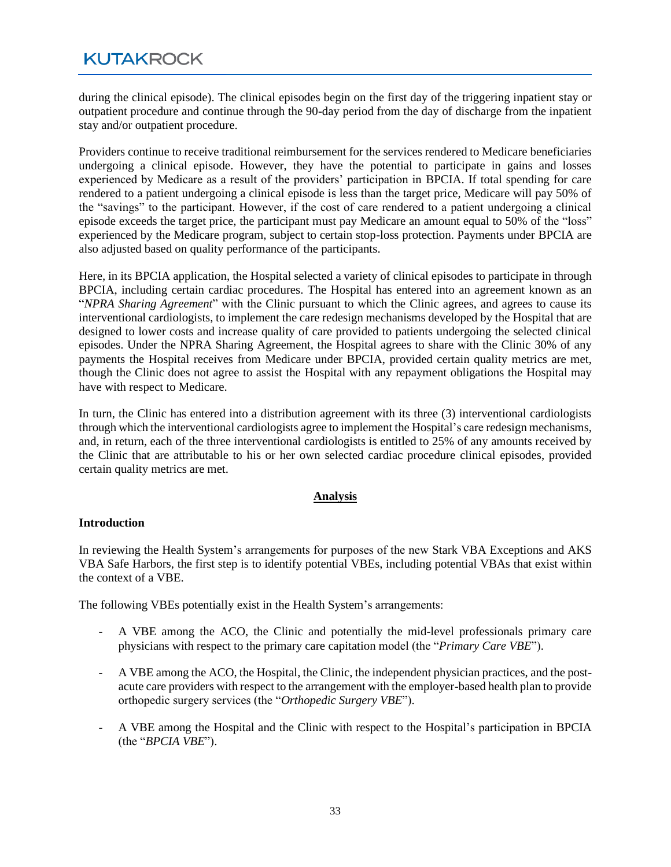during the clinical episode). The clinical episodes begin on the first day of the triggering inpatient stay or outpatient procedure and continue through the 90-day period from the day of discharge from the inpatient stay and/or outpatient procedure.

Providers continue to receive traditional reimbursement for the services rendered to Medicare beneficiaries undergoing a clinical episode. However, they have the potential to participate in gains and losses experienced by Medicare as a result of the providers' participation in BPCIA. If total spending for care rendered to a patient undergoing a clinical episode is less than the target price, Medicare will pay 50% of the "savings" to the participant. However, if the cost of care rendered to a patient undergoing a clinical episode exceeds the target price, the participant must pay Medicare an amount equal to 50% of the "loss" experienced by the Medicare program, subject to certain stop-loss protection. Payments under BPCIA are also adjusted based on quality performance of the participants.

Here, in its BPCIA application, the Hospital selected a variety of clinical episodes to participate in through BPCIA, including certain cardiac procedures. The Hospital has entered into an agreement known as an "*NPRA Sharing Agreement*" with the Clinic pursuant to which the Clinic agrees, and agrees to cause its interventional cardiologists, to implement the care redesign mechanisms developed by the Hospital that are designed to lower costs and increase quality of care provided to patients undergoing the selected clinical episodes. Under the NPRA Sharing Agreement, the Hospital agrees to share with the Clinic 30% of any payments the Hospital receives from Medicare under BPCIA, provided certain quality metrics are met, though the Clinic does not agree to assist the Hospital with any repayment obligations the Hospital may have with respect to Medicare.

In turn, the Clinic has entered into a distribution agreement with its three (3) interventional cardiologists through which the interventional cardiologists agree to implement the Hospital's care redesign mechanisms, and, in return, each of the three interventional cardiologists is entitled to 25% of any amounts received by the Clinic that are attributable to his or her own selected cardiac procedure clinical episodes, provided certain quality metrics are met.

#### **Analysis**

#### **Introduction**

In reviewing the Health System's arrangements for purposes of the new Stark VBA Exceptions and AKS VBA Safe Harbors, the first step is to identify potential VBEs, including potential VBAs that exist within the context of a VBE.

The following VBEs potentially exist in the Health System's arrangements:

- A VBE among the ACO, the Clinic and potentially the mid-level professionals primary care physicians with respect to the primary care capitation model (the "*Primary Care VBE*").
- A VBE among the ACO, the Hospital, the Clinic, the independent physician practices, and the postacute care providers with respect to the arrangement with the employer-based health plan to provide orthopedic surgery services (the "*Orthopedic Surgery VBE*").
- A VBE among the Hospital and the Clinic with respect to the Hospital's participation in BPCIA (the "*BPCIA VBE*").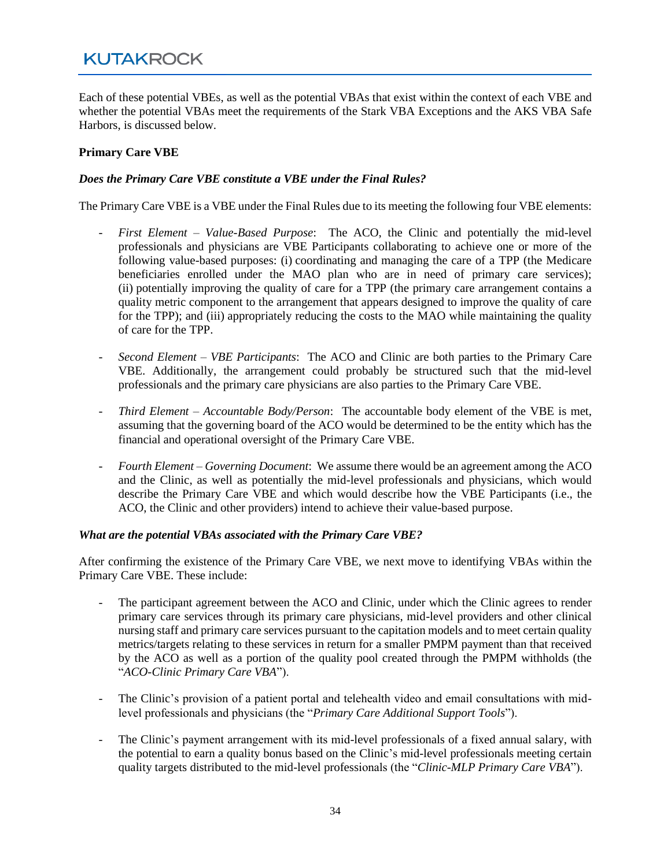Each of these potential VBEs, as well as the potential VBAs that exist within the context of each VBE and whether the potential VBAs meet the requirements of the Stark VBA Exceptions and the AKS VBA Safe Harbors, is discussed below.

#### **Primary Care VBE**

#### *Does the Primary Care VBE constitute a VBE under the Final Rules?*

The Primary Care VBE is a VBE under the Final Rules due to its meeting the following four VBE elements:

- *First Element – Value-Based Purpose*: The ACO, the Clinic and potentially the mid-level professionals and physicians are VBE Participants collaborating to achieve one or more of the following value-based purposes: (i) coordinating and managing the care of a TPP (the Medicare beneficiaries enrolled under the MAO plan who are in need of primary care services); (ii) potentially improving the quality of care for a TPP (the primary care arrangement contains a quality metric component to the arrangement that appears designed to improve the quality of care for the TPP); and (iii) appropriately reducing the costs to the MAO while maintaining the quality of care for the TPP.
- *Second Element – VBE Participants*: The ACO and Clinic are both parties to the Primary Care VBE. Additionally, the arrangement could probably be structured such that the mid-level professionals and the primary care physicians are also parties to the Primary Care VBE.
- *Third Element – Accountable Body/Person*: The accountable body element of the VBE is met, assuming that the governing board of the ACO would be determined to be the entity which has the financial and operational oversight of the Primary Care VBE.
- *Fourth Element – Governing Document*: We assume there would be an agreement among the ACO and the Clinic, as well as potentially the mid-level professionals and physicians, which would describe the Primary Care VBE and which would describe how the VBE Participants (i.e., the ACO, the Clinic and other providers) intend to achieve their value-based purpose.

#### *What are the potential VBAs associated with the Primary Care VBE?*

After confirming the existence of the Primary Care VBE, we next move to identifying VBAs within the Primary Care VBE. These include:

- The participant agreement between the ACO and Clinic, under which the Clinic agrees to render primary care services through its primary care physicians, mid-level providers and other clinical nursing staff and primary care services pursuant to the capitation models and to meet certain quality metrics/targets relating to these services in return for a smaller PMPM payment than that received by the ACO as well as a portion of the quality pool created through the PMPM withholds (the "*ACO-Clinic Primary Care VBA*").
- The Clinic's provision of a patient portal and telehealth video and email consultations with midlevel professionals and physicians (the "*Primary Care Additional Support Tools*").
- The Clinic's payment arrangement with its mid-level professionals of a fixed annual salary, with the potential to earn a quality bonus based on the Clinic's mid-level professionals meeting certain quality targets distributed to the mid-level professionals (the "*Clinic-MLP Primary Care VBA*").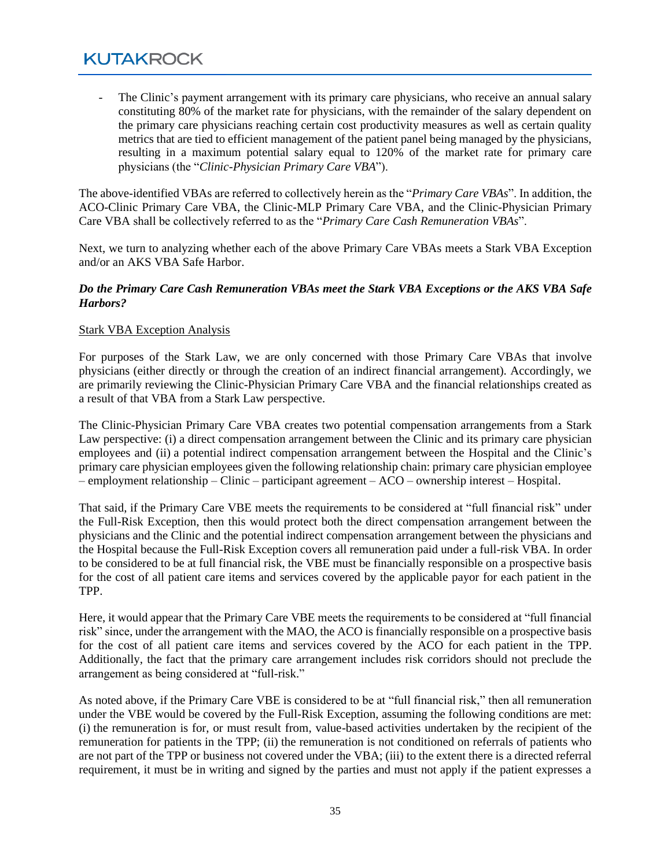The Clinic's payment arrangement with its primary care physicians, who receive an annual salary constituting 80% of the market rate for physicians, with the remainder of the salary dependent on the primary care physicians reaching certain cost productivity measures as well as certain quality metrics that are tied to efficient management of the patient panel being managed by the physicians, resulting in a maximum potential salary equal to 120% of the market rate for primary care physicians (the "*Clinic-Physician Primary Care VBA*").

The above-identified VBAs are referred to collectively herein as the "*Primary Care VBAs*". In addition, the ACO-Clinic Primary Care VBA, the Clinic-MLP Primary Care VBA, and the Clinic-Physician Primary Care VBA shall be collectively referred to as the "*Primary Care Cash Remuneration VBAs*".

Next, we turn to analyzing whether each of the above Primary Care VBAs meets a Stark VBA Exception and/or an AKS VBA Safe Harbor.

#### *Do the Primary Care Cash Remuneration VBAs meet the Stark VBA Exceptions or the AKS VBA Safe Harbors?*

#### Stark VBA Exception Analysis

For purposes of the Stark Law, we are only concerned with those Primary Care VBAs that involve physicians (either directly or through the creation of an indirect financial arrangement). Accordingly, we are primarily reviewing the Clinic-Physician Primary Care VBA and the financial relationships created as a result of that VBA from a Stark Law perspective.

The Clinic-Physician Primary Care VBA creates two potential compensation arrangements from a Stark Law perspective: (i) a direct compensation arrangement between the Clinic and its primary care physician employees and (ii) a potential indirect compensation arrangement between the Hospital and the Clinic's primary care physician employees given the following relationship chain: primary care physician employee – employment relationship – Clinic – participant agreement – ACO – ownership interest – Hospital.

That said, if the Primary Care VBE meets the requirements to be considered at "full financial risk" under the Full-Risk Exception, then this would protect both the direct compensation arrangement between the physicians and the Clinic and the potential indirect compensation arrangement between the physicians and the Hospital because the Full-Risk Exception covers all remuneration paid under a full-risk VBA. In order to be considered to be at full financial risk, the VBE must be financially responsible on a prospective basis for the cost of all patient care items and services covered by the applicable payor for each patient in the TPP.

Here, it would appear that the Primary Care VBE meets the requirements to be considered at "full financial risk" since, under the arrangement with the MAO, the ACO is financially responsible on a prospective basis for the cost of all patient care items and services covered by the ACO for each patient in the TPP. Additionally, the fact that the primary care arrangement includes risk corridors should not preclude the arrangement as being considered at "full-risk."

As noted above, if the Primary Care VBE is considered to be at "full financial risk," then all remuneration under the VBE would be covered by the Full-Risk Exception, assuming the following conditions are met: (i) the remuneration is for, or must result from, value-based activities undertaken by the recipient of the remuneration for patients in the TPP; (ii) the remuneration is not conditioned on referrals of patients who are not part of the TPP or business not covered under the VBA; (iii) to the extent there is a directed referral requirement, it must be in writing and signed by the parties and must not apply if the patient expresses a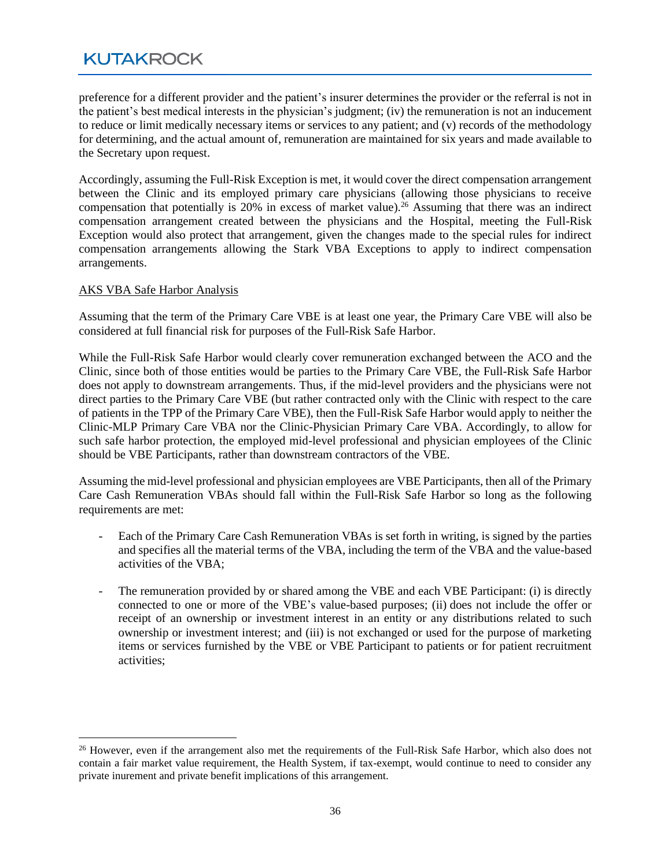preference for a different provider and the patient's insurer determines the provider or the referral is not in the patient's best medical interests in the physician's judgment; (iv) the remuneration is not an inducement to reduce or limit medically necessary items or services to any patient; and (v) records of the methodology for determining, and the actual amount of, remuneration are maintained for six years and made available to the Secretary upon request.

Accordingly, assuming the Full-Risk Exception is met, it would cover the direct compensation arrangement between the Clinic and its employed primary care physicians (allowing those physicians to receive compensation that potentially is 20% in excess of market value).<sup>26</sup> Assuming that there was an indirect compensation arrangement created between the physicians and the Hospital, meeting the Full-Risk Exception would also protect that arrangement, given the changes made to the special rules for indirect compensation arrangements allowing the Stark VBA Exceptions to apply to indirect compensation arrangements.

#### AKS VBA Safe Harbor Analysis

Assuming that the term of the Primary Care VBE is at least one year, the Primary Care VBE will also be considered at full financial risk for purposes of the Full-Risk Safe Harbor.

While the Full-Risk Safe Harbor would clearly cover remuneration exchanged between the ACO and the Clinic, since both of those entities would be parties to the Primary Care VBE, the Full-Risk Safe Harbor does not apply to downstream arrangements. Thus, if the mid-level providers and the physicians were not direct parties to the Primary Care VBE (but rather contracted only with the Clinic with respect to the care of patients in the TPP of the Primary Care VBE), then the Full-Risk Safe Harbor would apply to neither the Clinic-MLP Primary Care VBA nor the Clinic-Physician Primary Care VBA. Accordingly, to allow for such safe harbor protection, the employed mid-level professional and physician employees of the Clinic should be VBE Participants, rather than downstream contractors of the VBE.

Assuming the mid-level professional and physician employees are VBE Participants, then all of the Primary Care Cash Remuneration VBAs should fall within the Full-Risk Safe Harbor so long as the following requirements are met:

- Each of the Primary Care Cash Remuneration VBAs is set forth in writing, is signed by the parties and specifies all the material terms of the VBA, including the term of the VBA and the value-based activities of the VBA;
- The remuneration provided by or shared among the VBE and each VBE Participant: (i) is directly connected to one or more of the VBE's value-based purposes; (ii) does not include the offer or receipt of an ownership or investment interest in an entity or any distributions related to such ownership or investment interest; and (iii) is not exchanged or used for the purpose of marketing items or services furnished by the VBE or VBE Participant to patients or for patient recruitment activities;

<sup>&</sup>lt;sup>26</sup> However, even if the arrangement also met the requirements of the Full-Risk Safe Harbor, which also does not contain a fair market value requirement, the Health System, if tax-exempt, would continue to need to consider any private inurement and private benefit implications of this arrangement.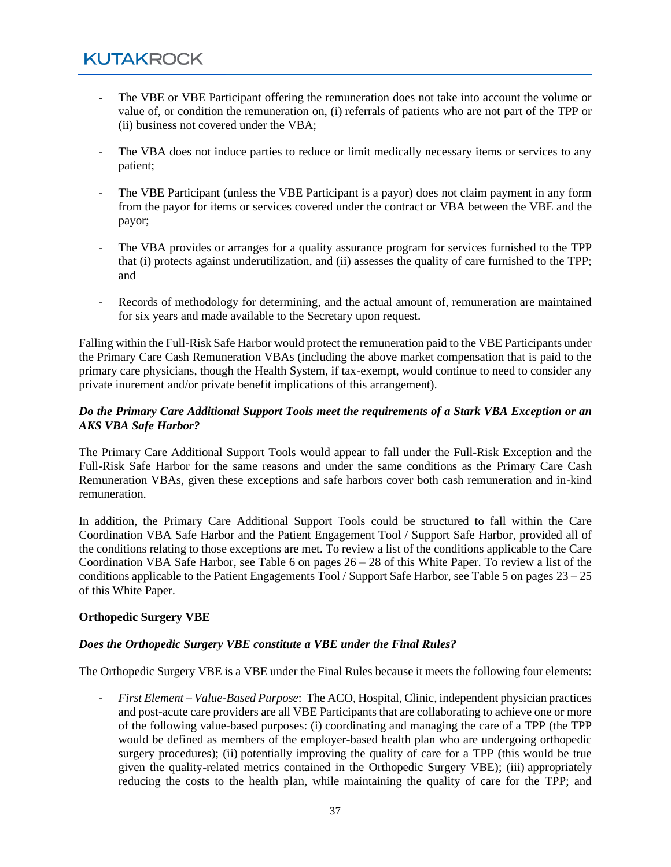- The VBE or VBE Participant offering the remuneration does not take into account the volume or value of, or condition the remuneration on, (i) referrals of patients who are not part of the TPP or (ii) business not covered under the VBA;
- The VBA does not induce parties to reduce or limit medically necessary items or services to any patient;
- The VBE Participant (unless the VBE Participant is a payor) does not claim payment in any form from the payor for items or services covered under the contract or VBA between the VBE and the payor;
- The VBA provides or arranges for a quality assurance program for services furnished to the TPP that (i) protects against underutilization, and (ii) assesses the quality of care furnished to the TPP; and
- Records of methodology for determining, and the actual amount of, remuneration are maintained for six years and made available to the Secretary upon request.

Falling within the Full-Risk Safe Harbor would protect the remuneration paid to the VBE Participants under the Primary Care Cash Remuneration VBAs (including the above market compensation that is paid to the primary care physicians, though the Health System, if tax-exempt, would continue to need to consider any private inurement and/or private benefit implications of this arrangement).

#### *Do the Primary Care Additional Support Tools meet the requirements of a Stark VBA Exception or an AKS VBA Safe Harbor?*

The Primary Care Additional Support Tools would appear to fall under the Full-Risk Exception and the Full-Risk Safe Harbor for the same reasons and under the same conditions as the Primary Care Cash Remuneration VBAs, given these exceptions and safe harbors cover both cash remuneration and in-kind remuneration.

In addition, the Primary Care Additional Support Tools could be structured to fall within the Care Coordination VBA Safe Harbor and the Patient Engagement Tool / Support Safe Harbor, provided all of the conditions relating to those exceptions are met. To review a list of the conditions applicable to the Care Coordination VBA Safe Harbor, see Table 6 on pages 26 – 28 of this White Paper. To review a list of the conditions applicable to the Patient Engagements Tool / Support Safe Harbor, see Table 5 on pages 23 – 25 of this White Paper.

#### **Orthopedic Surgery VBE**

#### *Does the Orthopedic Surgery VBE constitute a VBE under the Final Rules?*

The Orthopedic Surgery VBE is a VBE under the Final Rules because it meets the following four elements:

- *First Element – Value-Based Purpose*: The ACO, Hospital, Clinic, independent physician practices and post-acute care providers are all VBE Participants that are collaborating to achieve one or more of the following value-based purposes: (i) coordinating and managing the care of a TPP (the TPP would be defined as members of the employer-based health plan who are undergoing orthopedic surgery procedures); (ii) potentially improving the quality of care for a TPP (this would be true given the quality-related metrics contained in the Orthopedic Surgery VBE); (iii) appropriately reducing the costs to the health plan, while maintaining the quality of care for the TPP; and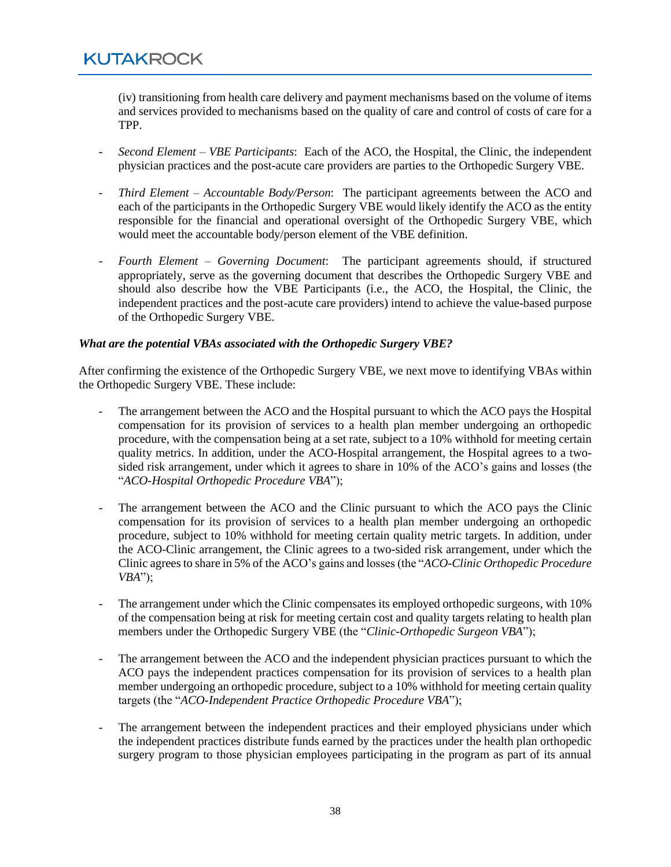(iv) transitioning from health care delivery and payment mechanisms based on the volume of items and services provided to mechanisms based on the quality of care and control of costs of care for a TPP.

- *Second Element – VBE Participants*: Each of the ACO, the Hospital, the Clinic, the independent physician practices and the post-acute care providers are parties to the Orthopedic Surgery VBE.
- *Third Element – Accountable Body/Person*: The participant agreements between the ACO and each of the participants in the Orthopedic Surgery VBE would likely identify the ACO as the entity responsible for the financial and operational oversight of the Orthopedic Surgery VBE, which would meet the accountable body/person element of the VBE definition.
- *Fourth Element – Governing Document*: The participant agreements should, if structured appropriately, serve as the governing document that describes the Orthopedic Surgery VBE and should also describe how the VBE Participants (i.e., the ACO, the Hospital, the Clinic, the independent practices and the post-acute care providers) intend to achieve the value-based purpose of the Orthopedic Surgery VBE.

#### *What are the potential VBAs associated with the Orthopedic Surgery VBE?*

After confirming the existence of the Orthopedic Surgery VBE, we next move to identifying VBAs within the Orthopedic Surgery VBE. These include:

- The arrangement between the ACO and the Hospital pursuant to which the ACO pays the Hospital compensation for its provision of services to a health plan member undergoing an orthopedic procedure, with the compensation being at a set rate, subject to a 10% withhold for meeting certain quality metrics. In addition, under the ACO-Hospital arrangement, the Hospital agrees to a twosided risk arrangement, under which it agrees to share in 10% of the ACO's gains and losses (the "*ACO-Hospital Orthopedic Procedure VBA*");
- The arrangement between the ACO and the Clinic pursuant to which the ACO pays the Clinic compensation for its provision of services to a health plan member undergoing an orthopedic procedure, subject to 10% withhold for meeting certain quality metric targets. In addition, under the ACO-Clinic arrangement, the Clinic agrees to a two-sided risk arrangement, under which the Clinic agrees to share in 5% of the ACO's gains and losses (the "*ACO-Clinic Orthopedic Procedure VBA*");
- The arrangement under which the Clinic compensates its employed orthopedic surgeons, with 10% of the compensation being at risk for meeting certain cost and quality targets relating to health plan members under the Orthopedic Surgery VBE (the "*Clinic-Orthopedic Surgeon VBA*");
- The arrangement between the ACO and the independent physician practices pursuant to which the ACO pays the independent practices compensation for its provision of services to a health plan member undergoing an orthopedic procedure, subject to a 10% withhold for meeting certain quality targets (the "*ACO-Independent Practice Orthopedic Procedure VBA*");
- The arrangement between the independent practices and their employed physicians under which the independent practices distribute funds earned by the practices under the health plan orthopedic surgery program to those physician employees participating in the program as part of its annual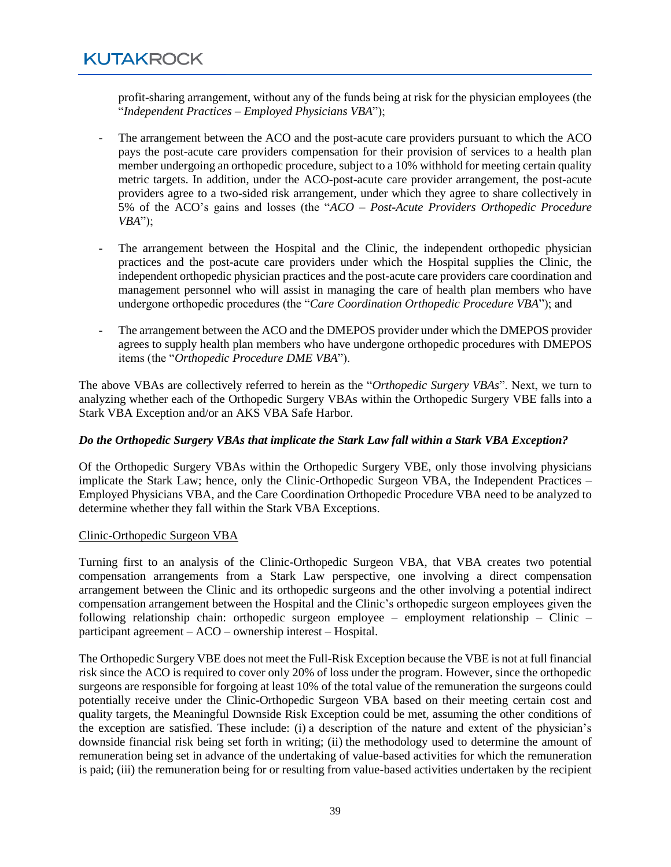profit-sharing arrangement, without any of the funds being at risk for the physician employees (the "*Independent Practices – Employed Physicians VBA*");

- The arrangement between the ACO and the post-acute care providers pursuant to which the ACO pays the post-acute care providers compensation for their provision of services to a health plan member undergoing an orthopedic procedure, subject to a 10% withhold for meeting certain quality metric targets. In addition, under the ACO-post-acute care provider arrangement, the post-acute providers agree to a two-sided risk arrangement, under which they agree to share collectively in 5% of the ACO's gains and losses (the "*ACO – Post-Acute Providers Orthopedic Procedure VBA*");
- The arrangement between the Hospital and the Clinic, the independent orthopedic physician practices and the post-acute care providers under which the Hospital supplies the Clinic, the independent orthopedic physician practices and the post-acute care providers care coordination and management personnel who will assist in managing the care of health plan members who have undergone orthopedic procedures (the "*Care Coordination Orthopedic Procedure VBA*"); and
- The arrangement between the ACO and the DMEPOS provider under which the DMEPOS provider agrees to supply health plan members who have undergone orthopedic procedures with DMEPOS items (the "*Orthopedic Procedure DME VBA*").

The above VBAs are collectively referred to herein as the "*Orthopedic Surgery VBAs*". Next, we turn to analyzing whether each of the Orthopedic Surgery VBAs within the Orthopedic Surgery VBE falls into a Stark VBA Exception and/or an AKS VBA Safe Harbor.

#### *Do the Orthopedic Surgery VBAs that implicate the Stark Law fall within a Stark VBA Exception?*

Of the Orthopedic Surgery VBAs within the Orthopedic Surgery VBE, only those involving physicians implicate the Stark Law; hence, only the Clinic-Orthopedic Surgeon VBA, the Independent Practices *–* Employed Physicians VBA, and the Care Coordination Orthopedic Procedure VBA need to be analyzed to determine whether they fall within the Stark VBA Exceptions.

#### Clinic-Orthopedic Surgeon VBA

Turning first to an analysis of the Clinic-Orthopedic Surgeon VBA, that VBA creates two potential compensation arrangements from a Stark Law perspective, one involving a direct compensation arrangement between the Clinic and its orthopedic surgeons and the other involving a potential indirect compensation arrangement between the Hospital and the Clinic's orthopedic surgeon employees given the following relationship chain: orthopedic surgeon employee – employment relationship – Clinic – participant agreement – ACO – ownership interest – Hospital.

The Orthopedic Surgery VBE does not meet the Full-Risk Exception because the VBE is not at full financial risk since the ACO is required to cover only 20% of loss under the program. However, since the orthopedic surgeons are responsible for forgoing at least 10% of the total value of the remuneration the surgeons could potentially receive under the Clinic-Orthopedic Surgeon VBA based on their meeting certain cost and quality targets, the Meaningful Downside Risk Exception could be met, assuming the other conditions of the exception are satisfied. These include: (i) a description of the nature and extent of the physician's downside financial risk being set forth in writing; (ii) the methodology used to determine the amount of remuneration being set in advance of the undertaking of value-based activities for which the remuneration is paid; (iii) the remuneration being for or resulting from value-based activities undertaken by the recipient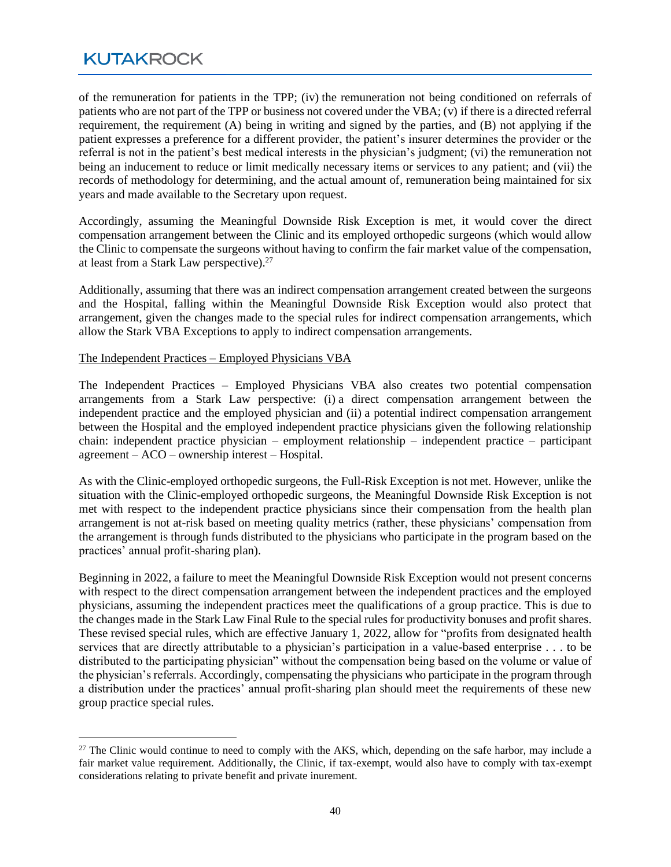of the remuneration for patients in the TPP; (iv) the remuneration not being conditioned on referrals of patients who are not part of the TPP or business not covered under the VBA; (v) if there is a directed referral requirement, the requirement (A) being in writing and signed by the parties, and (B) not applying if the patient expresses a preference for a different provider, the patient's insurer determines the provider or the referral is not in the patient's best medical interests in the physician's judgment; (vi) the remuneration not being an inducement to reduce or limit medically necessary items or services to any patient; and (vii) the records of methodology for determining, and the actual amount of, remuneration being maintained for six years and made available to the Secretary upon request.

Accordingly, assuming the Meaningful Downside Risk Exception is met, it would cover the direct compensation arrangement between the Clinic and its employed orthopedic surgeons (which would allow the Clinic to compensate the surgeons without having to confirm the fair market value of the compensation, at least from a Stark Law perspective). $27$ 

Additionally, assuming that there was an indirect compensation arrangement created between the surgeons and the Hospital, falling within the Meaningful Downside Risk Exception would also protect that arrangement, given the changes made to the special rules for indirect compensation arrangements, which allow the Stark VBA Exceptions to apply to indirect compensation arrangements.

#### The Independent Practices *–* Employed Physicians VBA

The Independent Practices *–* Employed Physicians VBA also creates two potential compensation arrangements from a Stark Law perspective: (i) a direct compensation arrangement between the independent practice and the employed physician and (ii) a potential indirect compensation arrangement between the Hospital and the employed independent practice physicians given the following relationship chain: independent practice physician – employment relationship – independent practice – participant agreement – ACO – ownership interest – Hospital.

As with the Clinic-employed orthopedic surgeons, the Full-Risk Exception is not met. However, unlike the situation with the Clinic-employed orthopedic surgeons, the Meaningful Downside Risk Exception is not met with respect to the independent practice physicians since their compensation from the health plan arrangement is not at-risk based on meeting quality metrics (rather, these physicians' compensation from the arrangement is through funds distributed to the physicians who participate in the program based on the practices' annual profit-sharing plan).

Beginning in 2022, a failure to meet the Meaningful Downside Risk Exception would not present concerns with respect to the direct compensation arrangement between the independent practices and the employed physicians, assuming the independent practices meet the qualifications of a group practice. This is due to the changes made in the Stark Law Final Rule to the special rules for productivity bonuses and profit shares. These revised special rules, which are effective January 1, 2022, allow for "profits from designated health services that are directly attributable to a physician's participation in a value-based enterprise . . . to be distributed to the participating physician" without the compensation being based on the volume or value of the physician's referrals. Accordingly, compensating the physicians who participate in the program through a distribution under the practices' annual profit-sharing plan should meet the requirements of these new group practice special rules.

<sup>&</sup>lt;sup>27</sup> The Clinic would continue to need to comply with the AKS, which, depending on the safe harbor, may include a fair market value requirement. Additionally, the Clinic, if tax-exempt, would also have to comply with tax-exempt considerations relating to private benefit and private inurement.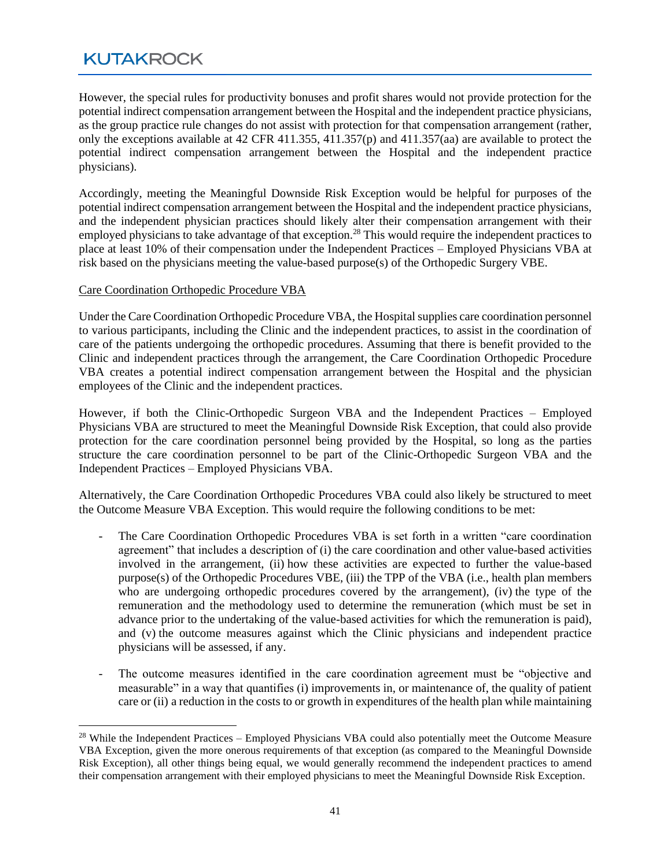However, the special rules for productivity bonuses and profit shares would not provide protection for the potential indirect compensation arrangement between the Hospital and the independent practice physicians, as the group practice rule changes do not assist with protection for that compensation arrangement (rather, only the exceptions available at 42 CFR 411.355, 411.357(p) and 411.357(aa) are available to protect the potential indirect compensation arrangement between the Hospital and the independent practice physicians).

Accordingly, meeting the Meaningful Downside Risk Exception would be helpful for purposes of the potential indirect compensation arrangement between the Hospital and the independent practice physicians, and the independent physician practices should likely alter their compensation arrangement with their employed physicians to take advantage of that exception.<sup>28</sup> This would require the independent practices to place at least 10% of their compensation under the Independent Practices *–* Employed Physicians VBA at risk based on the physicians meeting the value-based purpose(s) of the Orthopedic Surgery VBE.

#### Care Coordination Orthopedic Procedure VBA

Under the Care Coordination Orthopedic Procedure VBA, the Hospitalsupplies care coordination personnel to various participants, including the Clinic and the independent practices, to assist in the coordination of care of the patients undergoing the orthopedic procedures. Assuming that there is benefit provided to the Clinic and independent practices through the arrangement, the Care Coordination Orthopedic Procedure VBA creates a potential indirect compensation arrangement between the Hospital and the physician employees of the Clinic and the independent practices.

However, if both the Clinic-Orthopedic Surgeon VBA and the Independent Practices *–* Employed Physicians VBA are structured to meet the Meaningful Downside Risk Exception, that could also provide protection for the care coordination personnel being provided by the Hospital, so long as the parties structure the care coordination personnel to be part of the Clinic-Orthopedic Surgeon VBA and the Independent Practices *–* Employed Physicians VBA.

Alternatively, the Care Coordination Orthopedic Procedures VBA could also likely be structured to meet the Outcome Measure VBA Exception. This would require the following conditions to be met:

- The Care Coordination Orthopedic Procedures VBA is set forth in a written "care coordination agreement" that includes a description of (i) the care coordination and other value-based activities involved in the arrangement, (ii) how these activities are expected to further the value-based purpose(s) of the Orthopedic Procedures VBE, (iii) the TPP of the VBA (i.e., health plan members who are undergoing orthopedic procedures covered by the arrangement), (iv) the type of the remuneration and the methodology used to determine the remuneration (which must be set in advance prior to the undertaking of the value-based activities for which the remuneration is paid), and (v) the outcome measures against which the Clinic physicians and independent practice physicians will be assessed, if any.
- The outcome measures identified in the care coordination agreement must be "objective and measurable" in a way that quantifies (i) improvements in, or maintenance of, the quality of patient care or (ii) a reduction in the costs to or growth in expenditures of the health plan while maintaining

 $28$  While the Independent Practices – Employed Physicians VBA could also potentially meet the Outcome Measure VBA Exception, given the more onerous requirements of that exception (as compared to the Meaningful Downside Risk Exception), all other things being equal, we would generally recommend the independent practices to amend their compensation arrangement with their employed physicians to meet the Meaningful Downside Risk Exception.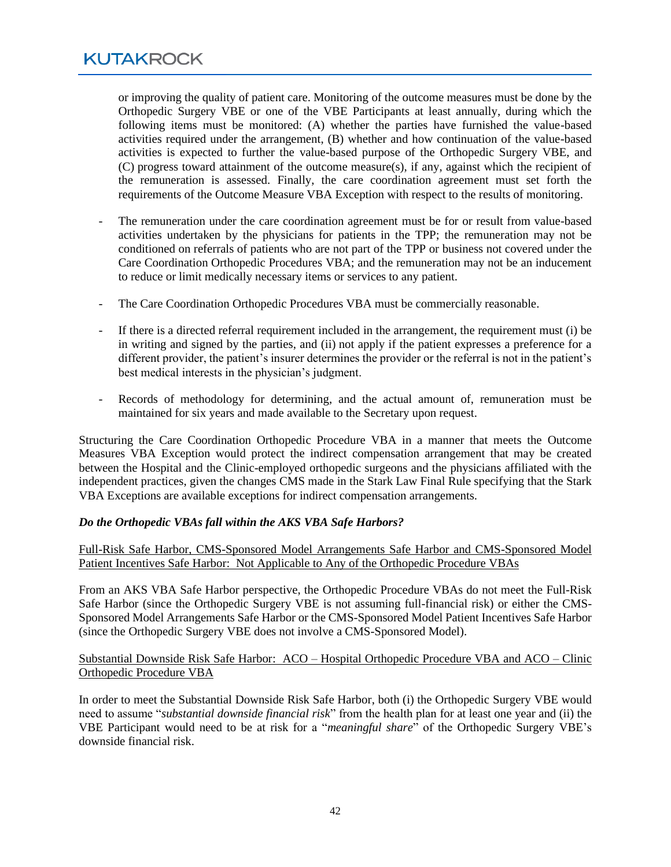or improving the quality of patient care. Monitoring of the outcome measures must be done by the Orthopedic Surgery VBE or one of the VBE Participants at least annually, during which the following items must be monitored: (A) whether the parties have furnished the value-based activities required under the arrangement, (B) whether and how continuation of the value-based activities is expected to further the value-based purpose of the Orthopedic Surgery VBE, and (C) progress toward attainment of the outcome measure(s), if any, against which the recipient of the remuneration is assessed. Finally, the care coordination agreement must set forth the requirements of the Outcome Measure VBA Exception with respect to the results of monitoring.

- The remuneration under the care coordination agreement must be for or result from value-based activities undertaken by the physicians for patients in the TPP; the remuneration may not be conditioned on referrals of patients who are not part of the TPP or business not covered under the Care Coordination Orthopedic Procedures VBA; and the remuneration may not be an inducement to reduce or limit medically necessary items or services to any patient.
- The Care Coordination Orthopedic Procedures VBA must be commercially reasonable.
- If there is a directed referral requirement included in the arrangement, the requirement must (i) be in writing and signed by the parties, and (ii) not apply if the patient expresses a preference for a different provider, the patient's insurer determines the provider or the referral is not in the patient's best medical interests in the physician's judgment.
- Records of methodology for determining, and the actual amount of, remuneration must be maintained for six years and made available to the Secretary upon request.

Structuring the Care Coordination Orthopedic Procedure VBA in a manner that meets the Outcome Measures VBA Exception would protect the indirect compensation arrangement that may be created between the Hospital and the Clinic-employed orthopedic surgeons and the physicians affiliated with the independent practices, given the changes CMS made in the Stark Law Final Rule specifying that the Stark VBA Exceptions are available exceptions for indirect compensation arrangements.

#### *Do the Orthopedic VBAs fall within the AKS VBA Safe Harbors?*

Full-Risk Safe Harbor, CMS-Sponsored Model Arrangements Safe Harbor and CMS-Sponsored Model Patient Incentives Safe Harbor: Not Applicable to Any of the Orthopedic Procedure VBAs

From an AKS VBA Safe Harbor perspective, the Orthopedic Procedure VBAs do not meet the Full-Risk Safe Harbor (since the Orthopedic Surgery VBE is not assuming full-financial risk) or either the CMS-Sponsored Model Arrangements Safe Harbor or the CMS-Sponsored Model Patient Incentives Safe Harbor (since the Orthopedic Surgery VBE does not involve a CMS-Sponsored Model).

#### Substantial Downside Risk Safe Harbor: ACO – Hospital Orthopedic Procedure VBA and ACO – Clinic Orthopedic Procedure VBA

In order to meet the Substantial Downside Risk Safe Harbor, both (i) the Orthopedic Surgery VBE would need to assume "*substantial downside financial risk*" from the health plan for at least one year and (ii) the VBE Participant would need to be at risk for a "*meaningful share*" of the Orthopedic Surgery VBE's downside financial risk.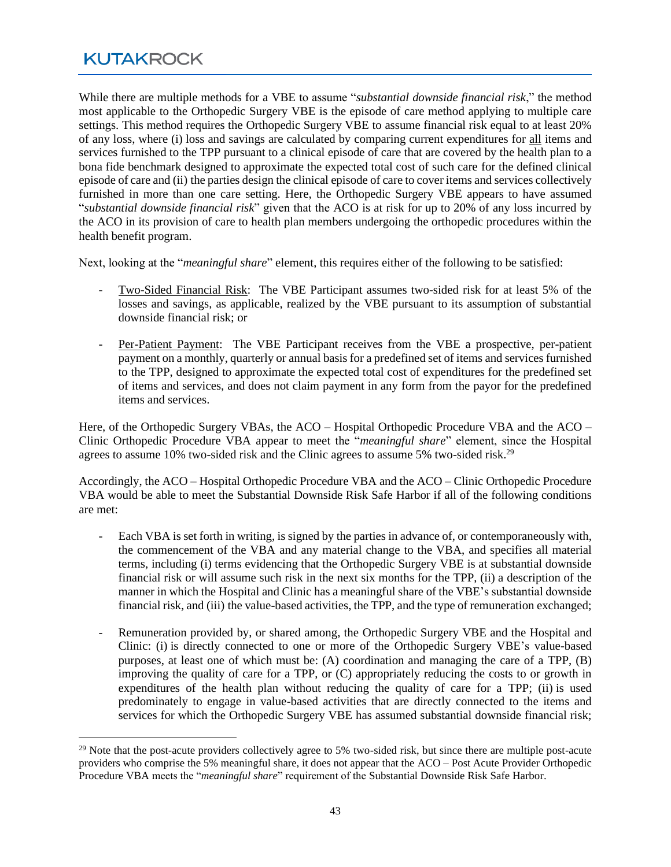While there are multiple methods for a VBE to assume "*substantial downside financial risk*," the method most applicable to the Orthopedic Surgery VBE is the episode of care method applying to multiple care settings. This method requires the Orthopedic Surgery VBE to assume financial risk equal to at least 20% of any loss, where (i) loss and savings are calculated by comparing current expenditures for all items and services furnished to the TPP pursuant to a clinical episode of care that are covered by the health plan to a bona fide benchmark designed to approximate the expected total cost of such care for the defined clinical episode of care and (ii) the parties design the clinical episode of care to cover items and services collectively furnished in more than one care setting. Here, the Orthopedic Surgery VBE appears to have assumed "*substantial downside financial risk*" given that the ACO is at risk for up to 20% of any loss incurred by the ACO in its provision of care to health plan members undergoing the orthopedic procedures within the health benefit program.

Next, looking at the "*meaningful share*" element, this requires either of the following to be satisfied:

- Two-Sided Financial Risk: The VBE Participant assumes two-sided risk for at least 5% of the losses and savings, as applicable, realized by the VBE pursuant to its assumption of substantial downside financial risk; or
- Per-Patient Payment: The VBE Participant receives from the VBE a prospective, per-patient payment on a monthly, quarterly or annual basis for a predefined set of items and services furnished to the TPP, designed to approximate the expected total cost of expenditures for the predefined set of items and services, and does not claim payment in any form from the payor for the predefined items and services.

Here, of the Orthopedic Surgery VBAs, the ACO – Hospital Orthopedic Procedure VBA and the ACO – Clinic Orthopedic Procedure VBA appear to meet the "*meaningful share*" element, since the Hospital agrees to assume 10% two-sided risk and the Clinic agrees to assume 5% two-sided risk.<sup>29</sup>

Accordingly, the ACO – Hospital Orthopedic Procedure VBA and the ACO – Clinic Orthopedic Procedure VBA would be able to meet the Substantial Downside Risk Safe Harbor if all of the following conditions are met:

- Each VBA is set forth in writing, is signed by the parties in advance of, or contemporaneously with, the commencement of the VBA and any material change to the VBA, and specifies all material terms, including (i) terms evidencing that the Orthopedic Surgery VBE is at substantial downside financial risk or will assume such risk in the next six months for the TPP, (ii) a description of the manner in which the Hospital and Clinic has a meaningful share of the VBE's substantial downside financial risk, and (iii) the value-based activities, the TPP, and the type of remuneration exchanged;
- Remuneration provided by, or shared among, the Orthopedic Surgery VBE and the Hospital and Clinic: (i) is directly connected to one or more of the Orthopedic Surgery VBE's value-based purposes, at least one of which must be: (A) coordination and managing the care of a TPP, (B) improving the quality of care for a TPP, or (C) appropriately reducing the costs to or growth in expenditures of the health plan without reducing the quality of care for a TPP; (ii) is used predominately to engage in value-based activities that are directly connected to the items and services for which the Orthopedic Surgery VBE has assumed substantial downside financial risk;

<sup>&</sup>lt;sup>29</sup> Note that the post-acute providers collectively agree to 5% two-sided risk, but since there are multiple post-acute providers who comprise the 5% meaningful share, it does not appear that the ACO – Post Acute Provider Orthopedic Procedure VBA meets the "*meaningful share*" requirement of the Substantial Downside Risk Safe Harbor.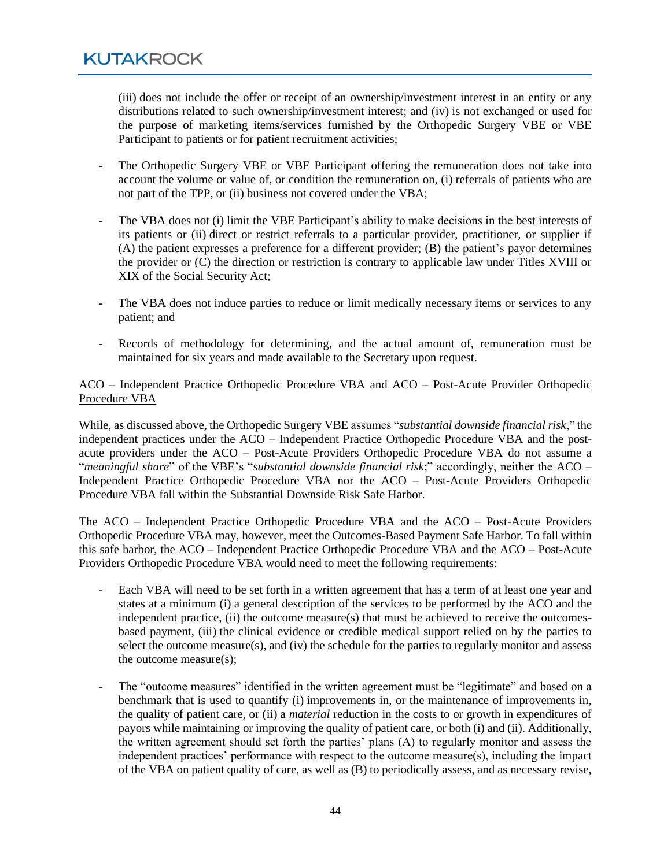(iii) does not include the offer or receipt of an ownership/investment interest in an entity or any distributions related to such ownership/investment interest; and (iv) is not exchanged or used for the purpose of marketing items/services furnished by the Orthopedic Surgery VBE or VBE Participant to patients or for patient recruitment activities;

- The Orthopedic Surgery VBE or VBE Participant offering the remuneration does not take into account the volume or value of, or condition the remuneration on, (i) referrals of patients who are not part of the TPP, or (ii) business not covered under the VBA;
- The VBA does not (i) limit the VBE Participant's ability to make decisions in the best interests of its patients or (ii) direct or restrict referrals to a particular provider, practitioner, or supplier if (A) the patient expresses a preference for a different provider; (B) the patient's payor determines the provider or (C) the direction or restriction is contrary to applicable law under Titles XVIII or XIX of the Social Security Act;
- The VBA does not induce parties to reduce or limit medically necessary items or services to any patient; and
- Records of methodology for determining, and the actual amount of, remuneration must be maintained for six years and made available to the Secretary upon request.

#### ACO – Independent Practice Orthopedic Procedure VBA and ACO – Post-Acute Provider Orthopedic Procedure VBA

While, as discussed above, the Orthopedic Surgery VBE assumes "*substantial downside financial risk*," the independent practices under the ACO – Independent Practice Orthopedic Procedure VBA and the postacute providers under the ACO – Post-Acute Providers Orthopedic Procedure VBA do not assume a "*meaningful share*" of the VBE's "*substantial downside financial risk*;" accordingly, neither the ACO – Independent Practice Orthopedic Procedure VBA nor the ACO – Post-Acute Providers Orthopedic Procedure VBA fall within the Substantial Downside Risk Safe Harbor.

The ACO – Independent Practice Orthopedic Procedure VBA and the ACO – Post-Acute Providers Orthopedic Procedure VBA may, however, meet the Outcomes-Based Payment Safe Harbor. To fall within this safe harbor, the ACO – Independent Practice Orthopedic Procedure VBA and the ACO – Post-Acute Providers Orthopedic Procedure VBA would need to meet the following requirements:

- Each VBA will need to be set forth in a written agreement that has a term of at least one year and states at a minimum (i) a general description of the services to be performed by the ACO and the independent practice, (ii) the outcome measure(s) that must be achieved to receive the outcomesbased payment, (iii) the clinical evidence or credible medical support relied on by the parties to select the outcome measure(s), and (iv) the schedule for the parties to regularly monitor and assess the outcome measure(s);
- The "outcome measures" identified in the written agreement must be "legitimate" and based on a benchmark that is used to quantify (i) improvements in, or the maintenance of improvements in, the quality of patient care, or (ii) a *material* reduction in the costs to or growth in expenditures of payors while maintaining or improving the quality of patient care, or both (i) and (ii). Additionally, the written agreement should set forth the parties' plans (A) to regularly monitor and assess the independent practices' performance with respect to the outcome measure(s), including the impact of the VBA on patient quality of care, as well as (B) to periodically assess, and as necessary revise,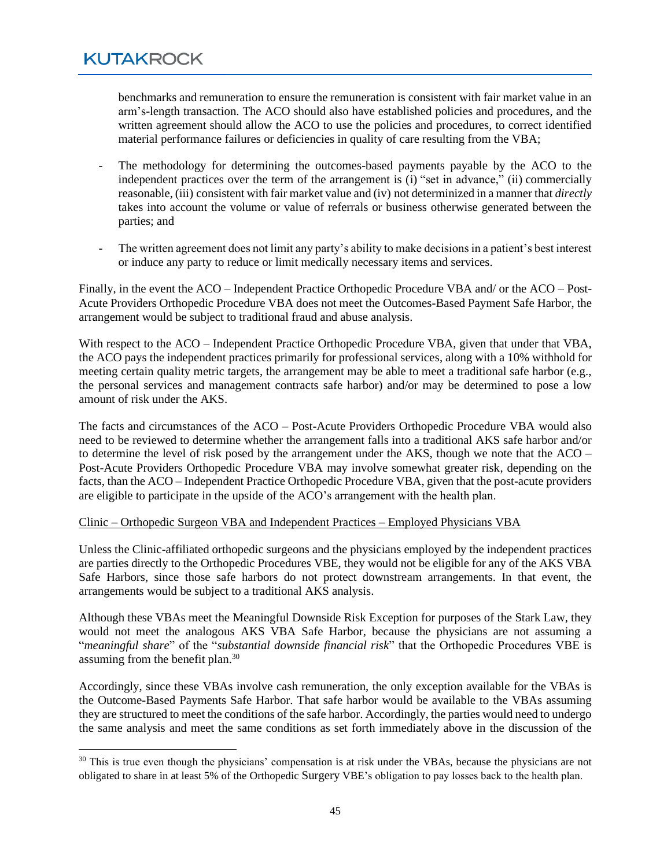benchmarks and remuneration to ensure the remuneration is consistent with fair market value in an arm's-length transaction. The ACO should also have established policies and procedures, and the written agreement should allow the ACO to use the policies and procedures, to correct identified material performance failures or deficiencies in quality of care resulting from the VBA;

- The methodology for determining the outcomes-based payments payable by the ACO to the independent practices over the term of the arrangement is (i) "set in advance," (ii) commercially reasonable, (iii) consistent with fair market value and (iv) not determinized in a manner that *directly* takes into account the volume or value of referrals or business otherwise generated between the parties; and
- The written agreement does not limit any party's ability to make decisions in a patient's best interest or induce any party to reduce or limit medically necessary items and services.

Finally, in the event the ACO – Independent Practice Orthopedic Procedure VBA and/ or the ACO – Post-Acute Providers Orthopedic Procedure VBA does not meet the Outcomes-Based Payment Safe Harbor, the arrangement would be subject to traditional fraud and abuse analysis.

With respect to the ACO – Independent Practice Orthopedic Procedure VBA, given that under that VBA, the ACO pays the independent practices primarily for professional services, along with a 10% withhold for meeting certain quality metric targets, the arrangement may be able to meet a traditional safe harbor (e.g., the personal services and management contracts safe harbor) and/or may be determined to pose a low amount of risk under the AKS.

The facts and circumstances of the ACO – Post-Acute Providers Orthopedic Procedure VBA would also need to be reviewed to determine whether the arrangement falls into a traditional AKS safe harbor and/or to determine the level of risk posed by the arrangement under the AKS, though we note that the ACO – Post-Acute Providers Orthopedic Procedure VBA may involve somewhat greater risk, depending on the facts, than the ACO – Independent Practice Orthopedic Procedure VBA, given that the post-acute providers are eligible to participate in the upside of the ACO's arrangement with the health plan.

#### Clinic – Orthopedic Surgeon VBA and Independent Practices – Employed Physicians VBA

Unless the Clinic-affiliated orthopedic surgeons and the physicians employed by the independent practices are parties directly to the Orthopedic Procedures VBE, they would not be eligible for any of the AKS VBA Safe Harbors, since those safe harbors do not protect downstream arrangements. In that event, the arrangements would be subject to a traditional AKS analysis.

Although these VBAs meet the Meaningful Downside Risk Exception for purposes of the Stark Law, they would not meet the analogous AKS VBA Safe Harbor, because the physicians are not assuming a "*meaningful share*" of the "*substantial downside financial risk*" that the Orthopedic Procedures VBE is assuming from the benefit plan.<sup>30</sup>

Accordingly, since these VBAs involve cash remuneration, the only exception available for the VBAs is the Outcome-Based Payments Safe Harbor. That safe harbor would be available to the VBAs assuming they are structured to meet the conditions of the safe harbor. Accordingly, the parties would need to undergo the same analysis and meet the same conditions as set forth immediately above in the discussion of the

<sup>&</sup>lt;sup>30</sup> This is true even though the physicians' compensation is at risk under the VBAs, because the physicians are not obligated to share in at least 5% of the Orthopedic Surgery VBE's obligation to pay losses back to the health plan.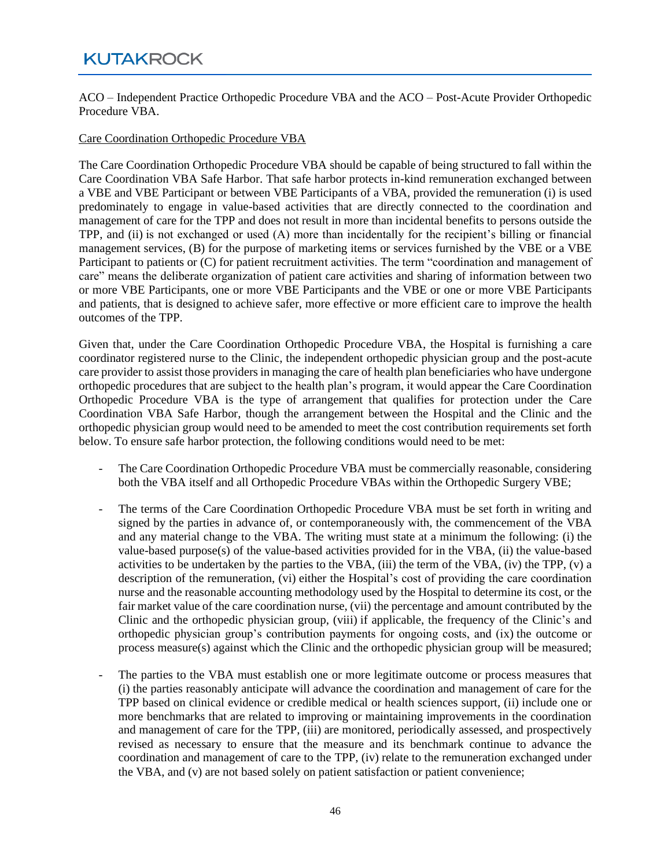ACO – Independent Practice Orthopedic Procedure VBA and the ACO – Post-Acute Provider Orthopedic Procedure VBA.

#### Care Coordination Orthopedic Procedure VBA

The Care Coordination Orthopedic Procedure VBA should be capable of being structured to fall within the Care Coordination VBA Safe Harbor. That safe harbor protects in-kind remuneration exchanged between a VBE and VBE Participant or between VBE Participants of a VBA, provided the remuneration (i) is used predominately to engage in value-based activities that are directly connected to the coordination and management of care for the TPP and does not result in more than incidental benefits to persons outside the TPP, and (ii) is not exchanged or used (A) more than incidentally for the recipient's billing or financial management services, (B) for the purpose of marketing items or services furnished by the VBE or a VBE Participant to patients or (C) for patient recruitment activities. The term "coordination and management of care" means the deliberate organization of patient care activities and sharing of information between two or more VBE Participants, one or more VBE Participants and the VBE or one or more VBE Participants and patients, that is designed to achieve safer, more effective or more efficient care to improve the health outcomes of the TPP.

Given that, under the Care Coordination Orthopedic Procedure VBA, the Hospital is furnishing a care coordinator registered nurse to the Clinic, the independent orthopedic physician group and the post-acute care provider to assist those providers in managing the care of health plan beneficiaries who have undergone orthopedic procedures that are subject to the health plan's program, it would appear the Care Coordination Orthopedic Procedure VBA is the type of arrangement that qualifies for protection under the Care Coordination VBA Safe Harbor, though the arrangement between the Hospital and the Clinic and the orthopedic physician group would need to be amended to meet the cost contribution requirements set forth below. To ensure safe harbor protection, the following conditions would need to be met:

- The Care Coordination Orthopedic Procedure VBA must be commercially reasonable, considering both the VBA itself and all Orthopedic Procedure VBAs within the Orthopedic Surgery VBE;
- The terms of the Care Coordination Orthopedic Procedure VBA must be set forth in writing and signed by the parties in advance of, or contemporaneously with, the commencement of the VBA and any material change to the VBA. The writing must state at a minimum the following: (i) the value-based purpose(s) of the value-based activities provided for in the VBA, (ii) the value-based activities to be undertaken by the parties to the VBA,  $(iii)$  the term of the VBA,  $(iv)$  the TPP,  $(v)$  a description of the remuneration, (vi) either the Hospital's cost of providing the care coordination nurse and the reasonable accounting methodology used by the Hospital to determine its cost, or the fair market value of the care coordination nurse, (vii) the percentage and amount contributed by the Clinic and the orthopedic physician group, (viii) if applicable, the frequency of the Clinic's and orthopedic physician group's contribution payments for ongoing costs, and (ix) the outcome or process measure(s) against which the Clinic and the orthopedic physician group will be measured;
- The parties to the VBA must establish one or more legitimate outcome or process measures that (i) the parties reasonably anticipate will advance the coordination and management of care for the TPP based on clinical evidence or credible medical or health sciences support, (ii) include one or more benchmarks that are related to improving or maintaining improvements in the coordination and management of care for the TPP, (iii) are monitored, periodically assessed, and prospectively revised as necessary to ensure that the measure and its benchmark continue to advance the coordination and management of care to the TPP, (iv) relate to the remuneration exchanged under the VBA, and (v) are not based solely on patient satisfaction or patient convenience;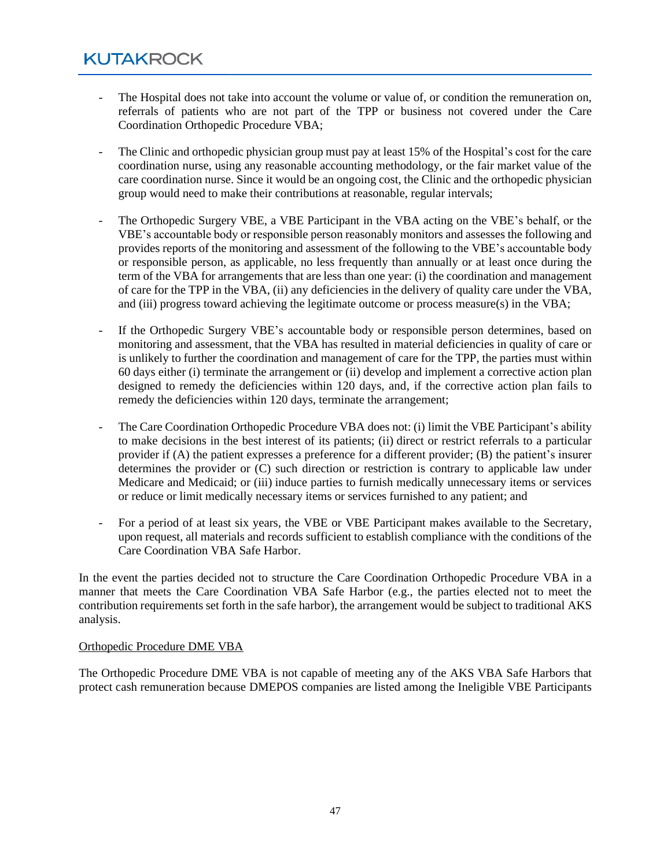- The Hospital does not take into account the volume or value of, or condition the remuneration on, referrals of patients who are not part of the TPP or business not covered under the Care Coordination Orthopedic Procedure VBA;
- The Clinic and orthopedic physician group must pay at least 15% of the Hospital's cost for the care coordination nurse, using any reasonable accounting methodology, or the fair market value of the care coordination nurse. Since it would be an ongoing cost, the Clinic and the orthopedic physician group would need to make their contributions at reasonable, regular intervals;
- The Orthopedic Surgery VBE, a VBE Participant in the VBA acting on the VBE's behalf, or the VBE's accountable body or responsible person reasonably monitors and assesses the following and provides reports of the monitoring and assessment of the following to the VBE's accountable body or responsible person, as applicable, no less frequently than annually or at least once during the term of the VBA for arrangements that are less than one year: (i) the coordination and management of care for the TPP in the VBA, (ii) any deficiencies in the delivery of quality care under the VBA, and (iii) progress toward achieving the legitimate outcome or process measure(s) in the VBA;
- If the Orthopedic Surgery VBE's accountable body or responsible person determines, based on monitoring and assessment, that the VBA has resulted in material deficiencies in quality of care or is unlikely to further the coordination and management of care for the TPP, the parties must within 60 days either (i) terminate the arrangement or (ii) develop and implement a corrective action plan designed to remedy the deficiencies within 120 days, and, if the corrective action plan fails to remedy the deficiencies within 120 days, terminate the arrangement;
- The Care Coordination Orthopedic Procedure VBA does not: (i) limit the VBE Participant's ability to make decisions in the best interest of its patients; (ii) direct or restrict referrals to a particular provider if (A) the patient expresses a preference for a different provider; (B) the patient's insurer determines the provider or (C) such direction or restriction is contrary to applicable law under Medicare and Medicaid; or (iii) induce parties to furnish medically unnecessary items or services or reduce or limit medically necessary items or services furnished to any patient; and
- For a period of at least six years, the VBE or VBE Participant makes available to the Secretary, upon request, all materials and records sufficient to establish compliance with the conditions of the Care Coordination VBA Safe Harbor.

In the event the parties decided not to structure the Care Coordination Orthopedic Procedure VBA in a manner that meets the Care Coordination VBA Safe Harbor (e.g., the parties elected not to meet the contribution requirements set forth in the safe harbor), the arrangement would be subject to traditional AKS analysis.

#### Orthopedic Procedure DME VBA

The Orthopedic Procedure DME VBA is not capable of meeting any of the AKS VBA Safe Harbors that protect cash remuneration because DMEPOS companies are listed among the Ineligible VBE Participants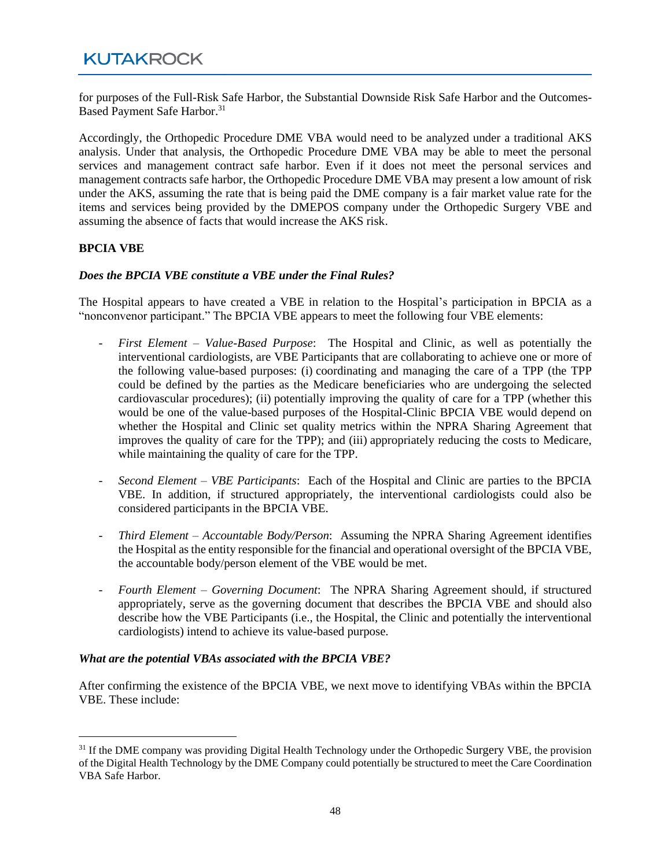for purposes of the Full-Risk Safe Harbor, the Substantial Downside Risk Safe Harbor and the Outcomes-Based Payment Safe Harbor. 31

Accordingly, the Orthopedic Procedure DME VBA would need to be analyzed under a traditional AKS analysis. Under that analysis, the Orthopedic Procedure DME VBA may be able to meet the personal services and management contract safe harbor. Even if it does not meet the personal services and management contracts safe harbor, the Orthopedic Procedure DME VBA may present a low amount of risk under the AKS, assuming the rate that is being paid the DME company is a fair market value rate for the items and services being provided by the DMEPOS company under the Orthopedic Surgery VBE and assuming the absence of facts that would increase the AKS risk.

#### **BPCIA VBE**

#### *Does the BPCIA VBE constitute a VBE under the Final Rules?*

The Hospital appears to have created a VBE in relation to the Hospital's participation in BPCIA as a "nonconvenor participant." The BPCIA VBE appears to meet the following four VBE elements:

- *First Element – Value-Based Purpose*: The Hospital and Clinic, as well as potentially the interventional cardiologists, are VBE Participants that are collaborating to achieve one or more of the following value-based purposes: (i) coordinating and managing the care of a TPP (the TPP could be defined by the parties as the Medicare beneficiaries who are undergoing the selected cardiovascular procedures); (ii) potentially improving the quality of care for a TPP (whether this would be one of the value-based purposes of the Hospital-Clinic BPCIA VBE would depend on whether the Hospital and Clinic set quality metrics within the NPRA Sharing Agreement that improves the quality of care for the TPP); and (iii) appropriately reducing the costs to Medicare, while maintaining the quality of care for the TPP.
- *Second Element – VBE Participants*: Each of the Hospital and Clinic are parties to the BPCIA VBE. In addition, if structured appropriately, the interventional cardiologists could also be considered participants in the BPCIA VBE.
- *Third Element – Accountable Body/Person*: Assuming the NPRA Sharing Agreement identifies the Hospital as the entity responsible for the financial and operational oversight of the BPCIA VBE, the accountable body/person element of the VBE would be met.
- *Fourth Element – Governing Document*: The NPRA Sharing Agreement should, if structured appropriately, serve as the governing document that describes the BPCIA VBE and should also describe how the VBE Participants (i.e., the Hospital, the Clinic and potentially the interventional cardiologists) intend to achieve its value-based purpose.

#### *What are the potential VBAs associated with the BPCIA VBE?*

After confirming the existence of the BPCIA VBE, we next move to identifying VBAs within the BPCIA VBE. These include:

<sup>&</sup>lt;sup>31</sup> If the DME company was providing Digital Health Technology under the Orthopedic Surgery VBE, the provision of the Digital Health Technology by the DME Company could potentially be structured to meet the Care Coordination VBA Safe Harbor.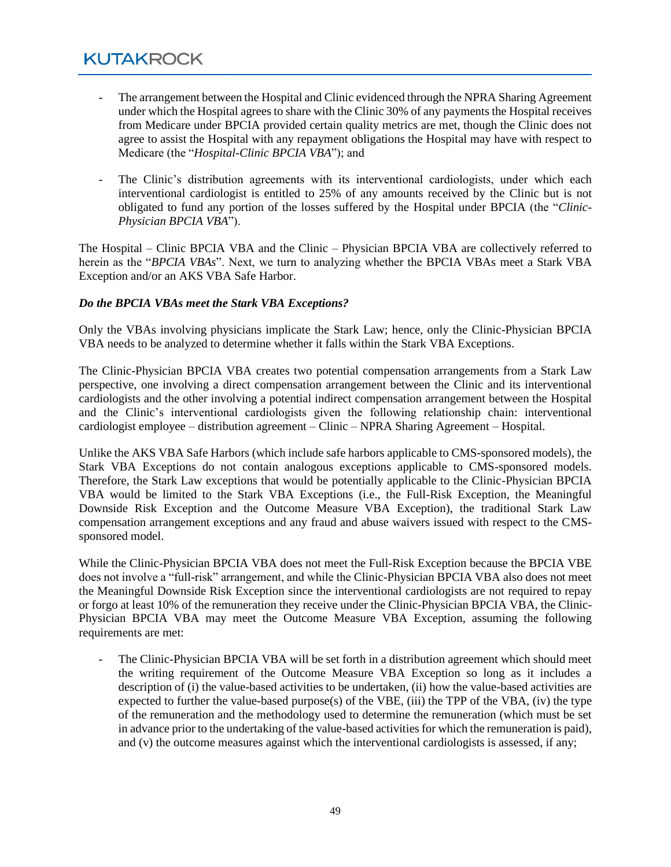- The arrangement between the Hospital and Clinic evidenced through the NPRA Sharing Agreement under which the Hospital agrees to share with the Clinic 30% of any payments the Hospital receives from Medicare under BPCIA provided certain quality metrics are met, though the Clinic does not agree to assist the Hospital with any repayment obligations the Hospital may have with respect to Medicare (the "*Hospital-Clinic BPCIA VBA*"); and
- The Clinic's distribution agreements with its interventional cardiologists, under which each interventional cardiologist is entitled to 25% of any amounts received by the Clinic but is not obligated to fund any portion of the losses suffered by the Hospital under BPCIA (the "*Clinic-Physician BPCIA VBA*").

The Hospital – Clinic BPCIA VBA and the Clinic – Physician BPCIA VBA are collectively referred to herein as the "*BPCIA VBAs*". Next, we turn to analyzing whether the BPCIA VBAs meet a Stark VBA Exception and/or an AKS VBA Safe Harbor.

#### *Do the BPCIA VBAs meet the Stark VBA Exceptions?*

Only the VBAs involving physicians implicate the Stark Law; hence, only the Clinic-Physician BPCIA VBA needs to be analyzed to determine whether it falls within the Stark VBA Exceptions.

The Clinic-Physician BPCIA VBA creates two potential compensation arrangements from a Stark Law perspective, one involving a direct compensation arrangement between the Clinic and its interventional cardiologists and the other involving a potential indirect compensation arrangement between the Hospital and the Clinic's interventional cardiologists given the following relationship chain: interventional cardiologist employee – distribution agreement – Clinic – NPRA Sharing Agreement – Hospital.

Unlike the AKS VBA Safe Harbors (which include safe harbors applicable to CMS-sponsored models), the Stark VBA Exceptions do not contain analogous exceptions applicable to CMS-sponsored models. Therefore, the Stark Law exceptions that would be potentially applicable to the Clinic-Physician BPCIA VBA would be limited to the Stark VBA Exceptions (i.e., the Full-Risk Exception, the Meaningful Downside Risk Exception and the Outcome Measure VBA Exception), the traditional Stark Law compensation arrangement exceptions and any fraud and abuse waivers issued with respect to the CMSsponsored model.

While the Clinic-Physician BPCIA VBA does not meet the Full-Risk Exception because the BPCIA VBE does not involve a "full-risk" arrangement, and while the Clinic-Physician BPCIA VBA also does not meet the Meaningful Downside Risk Exception since the interventional cardiologists are not required to repay or forgo at least 10% of the remuneration they receive under the Clinic-Physician BPCIA VBA, the Clinic-Physician BPCIA VBA may meet the Outcome Measure VBA Exception, assuming the following requirements are met:

The Clinic-Physician BPCIA VBA will be set forth in a distribution agreement which should meet the writing requirement of the Outcome Measure VBA Exception so long as it includes a description of (i) the value-based activities to be undertaken, (ii) how the value-based activities are expected to further the value-based purpose(s) of the VBE, (iii) the TPP of the VBA, (iv) the type of the remuneration and the methodology used to determine the remuneration (which must be set in advance prior to the undertaking of the value-based activities for which the remuneration is paid), and (v) the outcome measures against which the interventional cardiologists is assessed, if any;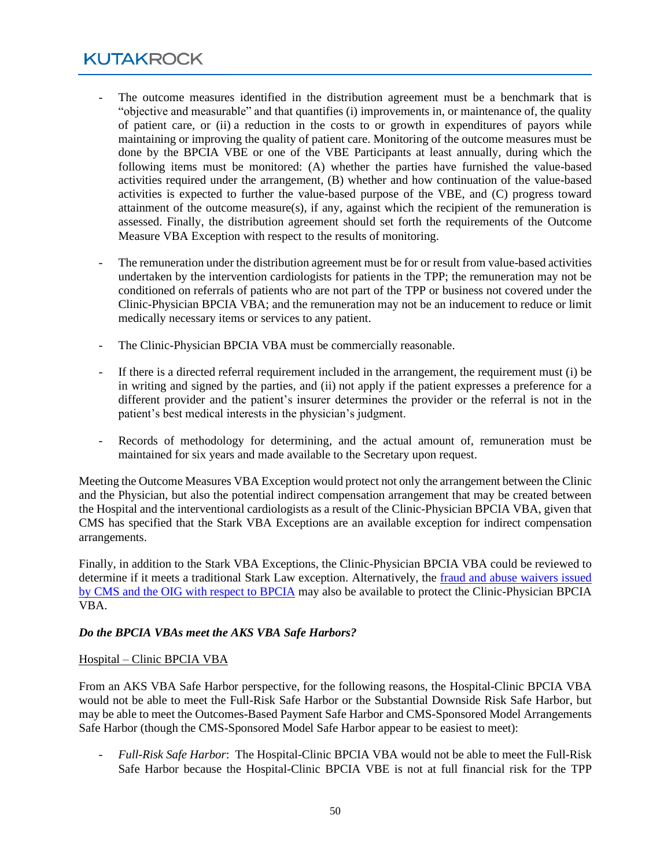- The outcome measures identified in the distribution agreement must be a benchmark that is "objective and measurable" and that quantifies (i) improvements in, or maintenance of, the quality of patient care, or (ii) a reduction in the costs to or growth in expenditures of payors while maintaining or improving the quality of patient care. Monitoring of the outcome measures must be done by the BPCIA VBE or one of the VBE Participants at least annually, during which the following items must be monitored: (A) whether the parties have furnished the value-based activities required under the arrangement, (B) whether and how continuation of the value-based activities is expected to further the value-based purpose of the VBE, and (C) progress toward attainment of the outcome measure(s), if any, against which the recipient of the remuneration is assessed. Finally, the distribution agreement should set forth the requirements of the Outcome Measure VBA Exception with respect to the results of monitoring.
- The remuneration under the distribution agreement must be for or result from value-based activities undertaken by the intervention cardiologists for patients in the TPP; the remuneration may not be conditioned on referrals of patients who are not part of the TPP or business not covered under the Clinic-Physician BPCIA VBA; and the remuneration may not be an inducement to reduce or limit medically necessary items or services to any patient.
- The Clinic-Physician BPCIA VBA must be commercially reasonable.
- If there is a directed referral requirement included in the arrangement, the requirement must (i) be in writing and signed by the parties, and (ii) not apply if the patient expresses a preference for a different provider and the patient's insurer determines the provider or the referral is not in the patient's best medical interests in the physician's judgment.
- Records of methodology for determining, and the actual amount of, remuneration must be maintained for six years and made available to the Secretary upon request.

Meeting the Outcome Measures VBA Exception would protect not only the arrangement between the Clinic and the Physician, but also the potential indirect compensation arrangement that may be created between the Hospital and the interventional cardiologists as a result of the Clinic-Physician BPCIA VBA, given that CMS has specified that the Stark VBA Exceptions are an available exception for indirect compensation arrangements.

Finally, in addition to the Stark VBA Exceptions, the Clinic-Physician BPCIA VBA could be reviewed to determine if it meets a traditional Stark Law exception. Alternatively, the [fraud and abuse waivers issued](https://www.cms.gov/medicare/physician-self-referral/fraud-and-abuse-waivers#Bundled_Payments_for_Care_Improvement_Advanced)  by CMS and the OIG [with respect to BPCIA](https://www.cms.gov/medicare/physician-self-referral/fraud-and-abuse-waivers#Bundled_Payments_for_Care_Improvement_Advanced) may also be available to protect the Clinic-Physician BPCIA VBA.

#### *Do the BPCIA VBAs meet the AKS VBA Safe Harbors?*

#### Hospital – Clinic BPCIA VBA

From an AKS VBA Safe Harbor perspective, for the following reasons, the Hospital-Clinic BPCIA VBA would not be able to meet the Full-Risk Safe Harbor or the Substantial Downside Risk Safe Harbor, but may be able to meet the Outcomes-Based Payment Safe Harbor and CMS-Sponsored Model Arrangements Safe Harbor (though the CMS-Sponsored Model Safe Harbor appear to be easiest to meet):

- *Full-Risk Safe Harbor*: The Hospital-Clinic BPCIA VBA would not be able to meet the Full-Risk Safe Harbor because the Hospital-Clinic BPCIA VBE is not at full financial risk for the TPP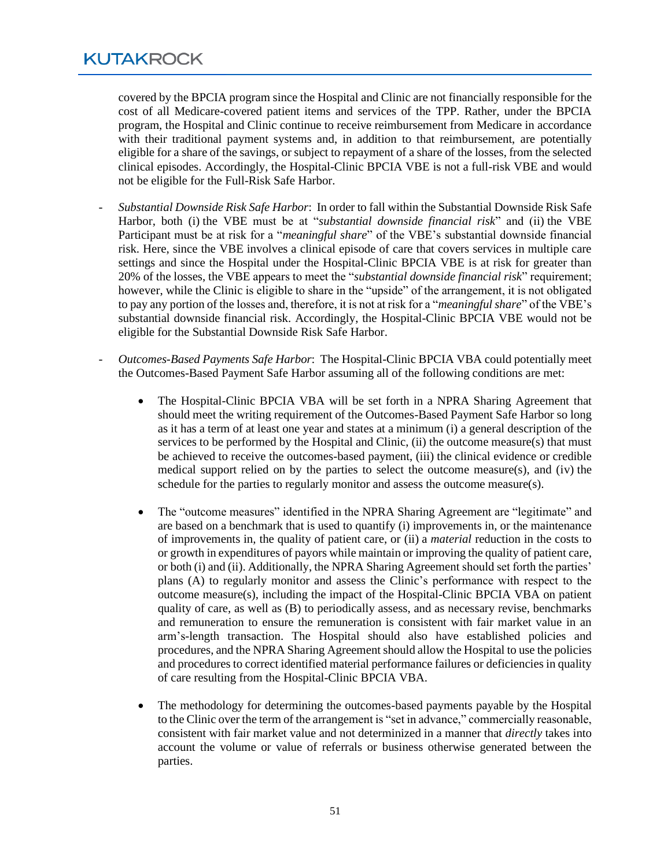covered by the BPCIA program since the Hospital and Clinic are not financially responsible for the cost of all Medicare-covered patient items and services of the TPP. Rather, under the BPCIA program, the Hospital and Clinic continue to receive reimbursement from Medicare in accordance with their traditional payment systems and, in addition to that reimbursement, are potentially eligible for a share of the savings, or subject to repayment of a share of the losses, from the selected clinical episodes. Accordingly, the Hospital-Clinic BPCIA VBE is not a full-risk VBE and would not be eligible for the Full-Risk Safe Harbor.

- *Substantial Downside Risk Safe Harbor*: In order to fall within the Substantial Downside Risk Safe Harbor, both (i) the VBE must be at "*substantial downside financial risk*" and (ii) the VBE Participant must be at risk for a "*meaningful share*" of the VBE's substantial downside financial risk. Here, since the VBE involves a clinical episode of care that covers services in multiple care settings and since the Hospital under the Hospital-Clinic BPCIA VBE is at risk for greater than 20% of the losses, the VBE appears to meet the "*substantial downside financial risk*" requirement; however, while the Clinic is eligible to share in the "upside" of the arrangement, it is not obligated to pay any portion of the losses and, therefore, it is not at risk for a "*meaningful share*" of the VBE's substantial downside financial risk. Accordingly, the Hospital-Clinic BPCIA VBE would not be eligible for the Substantial Downside Risk Safe Harbor.
- *Outcomes-Based Payments Safe Harbor*: The Hospital-Clinic BPCIA VBA could potentially meet the Outcomes-Based Payment Safe Harbor assuming all of the following conditions are met:
	- The Hospital-Clinic BPCIA VBA will be set forth in a NPRA Sharing Agreement that should meet the writing requirement of the Outcomes-Based Payment Safe Harbor so long as it has a term of at least one year and states at a minimum (i) a general description of the services to be performed by the Hospital and Clinic, (ii) the outcome measure(s) that must be achieved to receive the outcomes-based payment, (iii) the clinical evidence or credible medical support relied on by the parties to select the outcome measure(s), and (iv) the schedule for the parties to regularly monitor and assess the outcome measure(s).
	- The "outcome measures" identified in the NPRA Sharing Agreement are "legitimate" and are based on a benchmark that is used to quantify (i) improvements in, or the maintenance of improvements in, the quality of patient care, or (ii) a *material* reduction in the costs to or growth in expenditures of payors while maintain or improving the quality of patient care, or both (i) and (ii). Additionally, the NPRA Sharing Agreement should set forth the parties' plans (A) to regularly monitor and assess the Clinic's performance with respect to the outcome measure(s), including the impact of the Hospital-Clinic BPCIA VBA on patient quality of care, as well as (B) to periodically assess, and as necessary revise, benchmarks and remuneration to ensure the remuneration is consistent with fair market value in an arm's-length transaction. The Hospital should also have established policies and procedures, and the NPRA Sharing Agreement should allow the Hospital to use the policies and procedures to correct identified material performance failures or deficiencies in quality of care resulting from the Hospital-Clinic BPCIA VBA.
	- The methodology for determining the outcomes-based payments payable by the Hospital to the Clinic over the term of the arrangement is "set in advance," commercially reasonable, consistent with fair market value and not determinized in a manner that *directly* takes into account the volume or value of referrals or business otherwise generated between the parties.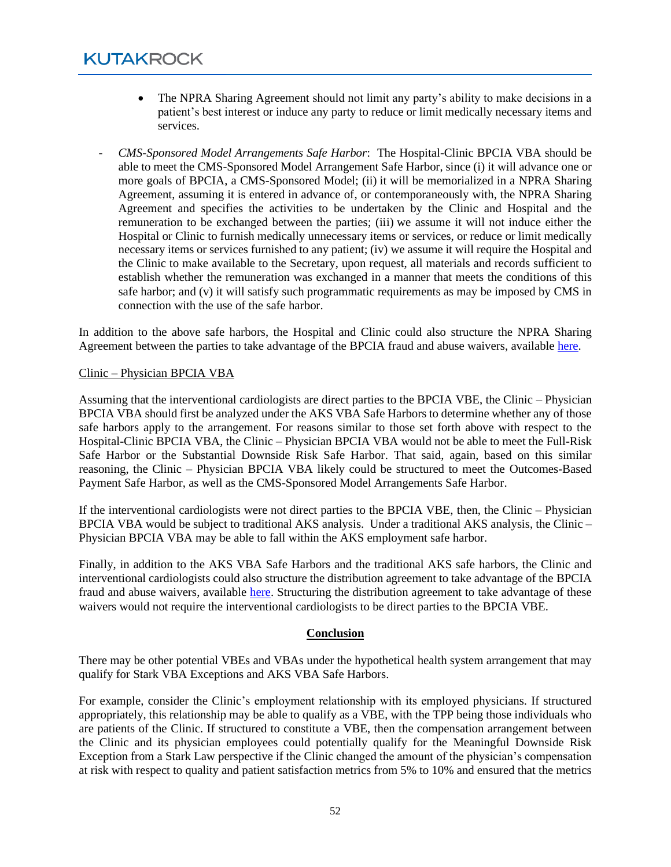- The NPRA Sharing Agreement should not limit any party's ability to make decisions in a patient's best interest or induce any party to reduce or limit medically necessary items and services.
- *CMS-Sponsored Model Arrangements Safe Harbor*: The Hospital-Clinic BPCIA VBA should be able to meet the CMS-Sponsored Model Arrangement Safe Harbor, since (i) it will advance one or more goals of BPCIA, a CMS-Sponsored Model; (ii) it will be memorialized in a NPRA Sharing Agreement, assuming it is entered in advance of, or contemporaneously with, the NPRA Sharing Agreement and specifies the activities to be undertaken by the Clinic and Hospital and the remuneration to be exchanged between the parties; (iii) we assume it will not induce either the Hospital or Clinic to furnish medically unnecessary items or services, or reduce or limit medically necessary items or services furnished to any patient; (iv) we assume it will require the Hospital and the Clinic to make available to the Secretary, upon request, all materials and records sufficient to establish whether the remuneration was exchanged in a manner that meets the conditions of this safe harbor; and (v) it will satisfy such programmatic requirements as may be imposed by CMS in connection with the use of the safe harbor.

In addition to the above safe harbors, the Hospital and Clinic could also structure the NPRA Sharing Agreement between the parties to take advantage of the BPCIA fraud and abuse waivers, available [here.](https://www.cms.gov/medicare/physician-self-referral/fraud-and-abuse-waivers#Bundled_Payments_for_Care_Improvement_Advanced)

#### Clinic – Physician BPCIA VBA

Assuming that the interventional cardiologists are direct parties to the BPCIA VBE, the Clinic – Physician BPCIA VBA should first be analyzed under the AKS VBA Safe Harbors to determine whether any of those safe harbors apply to the arrangement. For reasons similar to those set forth above with respect to the Hospital-Clinic BPCIA VBA, the Clinic – Physician BPCIA VBA would not be able to meet the Full-Risk Safe Harbor or the Substantial Downside Risk Safe Harbor. That said, again, based on this similar reasoning, the Clinic – Physician BPCIA VBA likely could be structured to meet the Outcomes-Based Payment Safe Harbor, as well as the CMS-Sponsored Model Arrangements Safe Harbor.

If the interventional cardiologists were not direct parties to the BPCIA VBE, then, the Clinic – Physician BPCIA VBA would be subject to traditional AKS analysis. Under a traditional AKS analysis, the Clinic – Physician BPCIA VBA may be able to fall within the AKS employment safe harbor.

Finally, in addition to the AKS VBA Safe Harbors and the traditional AKS safe harbors, the Clinic and interventional cardiologists could also structure the distribution agreement to take advantage of the BPCIA fraud and abuse waivers, available [here.](https://www.cms.gov/medicare/physician-self-referral/fraud-and-abuse-waivers#Bundled_Payments_for_Care_Improvement_Advanced) Structuring the distribution agreement to take advantage of these waivers would not require the interventional cardiologists to be direct parties to the BPCIA VBE.

#### **Conclusion**

There may be other potential VBEs and VBAs under the hypothetical health system arrangement that may qualify for Stark VBA Exceptions and AKS VBA Safe Harbors.

For example, consider the Clinic's employment relationship with its employed physicians. If structured appropriately, this relationship may be able to qualify as a VBE, with the TPP being those individuals who are patients of the Clinic. If structured to constitute a VBE, then the compensation arrangement between the Clinic and its physician employees could potentially qualify for the Meaningful Downside Risk Exception from a Stark Law perspective if the Clinic changed the amount of the physician's compensation at risk with respect to quality and patient satisfaction metrics from 5% to 10% and ensured that the metrics